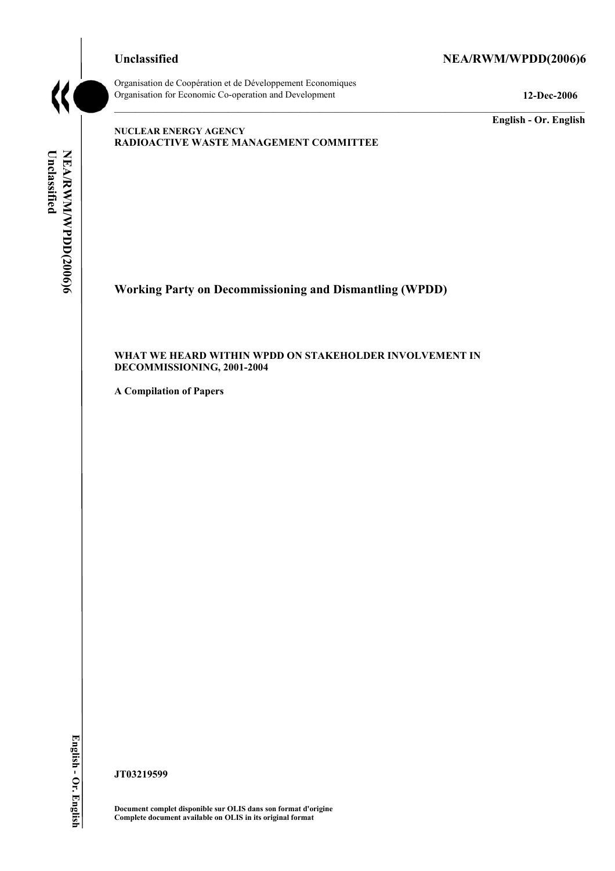# Unclassified NEA/RWM/WPDD(2006)6



Organisation de CoopÈration et de DÈveloppement Economiques Organisation for Economic Co-operation and Development **12-Dec-2006** 

**English - Or. English** 

# **NUCLEAR ENERGY AGENCY RADIOACTIVE WASTE MANAGEMENT COMMITTEE**

Unclassified NEA/RWM/WPDD(2006)6 **Unclassified NEA/RWM/WPDD(2006)6 English - Or. English** 

**Working Party on Decommissioning and Dismantling (WPDD)** 

#### **WHAT WE HEARD WITHIN WPDD ON STAKEHOLDER INVOLVEMENT IN DECOMMISSIONING, 2001-2004**

**A Compilation of Papers** 

**JT03219599** 

**Document complet disponible sur OLIS dans son format d'origine Complete document available on OLIS in its original format**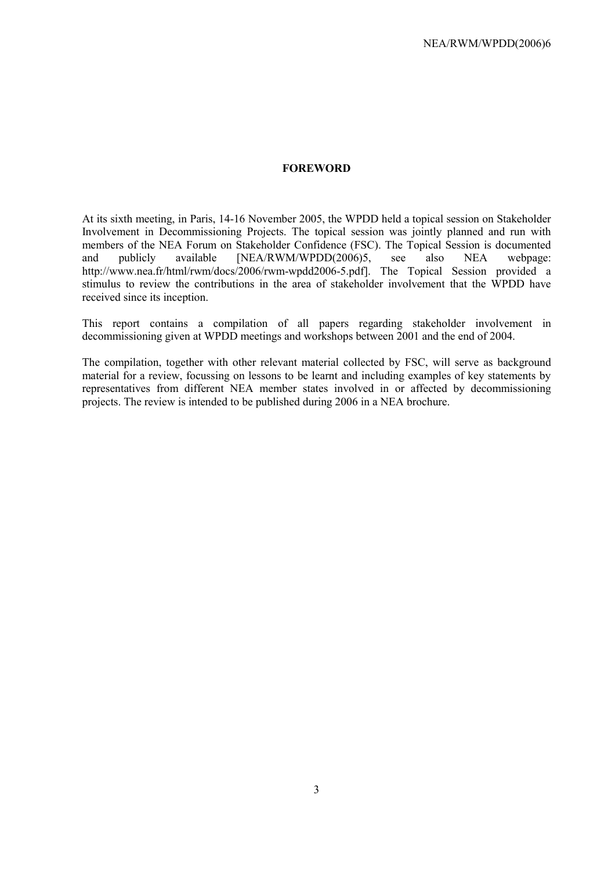#### **FOREWORD**

At its sixth meeting, in Paris, 14-16 November 2005, the WPDD held a topical session on Stakeholder Involvement in Decommissioning Projects. The topical session was jointly planned and run with members of the NEA Forum on Stakeholder Confidence (FSC). The Topical Session is documented and publicly available [NEA/RWM/WPDD(2006)5, see also NEA webpage: http://www.nea.fr/html/rwm/docs/2006/rwm-wpdd2006-5.pdf]. The Topical Session provided a stimulus to review the contributions in the area of stakeholder involvement that the WPDD have received since its inception.

This report contains a compilation of all papers regarding stakeholder involvement in decommissioning given at WPDD meetings and workshops between 2001 and the end of 2004.

The compilation, together with other relevant material collected by FSC, will serve as background material for a review, focussing on lessons to be learnt and including examples of key statements by representatives from different NEA member states involved in or affected by decommissioning projects. The review is intended to be published during 2006 in a NEA brochure.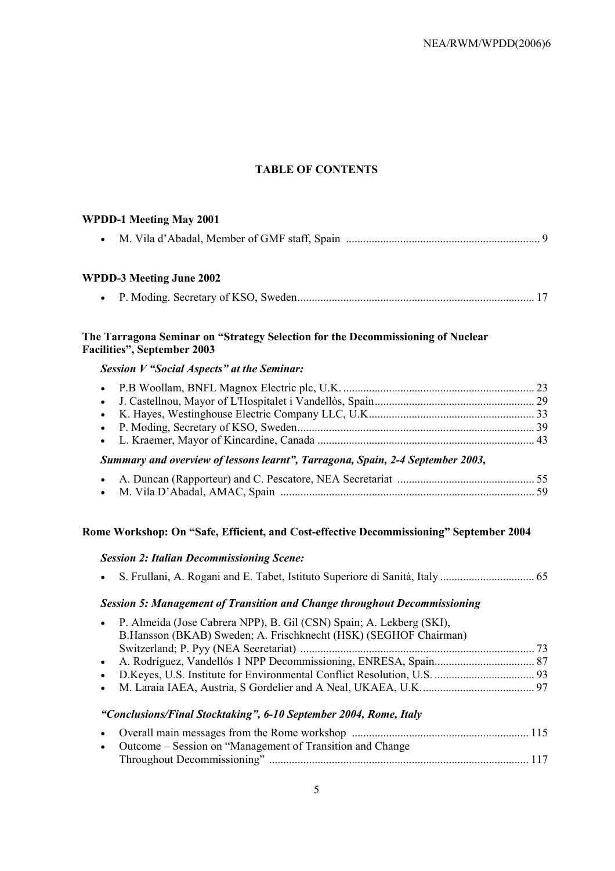# **TABLE OF CONTENTS**

| <b>WPDD-1 Meeting May 2001</b>                                                                                                           |  |
|------------------------------------------------------------------------------------------------------------------------------------------|--|
|                                                                                                                                          |  |
| <b>WPDD-3 Meeting June 2002</b>                                                                                                          |  |
|                                                                                                                                          |  |
| The Tarragona Seminar on "Strategy Selection for the Decommissioning of Nuclear<br><b>Facilities", September 2003</b>                    |  |
| <b>Session V "Social Aspects" at the Seminar:</b>                                                                                        |  |
| $\bullet$<br>$\bullet$                                                                                                                   |  |
| $\bullet$                                                                                                                                |  |
| Summary and overview of lessons learnt", Tarragona, Spain, 2-4 September 2003,                                                           |  |
| $\bullet$                                                                                                                                |  |
| Rome Workshop: On "Safe, Efficient, and Cost-effective Decommissioning" September 2004                                                   |  |
| <b>Session 2: Italian Decommissioning Scene:</b>                                                                                         |  |
|                                                                                                                                          |  |
| <b>Session 5: Management of Transition and Change throughout Decommissioning</b>                                                         |  |
| P. Almeida (Jose Cabrera NPP), B. Gil (CSN) Spain; A. Lekberg (SKI),<br>B.Hansson (BKAB) Sweden; A. Frischknecht (HSK) (SEGHOF Chairman) |  |
| "Conclusions/Final Stocktaking", 6-10 September 2004, Rome, Italy                                                                        |  |
| Outcome – Session on "Management of Transition and Change<br>$\bullet$                                                                   |  |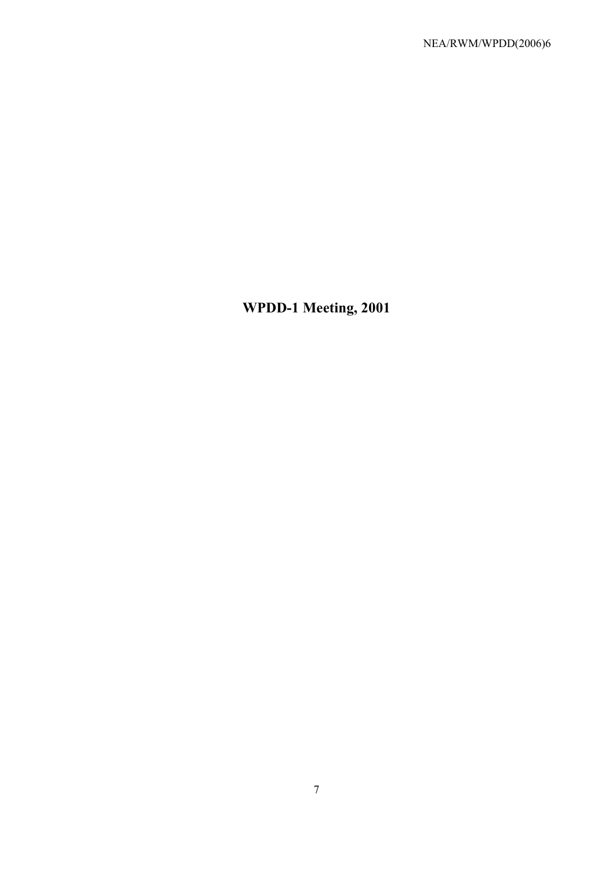**WPDD-1 Meeting, 2001**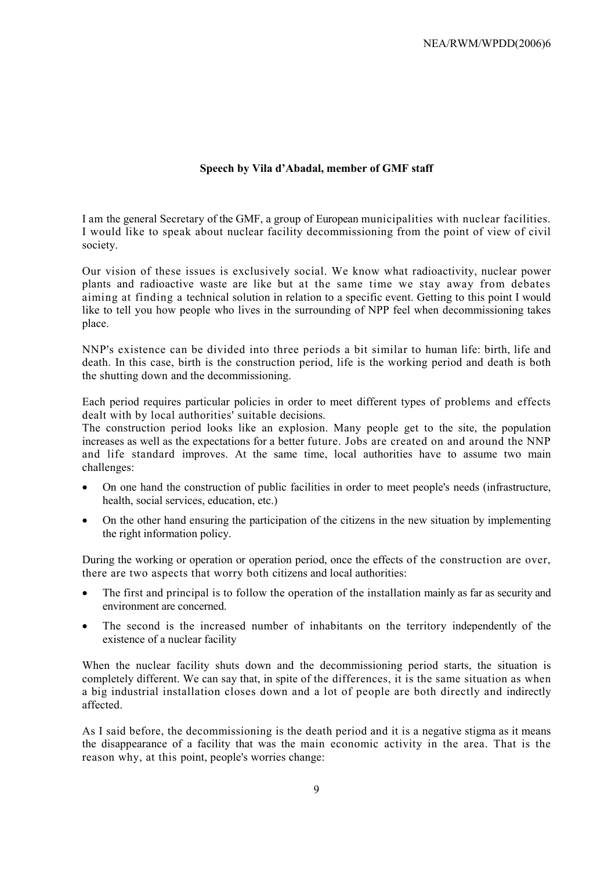## Speech by Vila d'Abadal, member of GMF staff

I am the general Secretary of the GMF, a group of European municipalities with nuclear facilities. I would like to speak about nuclear facility decommissioning from the point of view of civil society.

Our vision of these issues is exclusively social. We know what radioactivity, nuclear power plants and radioactive waste are like but at the same time we stay away from debates aiming at finding a technical solution in relation to a specific event. Getting to this point I would like to tell you how people who lives in the surrounding of NPP feel when decommissioning takes place.

NNP's existence can be divided into three periods a bit similar to human life: birth, life and death. In this case, birth is the construction period, life is the working period and death is both the shutting down and the decommissioning.

Each period requires particular policies in order to meet different types of problems and effects dealt with by local authorities' suitable decisions.

The construction period looks like an explosion. Many people get to the site, the population increases as well as the expectations for a better future. Jobs are created on and around the NNP and life standard improves. At the same time, local authorities have to assume two main challenges:

- On one hand the construction of public facilities in order to meet people's needs (infrastructure, health, social services, education, etc.)
- On the other hand ensuring the participation of the citizens in the new situation by implementing the right information policy.

During the working or operation or operation period, once the effects of the construction are over, there are two aspects that worry both citizens and local authorities:

- The first and principal is to follow the operation of the installation mainly as far as security and environment are concerned.
- The second is the increased number of inhabitants on the territory independently of the existence of a nuclear facility

When the nuclear facility shuts down and the decommissioning period starts, the situation is completely different. We can say that, in spite of the differences, it is the same situation as when a big industrial installation closes down and a lot of people are both directly and indirectly affected.

As I said before, the decommissioning is the death period and it is a negative stigma as it means the disappearance of a facility that was the main economic activity in the area. That is the reason why, at this point, people's worries change: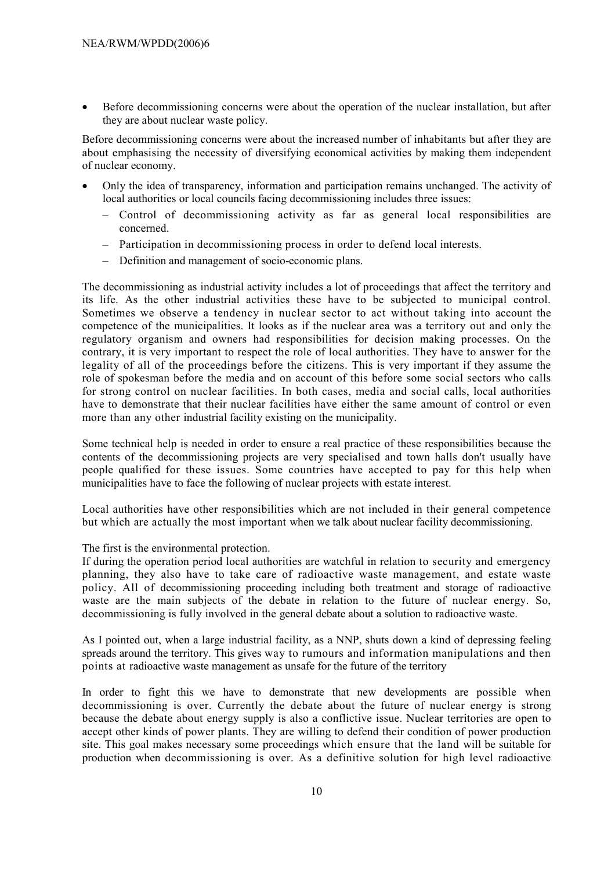• Before decommissioning concerns were about the operation of the nuclear installation, but after they are about nuclear waste policy.

Before decommissioning concerns were about the increased number of inhabitants but after they are about emphasising the necessity of diversifying economical activities by making them independent of nuclear economy.

- Only the idea of transparency, information and participation remains unchanged. The activity of local authorities or local councils facing decommissioning includes three issues:
	- ñ Control of decommissioning activity as far as general local responsibilities are concerned.
	- Participation in decommissioning process in order to defend local interests.
	- Definition and management of socio-economic plans.

The decommissioning as industrial activity includes a lot of proceedings that affect the territory and its life. As the other industrial activities these have to be subjected to municipal control. Sometimes we observe a tendency in nuclear sector to act without taking into account the competence of the municipalities. It looks as if the nuclear area was a territory out and only the regulatory organism and owners had responsibilities for decision making processes. On the contrary, it is very important to respect the role of local authorities. They have to answer for the legality of all of the proceedings before the citizens. This is very important if they assume the role of spokesman before the media and on account of this before some social sectors who calls for strong control on nuclear facilities. In both cases, media and social calls, local authorities have to demonstrate that their nuclear facilities have either the same amount of control or even more than any other industrial facility existing on the municipality.

Some technical help is needed in order to ensure a real practice of these responsibilities because the contents of the decommissioning projects are very specialised and town halls don't usually have people qualified for these issues. Some countries have accepted to pay for this help when municipalities have to face the following of nuclear projects with estate interest.

Local authorities have other responsibilities which are not included in their general competence but which are actually the most important when we talk about nuclear facility decommissioning.

#### The first is the environmental protection.

If during the operation period local authorities are watchful in relation to security and emergency planning, they also have to take care of radioactive waste management, and estate waste policy. All of decommissioning proceeding including both treatment and storage of radioactive waste are the main subjects of the debate in relation to the future of nuclear energy. So, decommissioning is fully involved in the general debate about a solution to radioactive waste.

As I pointed out, when a large industrial facility, as a NNP, shuts down a kind of depressing feeling spreads around the territory. This gives way to rumours and information manipulations and then points at radioactive waste management as unsafe for the future of the territory

In order to fight this we have to demonstrate that new developments are possible when decommissioning is over. Currently the debate about the future of nuclear energy is strong because the debate about energy supply is also a conflictive issue. Nuclear territories are open to accept other kinds of power plants. They are willing to defend their condition of power production site. This goal makes necessary some proceedings which ensure that the land will be suitable for production when decommissioning is over. As a definitive solution for high level radioactive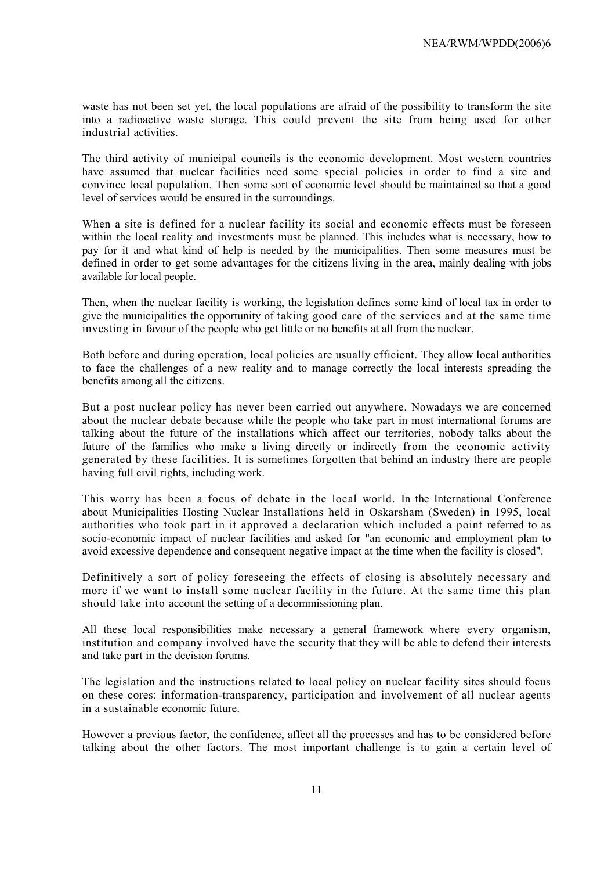waste has not been set yet, the local populations are afraid of the possibility to transform the site into a radioactive waste storage. This could prevent the site from being used for other industrial activities.

The third activity of municipal councils is the economic development. Most western countries have assumed that nuclear facilities need some special policies in order to find a site and convince local population. Then some sort of economic level should be maintained so that a good level of services would be ensured in the surroundings.

When a site is defined for a nuclear facility its social and economic effects must be foreseen within the local reality and investments must be planned. This includes what is necessary, how to pay for it and what kind of help is needed by the municipalities. Then some measures must be defined in order to get some advantages for the citizens living in the area, mainly dealing with jobs available for local people.

Then, when the nuclear facility is working, the legislation defines some kind of local tax in order to give the municipalities the opportunity of taking good care of the services and at the same time investing in favour of the people who get little or no benefits at all from the nuclear.

Both before and during operation, local policies are usually efficient. They allow local authorities to face the challenges of a new reality and to manage correctly the local interests spreading the benefits among all the citizens.

But a post nuclear policy has never been carried out anywhere. Nowadays we are concerned about the nuclear debate because while the people who take part in most international forums are talking about the future of the installations which affect our territories, nobody talks about the future of the families who make a living directly or indirectly from the economic activity generated by these facilities. It is sometimes forgotten that behind an industry there are people having full civil rights, including work.

This worry has been a focus of debate in the local world. In the International Conference about Municipalities Hosting Nuclear Installations held in Oskarsham (Sweden) in 1995, local authorities who took part in it approved a declaration which included a point referred to as socio-economic impact of nuclear facilities and asked for "an economic and employment plan to avoid excessive dependence and consequent negative impact at the time when the facility is closed".

Definitively a sort of policy foreseeing the effects of closing is absolutely necessary and more if we want to install some nuclear facility in the future. At the same time this plan should take into account the setting of a decommissioning plan.

All these local responsibilities make necessary a general framework where every organism, institution and company involved have the security that they will be able to defend their interests and take part in the decision forums.

The legislation and the instructions related to local policy on nuclear facility sites should focus on these cores: information-transparency, participation and involvement of all nuclear agents in a sustainable economic future.

However a previous factor, the confidence, affect all the processes and has to be considered before talking about the other factors. The most important challenge is to gain a certain level of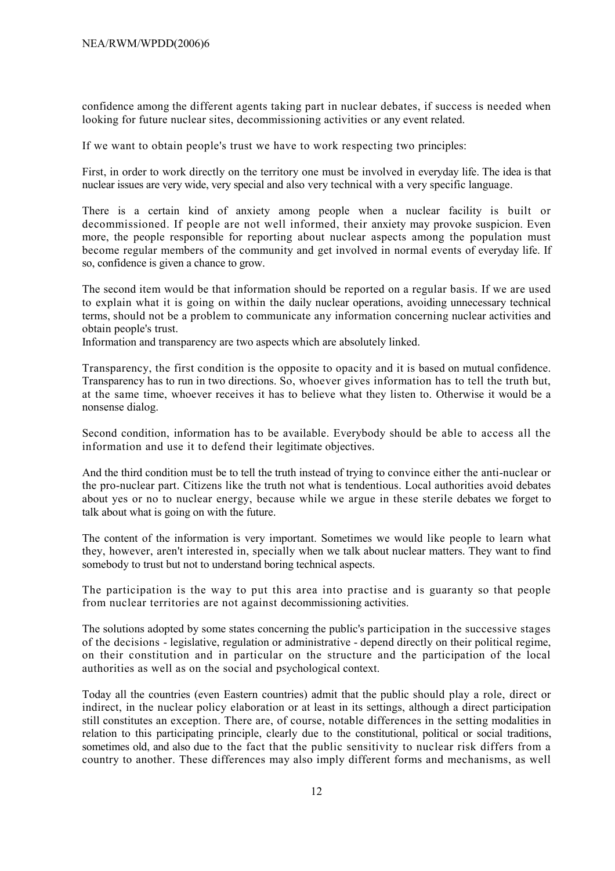confidence among the different agents taking part in nuclear debates, if success is needed when looking for future nuclear sites, decommissioning activities or any event related.

If we want to obtain people's trust we have to work respecting two principles:

First, in order to work directly on the territory one must be involved in everyday life. The idea is that nuclear issues are very wide, very special and also very technical with a very specific language.

There is a certain kind of anxiety among people when a nuclear facility is built or decommissioned. If people are not well informed, their anxiety may provoke suspicion. Even more, the people responsible for reporting about nuclear aspects among the population must become regular members of the community and get involved in normal events of everyday life. If so, confidence is given a chance to grow.

The second item would be that information should be reported on a regular basis. If we are used to explain what it is going on within the daily nuclear operations, avoiding unnecessary technical terms, should not be a problem to communicate any information concerning nuclear activities and obtain people's trust.

Information and transparency are two aspects which are absolutely linked.

Transparency, the first condition is the opposite to opacity and it is based on mutual confidence. Transparency has to run in two directions. So, whoever gives information has to tell the truth but, at the same time, whoever receives it has to believe what they listen to. Otherwise it would be a nonsense dialog.

Second condition, information has to be available. Everybody should be able to access all the information and use it to defend their legitimate objectives.

And the third condition must be to tell the truth instead of trying to convince either the anti-nuclear or the pro-nuclear part. Citizens like the truth not what is tendentious. Local authorities avoid debates about yes or no to nuclear energy, because while we argue in these sterile debates we forget to talk about what is going on with the future.

The content of the information is very important. Sometimes we would like people to learn what they, however, aren't interested in, specially when we talk about nuclear matters. They want to find somebody to trust but not to understand boring technical aspects.

The participation is the way to put this area into practise and is guaranty so that people from nuclear territories are not against decommissioning activities.

The solutions adopted by some states concerning the public's participation in the successive stages of the decisions - legislative, regulation or administrative - depend directly on their political regime, on their constitution and in particular on the structure and the participation of the local authorities as well as on the social and psychological context.

Today all the countries (even Eastern countries) admit that the public should play a role, direct or indirect, in the nuclear policy elaboration or at least in its settings, although a direct participation still constitutes an exception. There are, of course, notable differences in the setting modalities in relation to this participating principle, clearly due to the constitutional, political or social traditions, sometimes old, and also due to the fact that the public sensitivity to nuclear risk differs from a country to another. These differences may also imply different forms and mechanisms, as well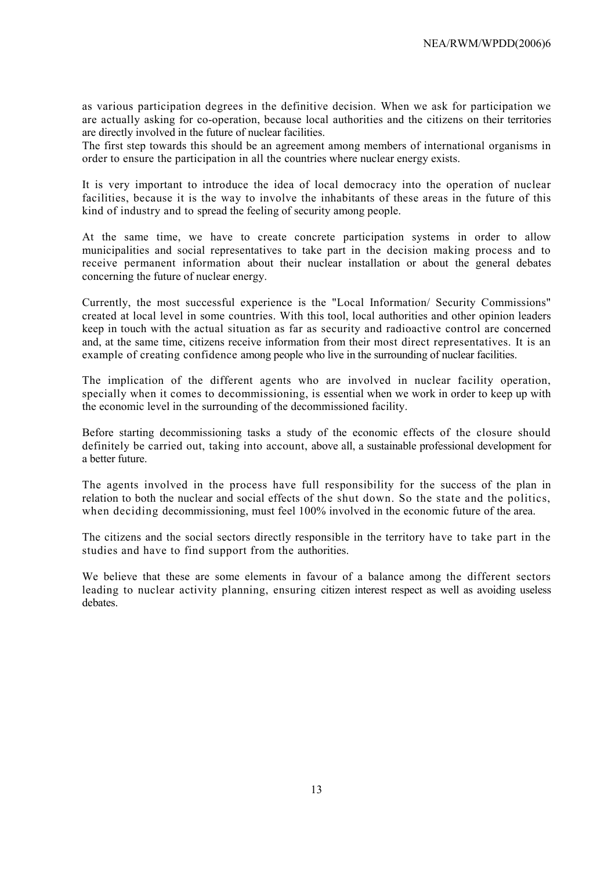as various participation degrees in the definitive decision. When we ask for participation we are actually asking for co-operation, because local authorities and the citizens on their territories are directly involved in the future of nuclear facilities.

The first step towards this should be an agreement among members of international organisms in order to ensure the participation in all the countries where nuclear energy exists.

It is very important to introduce the idea of local democracy into the operation of nuclear facilities, because it is the way to involve the inhabitants of these areas in the future of this kind of industry and to spread the feeling of security among people.

At the same time, we have to create concrete participation systems in order to allow municipalities and social representatives to take part in the decision making process and to receive permanent information about their nuclear installation or about the general debates concerning the future of nuclear energy.

Currently, the most successful experience is the "Local Information/ Security Commissions" created at local level in some countries. With this tool, local authorities and other opinion leaders keep in touch with the actual situation as far as security and radioactive control are concerned and, at the same time, citizens receive information from their most direct representatives. It is an example of creating confidence among people who live in the surrounding of nuclear facilities.

The implication of the different agents who are involved in nuclear facility operation, specially when it comes to decommissioning, is essential when we work in order to keep up with the economic level in the surrounding of the decommissioned facility.

Before starting decommissioning tasks a study of the economic effects of the closure should definitely be carried out, taking into account, above all, a sustainable professional development for a better future.

The agents involved in the process have full responsibility for the success of the plan in relation to both the nuclear and social effects of the shut down. So the state and the politics, when deciding decommissioning, must feel 100% involved in the economic future of the area.

The citizens and the social sectors directly responsible in the territory have to take part in the studies and have to find support from the authorities.

We believe that these are some elements in favour of a balance among the different sectors leading to nuclear activity planning, ensuring citizen interest respect as well as avoiding useless debates.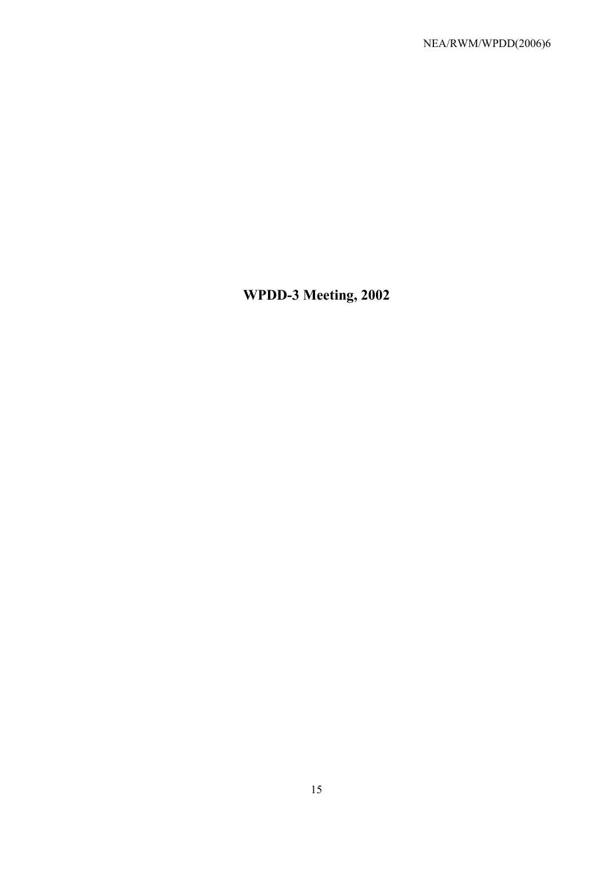**WPDD-3 Meeting, 2002**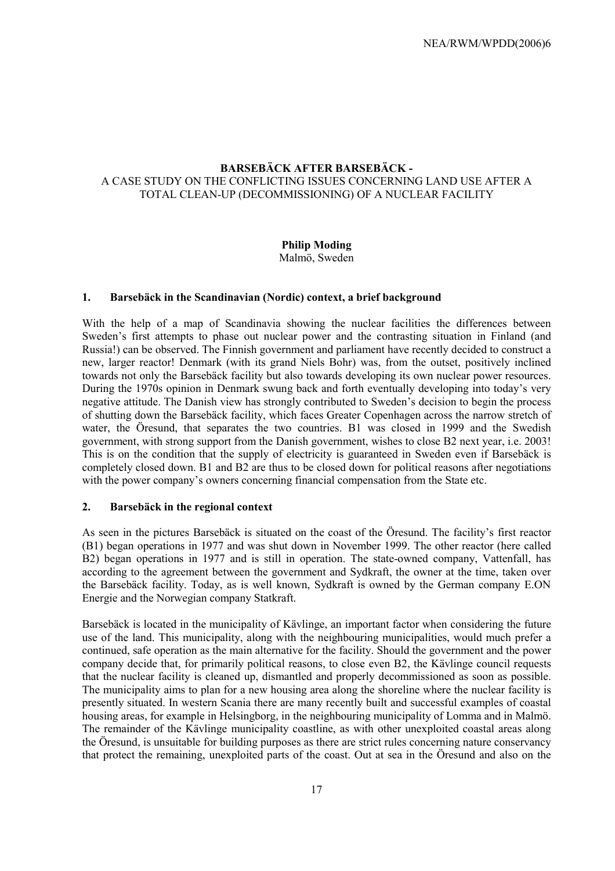# **BARSEBÄCK AFTER BARSEBÄCK -**A CASE STUDY ON THE CONFLICTING ISSUES CONCERNING LAND USE AFTER A TOTAL CLEAN-UP (DECOMMISSIONING) OF A NUCLEAR FACILITY

# **Philip Moding**

Malmö, Sweden

#### 1. Barsebäck in the Scandinavian (Nordic) context, a brief background

With the help of a map of Scandinavia showing the nuclear facilities the differences between Sweden's first attempts to phase out nuclear power and the contrasting situation in Finland (and Russia!) can be observed. The Finnish government and parliament have recently decided to construct a new, larger reactor! Denmark (with its grand Niels Bohr) was, from the outset, positively inclined towards not only the Barsebäck facility but also towards developing its own nuclear power resources. During the 1970s opinion in Denmark swung back and forth eventually developing into today's very negative attitude. The Danish view has strongly contributed to Sweden's decision to begin the process of shutting down the Barsebäck facility, which faces Greater Copenhagen across the narrow stretch of water, the Öresund, that separates the two countries. B1 was closed in 1999 and the Swedish government, with strong support from the Danish government, wishes to close B2 next year, i.e. 2003! This is on the condition that the supply of electricity is guaranteed in Sweden even if Barsebäck is completely closed down. B1 and B2 are thus to be closed down for political reasons after negotiations with the power company's owners concerning financial compensation from the State etc.

#### 2. Barsebäck in the regional context

As seen in the pictures Barsebäck is situated on the coast of the Öresund. The facility's first reactor (B1) began operations in 1977 and was shut down in November 1999. The other reactor (here called B2) began operations in 1977 and is still in operation. The state-owned company, Vattenfall, has according to the agreement between the government and Sydkraft, the owner at the time, taken over the Barsebäck facility. Today, as is well known, Sydkraft is owned by the German company E.ON Energie and the Norwegian company Statkraft.

Barsebäck is located in the municipality of Käylinge, an important factor when considering the future use of the land. This municipality, along with the neighbouring municipalities, would much prefer a continued, safe operation as the main alternative for the facility. Should the government and the power company decide that, for primarily political reasons, to close even B2, the Käylinge council requests that the nuclear facility is cleaned up, dismantled and properly decommissioned as soon as possible. The municipality aims to plan for a new housing area along the shoreline where the nuclear facility is presently situated. In western Scania there are many recently built and successful examples of coastal housing areas, for example in Helsingborg, in the neighbouring municipality of Lomma and in Malmö. The remainder of the Käylinge municipality coastline, as with other unexploited coastal areas along the Öresund, is unsuitable for building purposes as there are strict rules concerning nature conservancy that protect the remaining, unexploited parts of the coast. Out at sea in the Öresund and also on the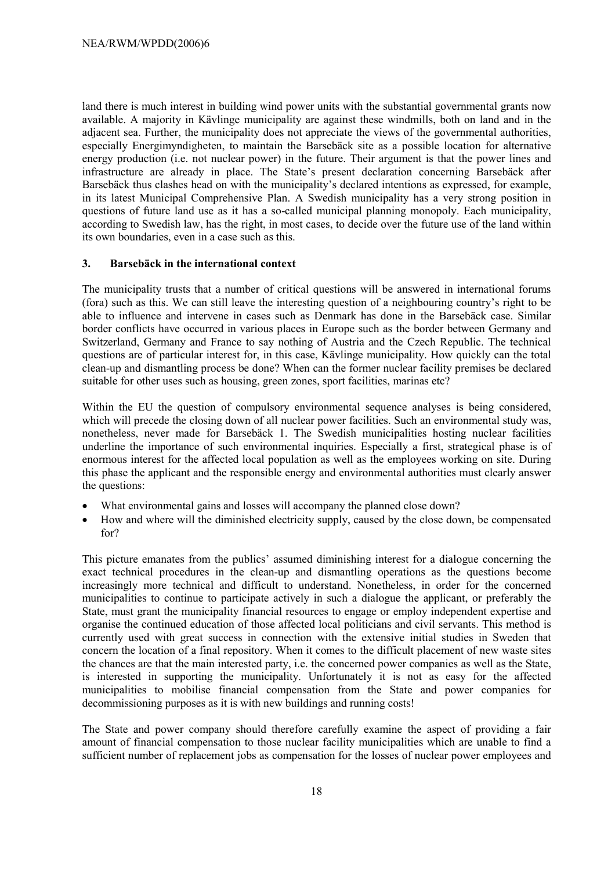land there is much interest in building wind power units with the substantial governmental grants now available. A majority in Käylinge municipality are against these windmills, both on land and in the adjacent sea. Further, the municipality does not appreciate the views of the governmental authorities, especially Energimyndigheten, to maintain the Barsebäck site as a possible location for alternative energy production (i.e. not nuclear power) in the future. Their argument is that the power lines and infrastructure are already in place. The State's present declaration concerning Barsebäck after Barsebäck thus clashes head on with the municipality's declared intentions as expressed, for example, in its latest Municipal Comprehensive Plan. A Swedish municipality has a very strong position in questions of future land use as it has a so-called municipal planning monopoly. Each municipality, according to Swedish law, has the right, in most cases, to decide over the future use of the land within its own boundaries, even in a case such as this.

## **3.** Barsebäck in the international context

The municipality trusts that a number of critical questions will be answered in international forums (fora) such as this. We can still leave the interesting question of a neighbouring country's right to be able to influence and intervene in cases such as Denmark has done in the Barsebäck case. Similar border conflicts have occurred in various places in Europe such as the border between Germany and Switzerland, Germany and France to say nothing of Austria and the Czech Republic. The technical questions are of particular interest for, in this case, Käylinge municipality. How quickly can the total clean-up and dismantling process be done? When can the former nuclear facility premises be declared suitable for other uses such as housing, green zones, sport facilities, marinas etc?

Within the EU the question of compulsory environmental sequence analyses is being considered, which will precede the closing down of all nuclear power facilities. Such an environmental study was, nonetheless, never made for Barsebäck 1. The Swedish municipalities hosting nuclear facilities underline the importance of such environmental inquiries. Especially a first, strategical phase is of enormous interest for the affected local population as well as the employees working on site. During this phase the applicant and the responsible energy and environmental authorities must clearly answer the questions:

- What environmental gains and losses will accompany the planned close down?
- How and where will the diminished electricity supply, caused by the close down, be compensated for?

This picture emanates from the publics' assumed diminishing interest for a dialogue concerning the exact technical procedures in the clean-up and dismantling operations as the questions become increasingly more technical and difficult to understand. Nonetheless, in order for the concerned municipalities to continue to participate actively in such a dialogue the applicant, or preferably the State, must grant the municipality financial resources to engage or employ independent expertise and organise the continued education of those affected local politicians and civil servants. This method is currently used with great success in connection with the extensive initial studies in Sweden that concern the location of a final repository. When it comes to the difficult placement of new waste sites the chances are that the main interested party, i.e. the concerned power companies as well as the State, is interested in supporting the municipality. Unfortunately it is not as easy for the affected municipalities to mobilise financial compensation from the State and power companies for decommissioning purposes as it is with new buildings and running costs!

The State and power company should therefore carefully examine the aspect of providing a fair amount of financial compensation to those nuclear facility municipalities which are unable to find a sufficient number of replacement jobs as compensation for the losses of nuclear power employees and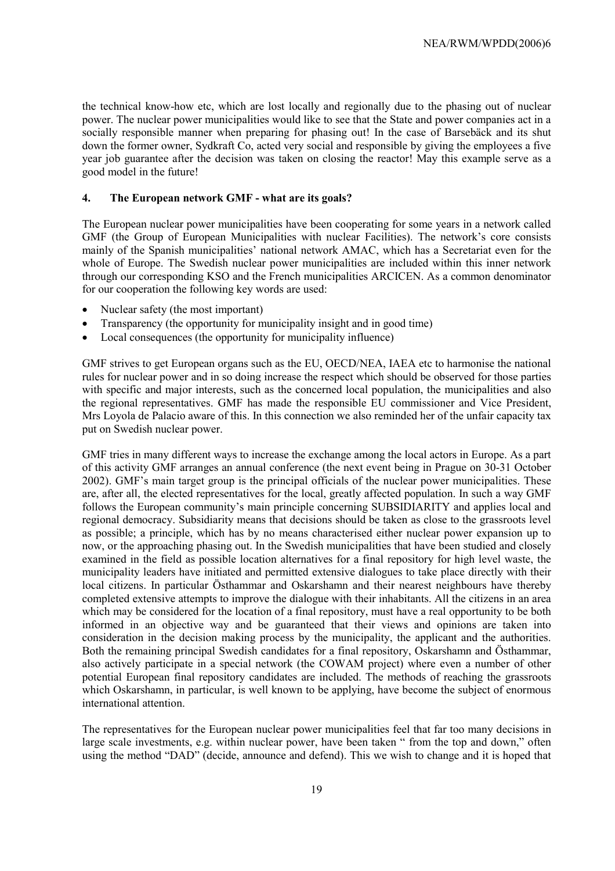the technical know-how etc, which are lost locally and regionally due to the phasing out of nuclear power. The nuclear power municipalities would like to see that the State and power companies act in a socially responsible manner when preparing for phasing out! In the case of Barsebäck and its shut down the former owner, Sydkraft Co, acted very social and responsible by giving the employees a five year job guarantee after the decision was taken on closing the reactor! May this example serve as a good model in the future!

#### **4. The European network GMF - what are its goals?**

The European nuclear power municipalities have been cooperating for some years in a network called GMF (the Group of European Municipalities with nuclear Facilities). The network's core consists mainly of the Spanish municipalities' national network AMAC, which has a Secretariat even for the whole of Europe. The Swedish nuclear power municipalities are included within this inner network through our corresponding KSO and the French municipalities ARCICEN. As a common denominator for our cooperation the following key words are used:

- Nuclear safety (the most important)
- Transparency (the opportunity for municipality insight and in good time)
- Local consequences (the opportunity for municipality influence)

GMF strives to get European organs such as the EU, OECD/NEA, IAEA etc to harmonise the national rules for nuclear power and in so doing increase the respect which should be observed for those parties with specific and major interests, such as the concerned local population, the municipalities and also the regional representatives. GMF has made the responsible EU commissioner and Vice President, Mrs Loyola de Palacio aware of this. In this connection we also reminded her of the unfair capacity tax put on Swedish nuclear power.

GMF tries in many different ways to increase the exchange among the local actors in Europe. As a part of this activity GMF arranges an annual conference (the next event being in Prague on 30-31 October 2002). GMF's main target group is the principal officials of the nuclear power municipalities. These are, after all, the elected representatives for the local, greatly affected population. In such a way GMF follows the European community's main principle concerning SUBSIDIARITY and applies local and regional democracy. Subsidiarity means that decisions should be taken as close to the grassroots level as possible; a principle, which has by no means characterised either nuclear power expansion up to now, or the approaching phasing out. In the Swedish municipalities that have been studied and closely examined in the field as possible location alternatives for a final repository for high level waste, the municipality leaders have initiated and permitted extensive dialogues to take place directly with their local citizens. In particular Östhammar and Oskarshamn and their nearest neighbours have thereby completed extensive attempts to improve the dialogue with their inhabitants. All the citizens in an area which may be considered for the location of a final repository, must have a real opportunity to be both informed in an objective way and be guaranteed that their views and opinions are taken into consideration in the decision making process by the municipality, the applicant and the authorities. Both the remaining principal Swedish candidates for a final repository, Oskarshamn and Östhammar, also actively participate in a special network (the COWAM project) where even a number of other potential European final repository candidates are included. The methods of reaching the grassroots which Oskarshamn, in particular, is well known to be applying, have become the subject of enormous international attention.

The representatives for the European nuclear power municipalities feel that far too many decisions in large scale investments, e.g. within nuclear power, have been taken " from the top and down," often using the method "DAD" (decide, announce and defend). This we wish to change and it is hoped that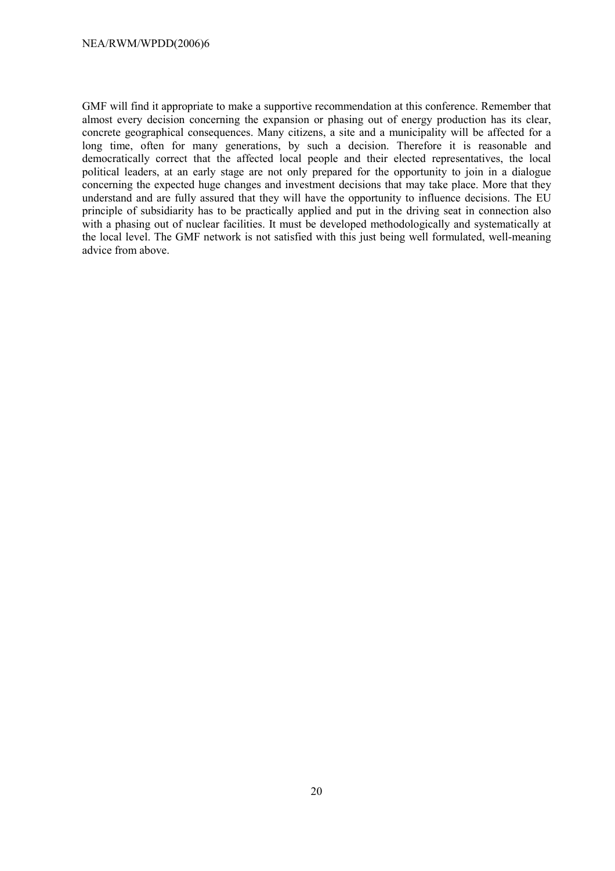GMF will find it appropriate to make a supportive recommendation at this conference. Remember that almost every decision concerning the expansion or phasing out of energy production has its clear, concrete geographical consequences. Many citizens, a site and a municipality will be affected for a long time, often for many generations, by such a decision. Therefore it is reasonable and democratically correct that the affected local people and their elected representatives, the local political leaders, at an early stage are not only prepared for the opportunity to join in a dialogue concerning the expected huge changes and investment decisions that may take place. More that they understand and are fully assured that they will have the opportunity to influence decisions. The EU principle of subsidiarity has to be practically applied and put in the driving seat in connection also with a phasing out of nuclear facilities. It must be developed methodologically and systematically at the local level. The GMF network is not satisfied with this just being well formulated, well-meaning advice from above.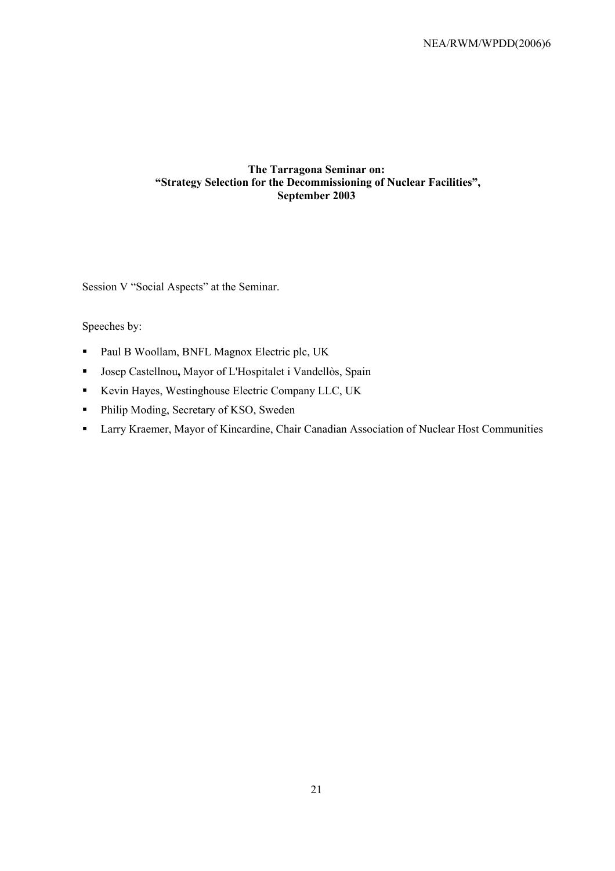## **The Tarragona Seminar on: "Strategy Selection for the Decommissioning of Nuclear Facilities", September 2003**

Session V "Social Aspects" at the Seminar.

# Speeches by:

- ! Paul B Woollam, BNFL Magnox Electric plc, UK
- <sup>■</sup> Josep Castellnou, Mayor of L'Hospitalet i Vandellòs, Spain
- ! Kevin Hayes, Westinghouse Electric Company LLC, UK
- ! Philip Moding, Secretary of KSO, Sweden
- ! Larry Kraemer, Mayor of Kincardine, Chair Canadian Association of Nuclear Host Communities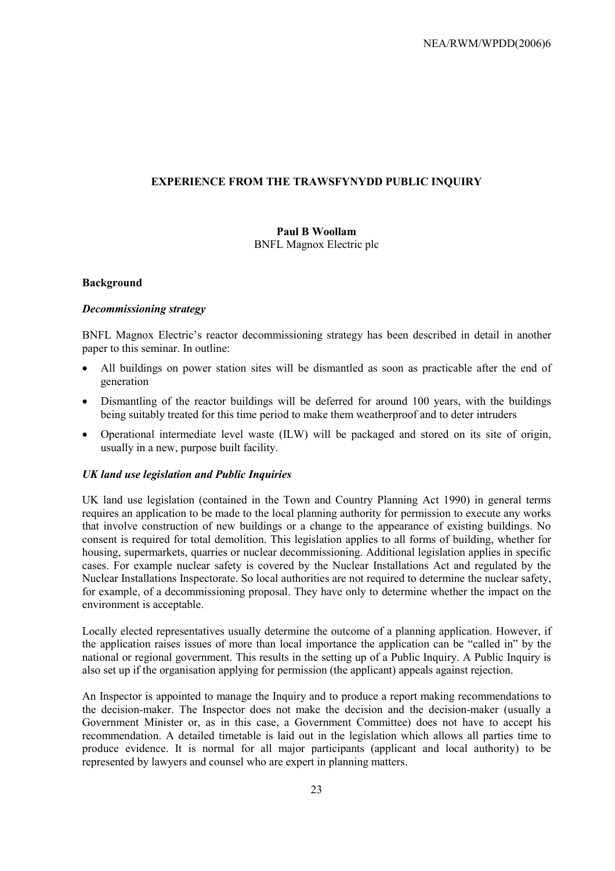# **EXPERIENCE FROM THE TRAWSFYNYDD PUBLIC INQUIRY**

### **Paul B Woollam**  BNFL Magnox Electric plc

#### **Background**

#### *Decommissioning strategy*

BNFL Magnox Electric's reactor decommissioning strategy has been described in detail in another paper to this seminar. In outline:

- All buildings on power station sites will be dismantled as soon as practicable after the end of generation
- Dismantling of the reactor buildings will be deferred for around 100 years, with the buildings being suitably treated for this time period to make them weatherproof and to deter intruders
- Operational intermediate level waste (ILW) will be packaged and stored on its site of origin, usually in a new, purpose built facility.

#### *UK land use legislation and Public Inquiries*

UK land use legislation (contained in the Town and Country Planning Act 1990) in general terms requires an application to be made to the local planning authority for permission to execute any works that involve construction of new buildings or a change to the appearance of existing buildings. No consent is required for total demolition. This legislation applies to all forms of building, whether for housing, supermarkets, quarries or nuclear decommissioning. Additional legislation applies in specific cases. For example nuclear safety is covered by the Nuclear Installations Act and regulated by the Nuclear Installations Inspectorate. So local authorities are not required to determine the nuclear safety, for example, of a decommissioning proposal. They have only to determine whether the impact on the environment is acceptable.

Locally elected representatives usually determine the outcome of a planning application. However, if the application raises issues of more than local importance the application can be "called in" by the national or regional government. This results in the setting up of a Public Inquiry. A Public Inquiry is also set up if the organisation applying for permission (the applicant) appeals against rejection.

An Inspector is appointed to manage the Inquiry and to produce a report making recommendations to the decision-maker. The Inspector does not make the decision and the decision-maker (usually a Government Minister or, as in this case, a Government Committee) does not have to accept his recommendation. A detailed timetable is laid out in the legislation which allows all parties time to produce evidence. It is normal for all major participants (applicant and local authority) to be represented by lawyers and counsel who are expert in planning matters.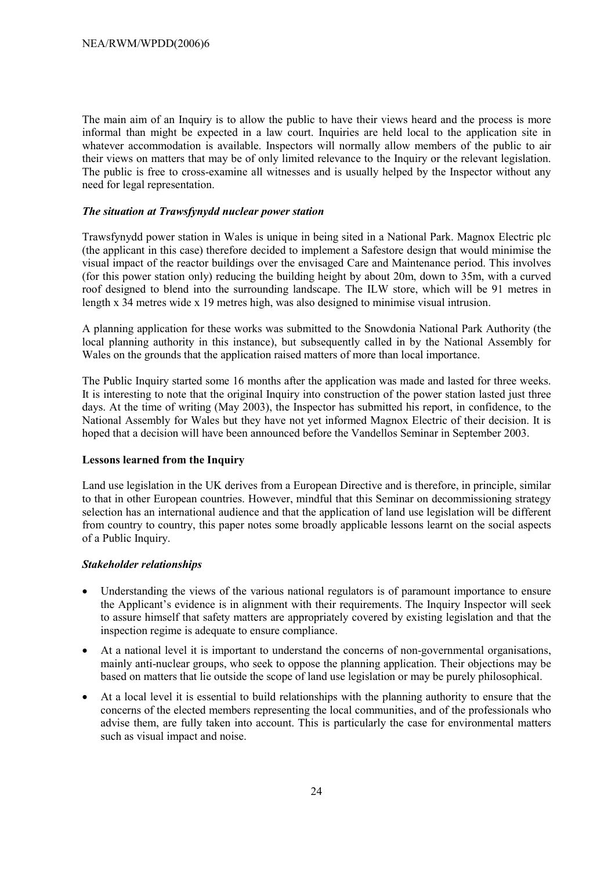The main aim of an Inquiry is to allow the public to have their views heard and the process is more informal than might be expected in a law court. Inquiries are held local to the application site in whatever accommodation is available. Inspectors will normally allow members of the public to air their views on matters that may be of only limited relevance to the Inquiry or the relevant legislation. The public is free to cross-examine all witnesses and is usually helped by the Inspector without any need for legal representation.

## *The situation at Trawsfynydd nuclear power station*

Trawsfynydd power station in Wales is unique in being sited in a National Park. Magnox Electric plc (the applicant in this case) therefore decided to implement a Safestore design that would minimise the visual impact of the reactor buildings over the envisaged Care and Maintenance period. This involves (for this power station only) reducing the building height by about 20m, down to 35m, with a curved roof designed to blend into the surrounding landscape. The ILW store, which will be 91 metres in length x 34 metres wide x 19 metres high, was also designed to minimise visual intrusion.

A planning application for these works was submitted to the Snowdonia National Park Authority (the local planning authority in this instance), but subsequently called in by the National Assembly for Wales on the grounds that the application raised matters of more than local importance.

The Public Inquiry started some 16 months after the application was made and lasted for three weeks. It is interesting to note that the original Inquiry into construction of the power station lasted just three days. At the time of writing (May 2003), the Inspector has submitted his report, in confidence, to the National Assembly for Wales but they have not yet informed Magnox Electric of their decision. It is hoped that a decision will have been announced before the Vandellos Seminar in September 2003.

#### **Lessons learned from the Inquiry**

Land use legislation in the UK derives from a European Directive and is therefore, in principle, similar to that in other European countries. However, mindful that this Seminar on decommissioning strategy selection has an international audience and that the application of land use legislation will be different from country to country, this paper notes some broadly applicable lessons learnt on the social aspects of a Public Inquiry.

#### *Stakeholder relationships*

- Understanding the views of the various national regulators is of paramount importance to ensure the Applicant's evidence is in alignment with their requirements. The Inquiry Inspector will seek to assure himself that safety matters are appropriately covered by existing legislation and that the inspection regime is adequate to ensure compliance.
- At a national level it is important to understand the concerns of non-governmental organisations, mainly anti-nuclear groups, who seek to oppose the planning application. Their objections may be based on matters that lie outside the scope of land use legislation or may be purely philosophical.
- At a local level it is essential to build relationships with the planning authority to ensure that the concerns of the elected members representing the local communities, and of the professionals who advise them, are fully taken into account. This is particularly the case for environmental matters such as visual impact and noise.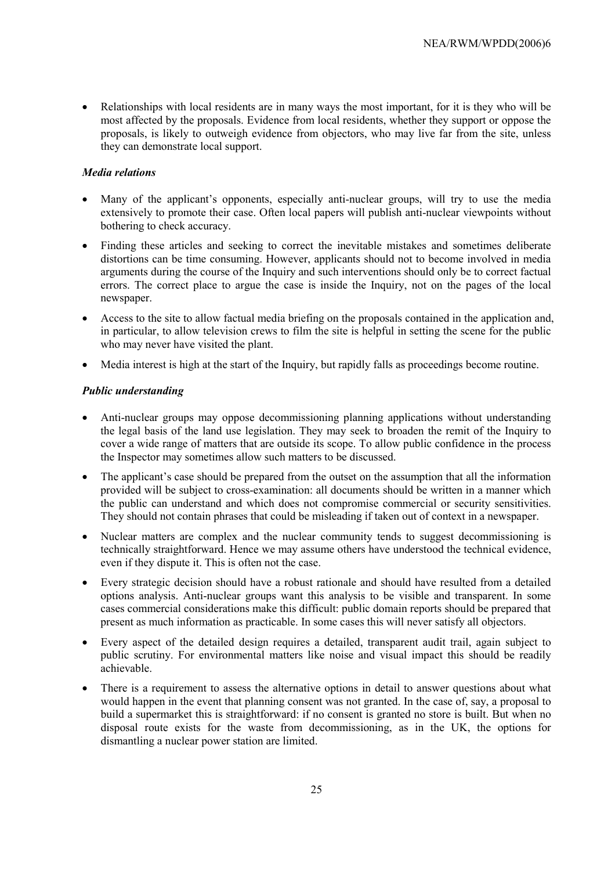• Relationships with local residents are in many ways the most important, for it is they who will be most affected by the proposals. Evidence from local residents, whether they support or oppose the proposals, is likely to outweigh evidence from objectors, who may live far from the site, unless they can demonstrate local support.

#### *Media relations*

- Many of the applicant's opponents, especially anti-nuclear groups, will try to use the media extensively to promote their case. Often local papers will publish anti-nuclear viewpoints without bothering to check accuracy.
- Finding these articles and seeking to correct the inevitable mistakes and sometimes deliberate distortions can be time consuming. However, applicants should not to become involved in media arguments during the course of the Inquiry and such interventions should only be to correct factual errors. The correct place to argue the case is inside the Inquiry, not on the pages of the local newspaper.
- Access to the site to allow factual media briefing on the proposals contained in the application and, in particular, to allow television crews to film the site is helpful in setting the scene for the public who may never have visited the plant.
- Media interest is high at the start of the Inquiry, but rapidly falls as proceedings become routine.

#### *Public understanding*

- Anti-nuclear groups may oppose decommissioning planning applications without understanding the legal basis of the land use legislation. They may seek to broaden the remit of the Inquiry to cover a wide range of matters that are outside its scope. To allow public confidence in the process the Inspector may sometimes allow such matters to be discussed.
- The applicant's case should be prepared from the outset on the assumption that all the information provided will be subject to cross-examination: all documents should be written in a manner which the public can understand and which does not compromise commercial or security sensitivities. They should not contain phrases that could be misleading if taken out of context in a newspaper.
- Nuclear matters are complex and the nuclear community tends to suggest decommissioning is technically straightforward. Hence we may assume others have understood the technical evidence, even if they dispute it. This is often not the case.
- Every strategic decision should have a robust rationale and should have resulted from a detailed options analysis. Anti-nuclear groups want this analysis to be visible and transparent. In some cases commercial considerations make this difficult: public domain reports should be prepared that present as much information as practicable. In some cases this will never satisfy all objectors.
- Every aspect of the detailed design requires a detailed, transparent audit trail, again subject to public scrutiny. For environmental matters like noise and visual impact this should be readily achievable.
- There is a requirement to assess the alternative options in detail to answer questions about what would happen in the event that planning consent was not granted. In the case of, say, a proposal to build a supermarket this is straightforward: if no consent is granted no store is built. But when no disposal route exists for the waste from decommissioning, as in the UK, the options for dismantling a nuclear power station are limited.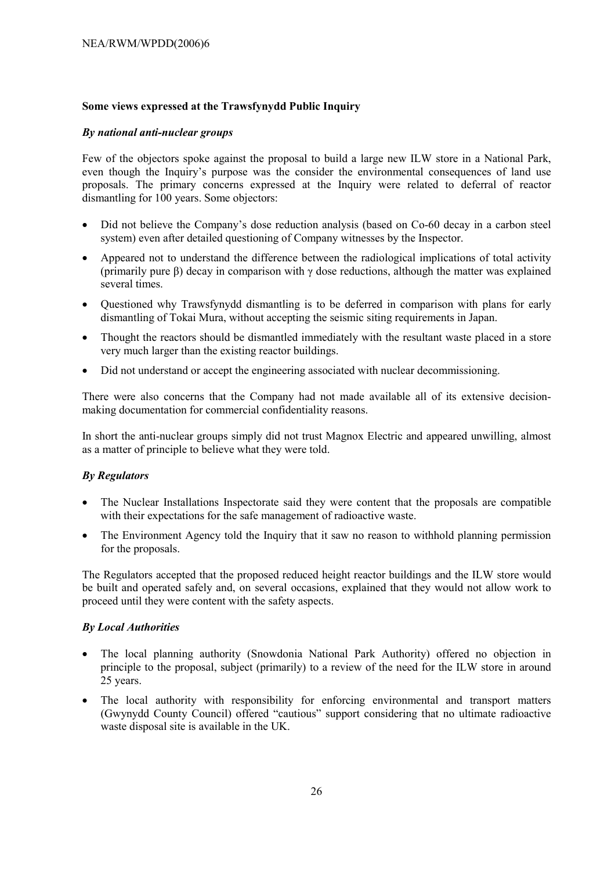## **Some views expressed at the Trawsfynydd Public Inquiry**

#### *By national anti-nuclear groups*

Few of the objectors spoke against the proposal to build a large new ILW store in a National Park, even though the Inquiryís purpose was the consider the environmental consequences of land use proposals. The primary concerns expressed at the Inquiry were related to deferral of reactor dismantling for 100 years. Some objectors:

- Did not believe the Company's dose reduction analysis (based on Co-60 decay in a carbon steel system) even after detailed questioning of Company witnesses by the Inspector.
- Appeared not to understand the difference between the radiological implications of total activity (primarily pure β) decay in comparison with  $\gamma$  dose reductions, although the matter was explained several times.
- Questioned why Trawsfynydd dismantling is to be deferred in comparison with plans for early dismantling of Tokai Mura, without accepting the seismic siting requirements in Japan.
- Thought the reactors should be dismantled immediately with the resultant waste placed in a store very much larger than the existing reactor buildings.
- Did not understand or accept the engineering associated with nuclear decommissioning.

There were also concerns that the Company had not made available all of its extensive decisionmaking documentation for commercial confidentiality reasons.

In short the anti-nuclear groups simply did not trust Magnox Electric and appeared unwilling, almost as a matter of principle to believe what they were told.

#### *By Regulators*

- The Nuclear Installations Inspectorate said they were content that the proposals are compatible with their expectations for the safe management of radioactive waste.
- The Environment Agency told the Inquiry that it saw no reason to withhold planning permission for the proposals.

The Regulators accepted that the proposed reduced height reactor buildings and the ILW store would be built and operated safely and, on several occasions, explained that they would not allow work to proceed until they were content with the safety aspects.

### *By Local Authorities*

- The local planning authority (Snowdonia National Park Authority) offered no objection in principle to the proposal, subject (primarily) to a review of the need for the ILW store in around 25 years.
- The local authority with responsibility for enforcing environmental and transport matters (Gwynydd County Council) offered "cautious" support considering that no ultimate radioactive waste disposal site is available in the UK.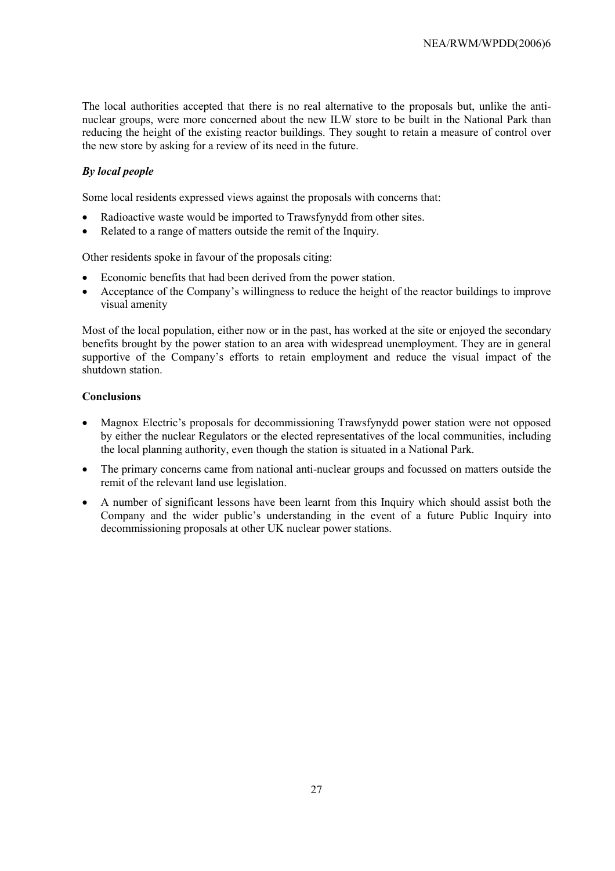The local authorities accepted that there is no real alternative to the proposals but, unlike the antinuclear groups, were more concerned about the new ILW store to be built in the National Park than reducing the height of the existing reactor buildings. They sought to retain a measure of control over the new store by asking for a review of its need in the future.

# *By local people*

Some local residents expressed views against the proposals with concerns that:

- Radioactive waste would be imported to Trawsfynydd from other sites.
- Related to a range of matters outside the remit of the Inquiry.

Other residents spoke in favour of the proposals citing:

- Economic benefits that had been derived from the power station.
- Acceptance of the Companyís willingness to reduce the height of the reactor buildings to improve visual amenity

Most of the local population, either now or in the past, has worked at the site or enjoyed the secondary benefits brought by the power station to an area with widespread unemployment. They are in general supportive of the Company's efforts to retain employment and reduce the visual impact of the shutdown station.

#### **Conclusions**

- Magnox Electric's proposals for decommissioning Trawsfynydd power station were not opposed by either the nuclear Regulators or the elected representatives of the local communities, including the local planning authority, even though the station is situated in a National Park.
- The primary concerns came from national anti-nuclear groups and focussed on matters outside the remit of the relevant land use legislation.
- A number of significant lessons have been learnt from this Inquiry which should assist both the Company and the wider public's understanding in the event of a future Public Inquiry into decommissioning proposals at other UK nuclear power stations.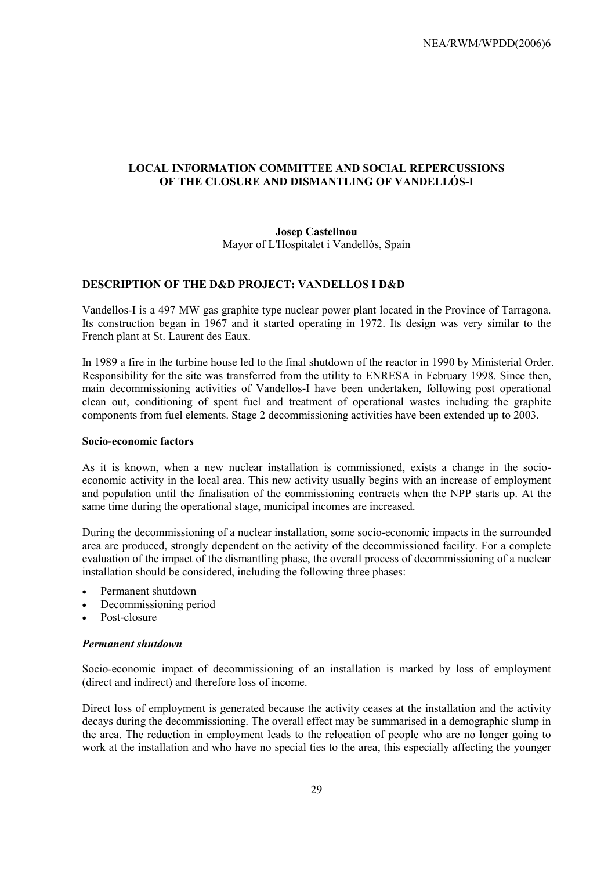## **LOCAL INFORMATION COMMITTEE AND SOCIAL REPERCUSSIONS OF THE CLOSURE AND DISMANTLING OF VANDELLÓS-I**

# **Josep Castellnou**

Mayor of L'Hospitalet i Vandellòs, Spain

## **DESCRIPTION OF THE D&D PROJECT: VANDELLOS I D&D**

Vandellos-I is a 497 MW gas graphite type nuclear power plant located in the Province of Tarragona. Its construction began in 1967 and it started operating in 1972. Its design was very similar to the French plant at St. Laurent des Eaux.

In 1989 a fire in the turbine house led to the final shutdown of the reactor in 1990 by Ministerial Order. Responsibility for the site was transferred from the utility to ENRESA in February 1998. Since then, main decommissioning activities of Vandellos-I have been undertaken, following post operational clean out, conditioning of spent fuel and treatment of operational wastes including the graphite components from fuel elements. Stage 2 decommissioning activities have been extended up to 2003.

#### **Socio-economic factors**

As it is known, when a new nuclear installation is commissioned, exists a change in the socioeconomic activity in the local area. This new activity usually begins with an increase of employment and population until the finalisation of the commissioning contracts when the NPP starts up. At the same time during the operational stage, municipal incomes are increased.

During the decommissioning of a nuclear installation, some socio-economic impacts in the surrounded area are produced, strongly dependent on the activity of the decommissioned facility. For a complete evaluation of the impact of the dismantling phase, the overall process of decommissioning of a nuclear installation should be considered, including the following three phases:

- Permanent shutdown
- Decommissioning period
- Post-closure

#### *Permanent shutdown*

Socio-economic impact of decommissioning of an installation is marked by loss of employment (direct and indirect) and therefore loss of income.

Direct loss of employment is generated because the activity ceases at the installation and the activity decays during the decommissioning. The overall effect may be summarised in a demographic slump in the area. The reduction in employment leads to the relocation of people who are no longer going to work at the installation and who have no special ties to the area, this especially affecting the younger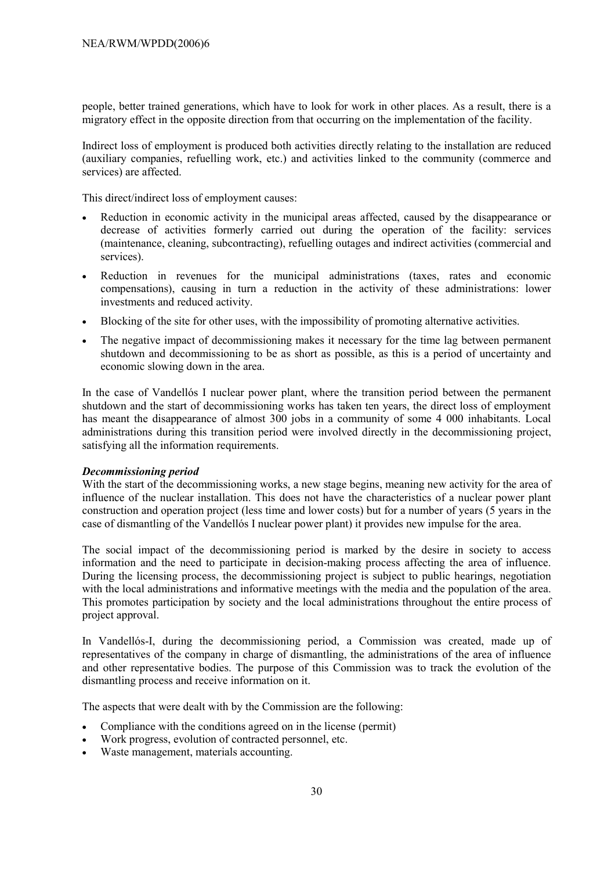people, better trained generations, which have to look for work in other places. As a result, there is a migratory effect in the opposite direction from that occurring on the implementation of the facility.

Indirect loss of employment is produced both activities directly relating to the installation are reduced (auxiliary companies, refuelling work, etc.) and activities linked to the community (commerce and services) are affected.

This direct/indirect loss of employment causes:

- Reduction in economic activity in the municipal areas affected, caused by the disappearance or decrease of activities formerly carried out during the operation of the facility: services (maintenance, cleaning, subcontracting), refuelling outages and indirect activities (commercial and services).
- Reduction in revenues for the municipal administrations (taxes, rates and economic compensations), causing in turn a reduction in the activity of these administrations: lower investments and reduced activity.
- Blocking of the site for other uses, with the impossibility of promoting alternative activities.
- The negative impact of decommissioning makes it necessary for the time lag between permanent shutdown and decommissioning to be as short as possible, as this is a period of uncertainty and economic slowing down in the area.

In the case of Vandellós I nuclear power plant, where the transition period between the permanent shutdown and the start of decommissioning works has taken ten years, the direct loss of employment has meant the disappearance of almost 300 jobs in a community of some 4 000 inhabitants. Local administrations during this transition period were involved directly in the decommissioning project, satisfying all the information requirements.

#### *Decommissioning period*

With the start of the decommissioning works, a new stage begins, meaning new activity for the area of influence of the nuclear installation. This does not have the characteristics of a nuclear power plant construction and operation project (less time and lower costs) but for a number of years (5 years in the case of dismantling of the Vandellós I nuclear power plant) it provides new impulse for the area.

The social impact of the decommissioning period is marked by the desire in society to access information and the need to participate in decision-making process affecting the area of influence. During the licensing process, the decommissioning project is subject to public hearings, negotiation with the local administrations and informative meetings with the media and the population of the area. This promotes participation by society and the local administrations throughout the entire process of project approval.

In Vandellós-I, during the decommissioning period, a Commission was created, made up of representatives of the company in charge of dismantling, the administrations of the area of influence and other representative bodies. The purpose of this Commission was to track the evolution of the dismantling process and receive information on it.

The aspects that were dealt with by the Commission are the following:

- Compliance with the conditions agreed on in the license (permit)
- Work progress, evolution of contracted personnel, etc.
- Waste management, materials accounting.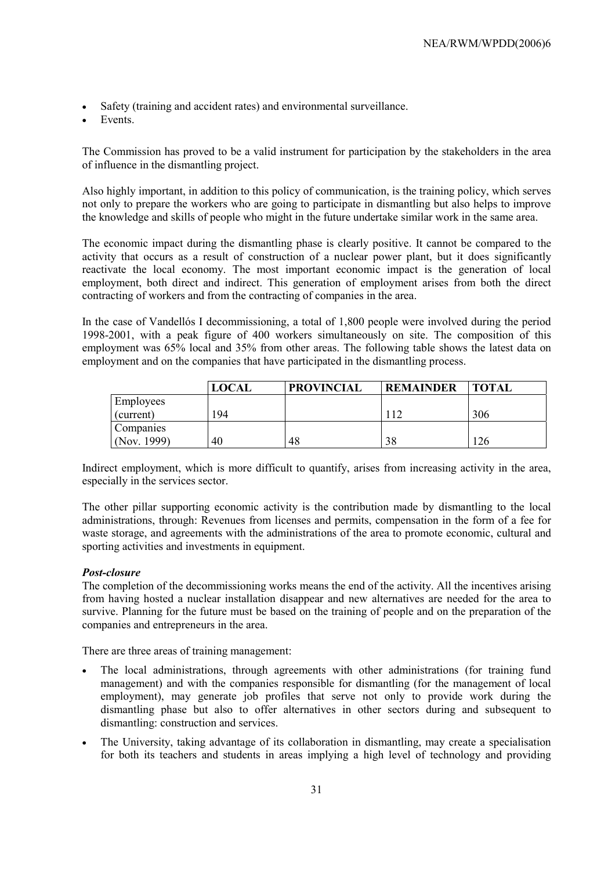- Safety (training and accident rates) and environmental surveillance.
- Events.

The Commission has proved to be a valid instrument for participation by the stakeholders in the area of influence in the dismantling project.

Also highly important, in addition to this policy of communication, is the training policy, which serves not only to prepare the workers who are going to participate in dismantling but also helps to improve the knowledge and skills of people who might in the future undertake similar work in the same area.

The economic impact during the dismantling phase is clearly positive. It cannot be compared to the activity that occurs as a result of construction of a nuclear power plant, but it does significantly reactivate the local economy. The most important economic impact is the generation of local employment, both direct and indirect. This generation of employment arises from both the direct contracting of workers and from the contracting of companies in the area.

In the case of Vandellós I decommissioning, a total of 1,800 people were involved during the period 1998-2001, with a peak figure of 400 workers simultaneously on site. The composition of this employment was 65% local and 35% from other areas. The following table shows the latest data on employment and on the companies that have participated in the dismantling process.

|             | <b>LOCAL</b> | <b>PROVINCIAL</b> | <b>REMAINDER</b> | <b>TOTAL</b> |
|-------------|--------------|-------------------|------------------|--------------|
| Employees   |              |                   |                  |              |
| (current)   | 194          |                   | 12               | 306          |
| Companies   |              |                   |                  |              |
| (Nov. 1999) | 40           | 48                | 38               | 26           |

Indirect employment, which is more difficult to quantify, arises from increasing activity in the area, especially in the services sector.

The other pillar supporting economic activity is the contribution made by dismantling to the local administrations, through: Revenues from licenses and permits, compensation in the form of a fee for waste storage, and agreements with the administrations of the area to promote economic, cultural and sporting activities and investments in equipment.

#### *Post-closure*

The completion of the decommissioning works means the end of the activity. All the incentives arising from having hosted a nuclear installation disappear and new alternatives are needed for the area to survive. Planning for the future must be based on the training of people and on the preparation of the companies and entrepreneurs in the area.

There are three areas of training management:

- The local administrations, through agreements with other administrations (for training fund management) and with the companies responsible for dismantling (for the management of local employment), may generate job profiles that serve not only to provide work during the dismantling phase but also to offer alternatives in other sectors during and subsequent to dismantling: construction and services.
- The University, taking advantage of its collaboration in dismantling, may create a specialisation for both its teachers and students in areas implying a high level of technology and providing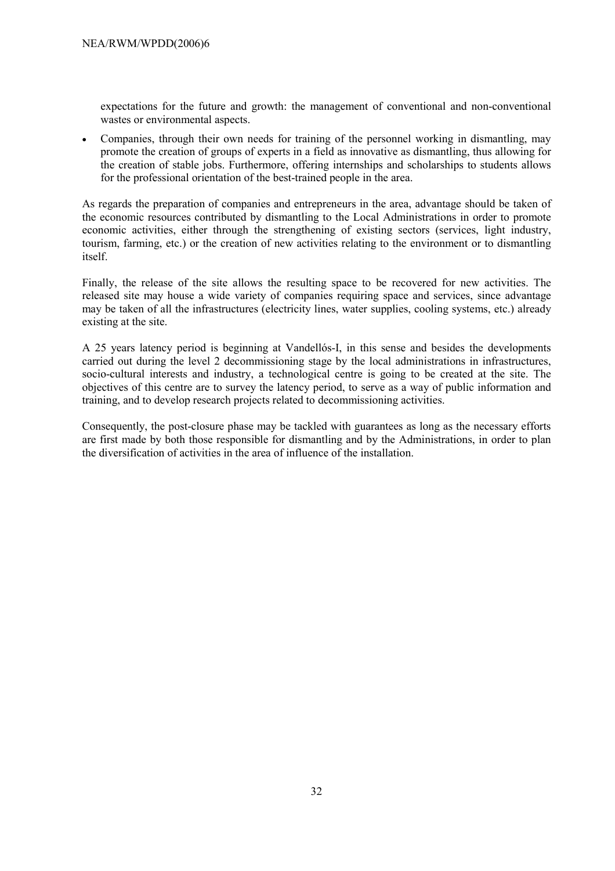expectations for the future and growth: the management of conventional and non-conventional wastes or environmental aspects.

• Companies, through their own needs for training of the personnel working in dismantling, may promote the creation of groups of experts in a field as innovative as dismantling, thus allowing for the creation of stable jobs. Furthermore, offering internships and scholarships to students allows for the professional orientation of the best-trained people in the area.

As regards the preparation of companies and entrepreneurs in the area, advantage should be taken of the economic resources contributed by dismantling to the Local Administrations in order to promote economic activities, either through the strengthening of existing sectors (services, light industry, tourism, farming, etc.) or the creation of new activities relating to the environment or to dismantling itself.

Finally, the release of the site allows the resulting space to be recovered for new activities. The released site may house a wide variety of companies requiring space and services, since advantage may be taken of all the infrastructures (electricity lines, water supplies, cooling systems, etc.) already existing at the site.

A 25 years latency period is beginning at Vandellós-I, in this sense and besides the developments carried out during the level 2 decommissioning stage by the local administrations in infrastructures, socio-cultural interests and industry, a technological centre is going to be created at the site. The objectives of this centre are to survey the latency period, to serve as a way of public information and training, and to develop research projects related to decommissioning activities.

Consequently, the post-closure phase may be tackled with guarantees as long as the necessary efforts are first made by both those responsible for dismantling and by the Administrations, in order to plan the diversification of activities in the area of influence of the installation.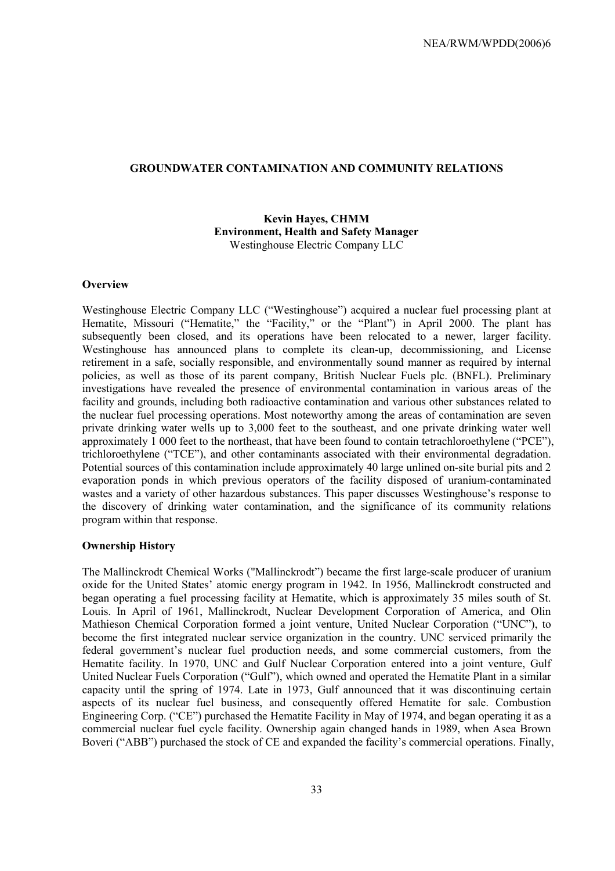### **GROUNDWATER CONTAMINATION AND COMMUNITY RELATIONS**

## **Kevin Hayes, CHMM Environment, Health and Safety Manager**  Westinghouse Electric Company LLC

#### **Overview**

Westinghouse Electric Company LLC ("Westinghouse") acquired a nuclear fuel processing plant at Hematite, Missouri ("Hematite," the "Facility," or the "Plant") in April 2000. The plant has subsequently been closed, and its operations have been relocated to a newer, larger facility. Westinghouse has announced plans to complete its clean-up, decommissioning, and License retirement in a safe, socially responsible, and environmentally sound manner as required by internal policies, as well as those of its parent company, British Nuclear Fuels plc. (BNFL). Preliminary investigations have revealed the presence of environmental contamination in various areas of the facility and grounds, including both radioactive contamination and various other substances related to the nuclear fuel processing operations. Most noteworthy among the areas of contamination are seven private drinking water wells up to 3,000 feet to the southeast, and one private drinking water well approximately 1 000 feet to the northeast, that have been found to contain tetrachloroethylene ( $PCE$ ), trichloroethylene ("TCE"), and other contaminants associated with their environmental degradation. Potential sources of this contamination include approximately 40 large unlined on-site burial pits and 2 evaporation ponds in which previous operators of the facility disposed of uranium-contaminated wastes and a variety of other hazardous substances. This paper discusses Westinghouse's response to the discovery of drinking water contamination, and the significance of its community relations program within that response.

#### **Ownership History**

The Mallinckrodt Chemical Works ("Mallinckrodt") became the first large-scale producer of uranium oxide for the United States' atomic energy program in 1942. In 1956, Mallinckrodt constructed and began operating a fuel processing facility at Hematite, which is approximately 35 miles south of St. Louis. In April of 1961, Mallinckrodt, Nuclear Development Corporation of America, and Olin Mathieson Chemical Corporation formed a joint venture, United Nuclear Corporation ("UNC"), to become the first integrated nuclear service organization in the country. UNC serviced primarily the federal government's nuclear fuel production needs, and some commercial customers, from the Hematite facility. In 1970, UNC and Gulf Nuclear Corporation entered into a joint venture, Gulf United Nuclear Fuels Corporation ("Gulf"), which owned and operated the Hematite Plant in a similar capacity until the spring of 1974. Late in 1973, Gulf announced that it was discontinuing certain aspects of its nuclear fuel business, and consequently offered Hematite for sale. Combustion Engineering Corp. ("CE") purchased the Hematite Facility in May of 1974, and began operating it as a commercial nuclear fuel cycle facility. Ownership again changed hands in 1989, when Asea Brown Boveri ("ABB") purchased the stock of CE and expanded the facility's commercial operations. Finally,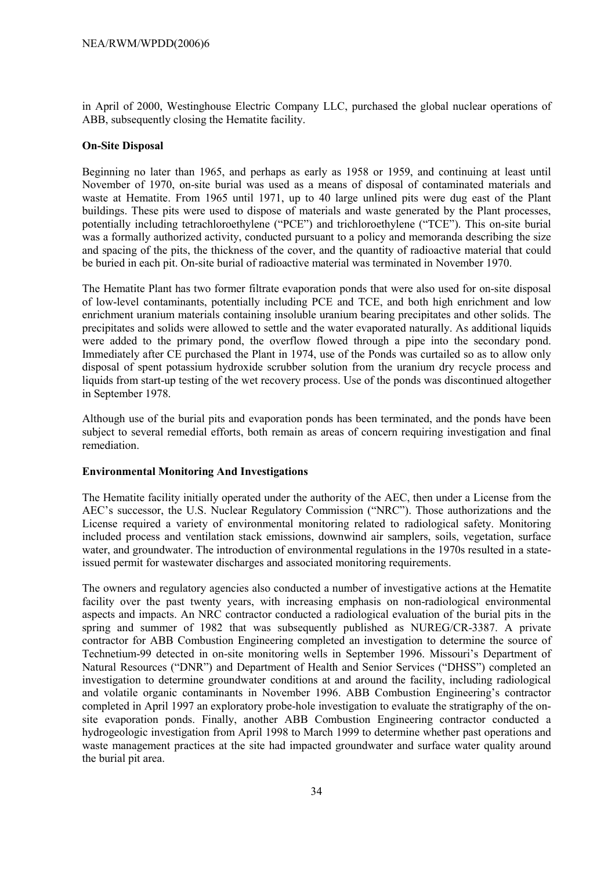in April of 2000, Westinghouse Electric Company LLC, purchased the global nuclear operations of ABB, subsequently closing the Hematite facility.

## **On-Site Disposal**

Beginning no later than 1965, and perhaps as early as 1958 or 1959, and continuing at least until November of 1970, on-site burial was used as a means of disposal of contaminated materials and waste at Hematite. From 1965 until 1971, up to 40 large unlined pits were dug east of the Plant buildings. These pits were used to dispose of materials and waste generated by the Plant processes, potentially including tetrachloroethylene ("PCE") and trichloroethylene ("TCE"). This on-site burial was a formally authorized activity, conducted pursuant to a policy and memoranda describing the size and spacing of the pits, the thickness of the cover, and the quantity of radioactive material that could be buried in each pit. On-site burial of radioactive material was terminated in November 1970.

The Hematite Plant has two former filtrate evaporation ponds that were also used for on-site disposal of low-level contaminants, potentially including PCE and TCE, and both high enrichment and low enrichment uranium materials containing insoluble uranium bearing precipitates and other solids. The precipitates and solids were allowed to settle and the water evaporated naturally. As additional liquids were added to the primary pond, the overflow flowed through a pipe into the secondary pond. Immediately after CE purchased the Plant in 1974, use of the Ponds was curtailed so as to allow only disposal of spent potassium hydroxide scrubber solution from the uranium dry recycle process and liquids from start-up testing of the wet recovery process. Use of the ponds was discontinued altogether in September 1978.

Although use of the burial pits and evaporation ponds has been terminated, and the ponds have been subject to several remedial efforts, both remain as areas of concern requiring investigation and final remediation.

# **Environmental Monitoring And Investigations**

The Hematite facility initially operated under the authority of the AEC, then under a License from the AEC's successor, the U.S. Nuclear Regulatory Commission ("NRC"). Those authorizations and the License required a variety of environmental monitoring related to radiological safety. Monitoring included process and ventilation stack emissions, downwind air samplers, soils, vegetation, surface water, and groundwater. The introduction of environmental regulations in the 1970s resulted in a stateissued permit for wastewater discharges and associated monitoring requirements.

The owners and regulatory agencies also conducted a number of investigative actions at the Hematite facility over the past twenty years, with increasing emphasis on non-radiological environmental aspects and impacts. An NRC contractor conducted a radiological evaluation of the burial pits in the spring and summer of 1982 that was subsequently published as NUREG/CR-3387. A private contractor for ABB Combustion Engineering completed an investigation to determine the source of Technetium-99 detected in on-site monitoring wells in September 1996. Missouri's Department of Natural Resources ("DNR") and Department of Health and Senior Services ("DHSS") completed an investigation to determine groundwater conditions at and around the facility, including radiological and volatile organic contaminants in November 1996. ABB Combustion Engineering's contractor completed in April 1997 an exploratory probe-hole investigation to evaluate the stratigraphy of the onsite evaporation ponds. Finally, another ABB Combustion Engineering contractor conducted a hydrogeologic investigation from April 1998 to March 1999 to determine whether past operations and waste management practices at the site had impacted groundwater and surface water quality around the burial pit area.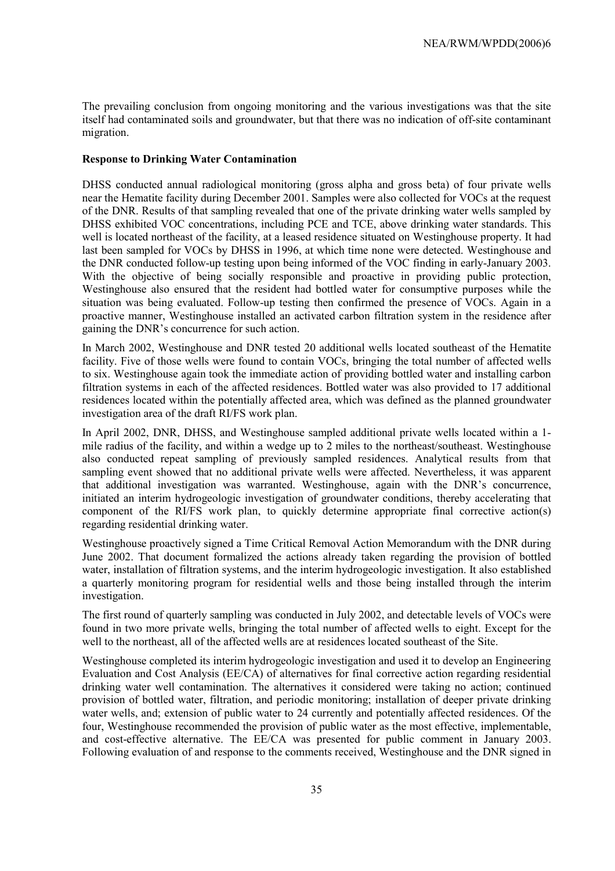The prevailing conclusion from ongoing monitoring and the various investigations was that the site itself had contaminated soils and groundwater, but that there was no indication of off-site contaminant migration.

#### **Response to Drinking Water Contamination**

DHSS conducted annual radiological monitoring (gross alpha and gross beta) of four private wells near the Hematite facility during December 2001. Samples were also collected for VOCs at the request of the DNR. Results of that sampling revealed that one of the private drinking water wells sampled by DHSS exhibited VOC concentrations, including PCE and TCE, above drinking water standards. This well is located northeast of the facility, at a leased residence situated on Westinghouse property. It had last been sampled for VOCs by DHSS in 1996, at which time none were detected. Westinghouse and the DNR conducted follow-up testing upon being informed of the VOC finding in early-January 2003. With the objective of being socially responsible and proactive in providing public protection, Westinghouse also ensured that the resident had bottled water for consumptive purposes while the situation was being evaluated. Follow-up testing then confirmed the presence of VOCs. Again in a proactive manner, Westinghouse installed an activated carbon filtration system in the residence after gaining the DNR's concurrence for such action.

In March 2002, Westinghouse and DNR tested 20 additional wells located southeast of the Hematite facility. Five of those wells were found to contain VOCs, bringing the total number of affected wells to six. Westinghouse again took the immediate action of providing bottled water and installing carbon filtration systems in each of the affected residences. Bottled water was also provided to 17 additional residences located within the potentially affected area, which was defined as the planned groundwater investigation area of the draft RI/FS work plan.

In April 2002, DNR, DHSS, and Westinghouse sampled additional private wells located within a 1 mile radius of the facility, and within a wedge up to 2 miles to the northeast/southeast. Westinghouse also conducted repeat sampling of previously sampled residences. Analytical results from that sampling event showed that no additional private wells were affected. Nevertheless, it was apparent that additional investigation was warranted. Westinghouse, again with the DNR's concurrence, initiated an interim hydrogeologic investigation of groundwater conditions, thereby accelerating that component of the RI/FS work plan, to quickly determine appropriate final corrective action(s) regarding residential drinking water.

Westinghouse proactively signed a Time Critical Removal Action Memorandum with the DNR during June 2002. That document formalized the actions already taken regarding the provision of bottled water, installation of filtration systems, and the interim hydrogeologic investigation. It also established a quarterly monitoring program for residential wells and those being installed through the interim investigation.

The first round of quarterly sampling was conducted in July 2002, and detectable levels of VOCs were found in two more private wells, bringing the total number of affected wells to eight. Except for the well to the northeast, all of the affected wells are at residences located southeast of the Site.

Westinghouse completed its interim hydrogeologic investigation and used it to develop an Engineering Evaluation and Cost Analysis (EE/CA) of alternatives for final corrective action regarding residential drinking water well contamination. The alternatives it considered were taking no action; continued provision of bottled water, filtration, and periodic monitoring; installation of deeper private drinking water wells, and; extension of public water to 24 currently and potentially affected residences. Of the four, Westinghouse recommended the provision of public water as the most effective, implementable, and cost-effective alternative. The EE/CA was presented for public comment in January 2003. Following evaluation of and response to the comments received, Westinghouse and the DNR signed in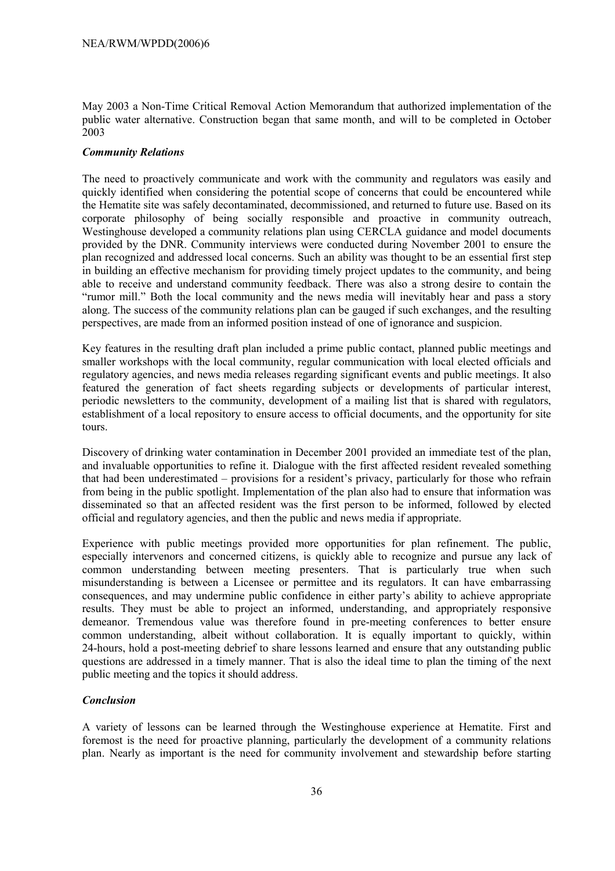May 2003 a Non-Time Critical Removal Action Memorandum that authorized implementation of the public water alternative. Construction began that same month, and will to be completed in October 2003

#### *Community Relations*

The need to proactively communicate and work with the community and regulators was easily and quickly identified when considering the potential scope of concerns that could be encountered while the Hematite site was safely decontaminated, decommissioned, and returned to future use. Based on its corporate philosophy of being socially responsible and proactive in community outreach, Westinghouse developed a community relations plan using CERCLA guidance and model documents provided by the DNR. Community interviews were conducted during November 2001 to ensure the plan recognized and addressed local concerns. Such an ability was thought to be an essential first step in building an effective mechanism for providing timely project updates to the community, and being able to receive and understand community feedback. There was also a strong desire to contain the ìrumor mill.î Both the local community and the news media will inevitably hear and pass a story along. The success of the community relations plan can be gauged if such exchanges, and the resulting perspectives, are made from an informed position instead of one of ignorance and suspicion.

Key features in the resulting draft plan included a prime public contact, planned public meetings and smaller workshops with the local community, regular communication with local elected officials and regulatory agencies, and news media releases regarding significant events and public meetings. It also featured the generation of fact sheets regarding subjects or developments of particular interest, periodic newsletters to the community, development of a mailing list that is shared with regulators, establishment of a local repository to ensure access to official documents, and the opportunity for site tours.

Discovery of drinking water contamination in December 2001 provided an immediate test of the plan, and invaluable opportunities to refine it. Dialogue with the first affected resident revealed something that had been underestimated  $-$  provisions for a resident's privacy, particularly for those who refrain from being in the public spotlight. Implementation of the plan also had to ensure that information was disseminated so that an affected resident was the first person to be informed, followed by elected official and regulatory agencies, and then the public and news media if appropriate.

Experience with public meetings provided more opportunities for plan refinement. The public, especially intervenors and concerned citizens, is quickly able to recognize and pursue any lack of common understanding between meeting presenters. That is particularly true when such misunderstanding is between a Licensee or permittee and its regulators. It can have embarrassing consequences, and may undermine public confidence in either party's ability to achieve appropriate results. They must be able to project an informed, understanding, and appropriately responsive demeanor. Tremendous value was therefore found in pre-meeting conferences to better ensure common understanding, albeit without collaboration. It is equally important to quickly, within 24-hours, hold a post-meeting debrief to share lessons learned and ensure that any outstanding public questions are addressed in a timely manner. That is also the ideal time to plan the timing of the next public meeting and the topics it should address.

#### *Conclusion*

A variety of lessons can be learned through the Westinghouse experience at Hematite. First and foremost is the need for proactive planning, particularly the development of a community relations plan. Nearly as important is the need for community involvement and stewardship before starting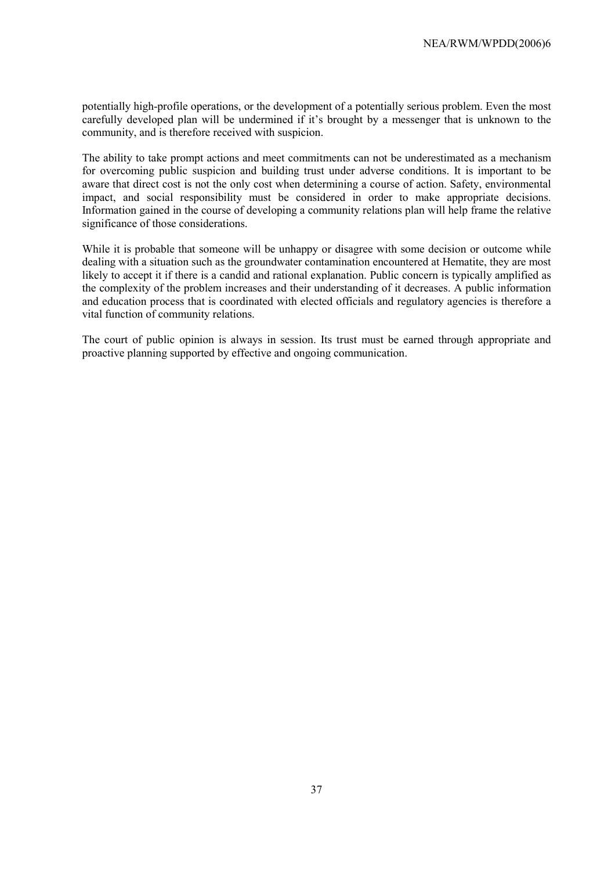potentially high-profile operations, or the development of a potentially serious problem. Even the most carefully developed plan will be undermined if itís brought by a messenger that is unknown to the community, and is therefore received with suspicion.

The ability to take prompt actions and meet commitments can not be underestimated as a mechanism for overcoming public suspicion and building trust under adverse conditions. It is important to be aware that direct cost is not the only cost when determining a course of action. Safety, environmental impact, and social responsibility must be considered in order to make appropriate decisions. Information gained in the course of developing a community relations plan will help frame the relative significance of those considerations.

While it is probable that someone will be unhappy or disagree with some decision or outcome while dealing with a situation such as the groundwater contamination encountered at Hematite, they are most likely to accept it if there is a candid and rational explanation. Public concern is typically amplified as the complexity of the problem increases and their understanding of it decreases. A public information and education process that is coordinated with elected officials and regulatory agencies is therefore a vital function of community relations.

The court of public opinion is always in session. Its trust must be earned through appropriate and proactive planning supported by effective and ongoing communication.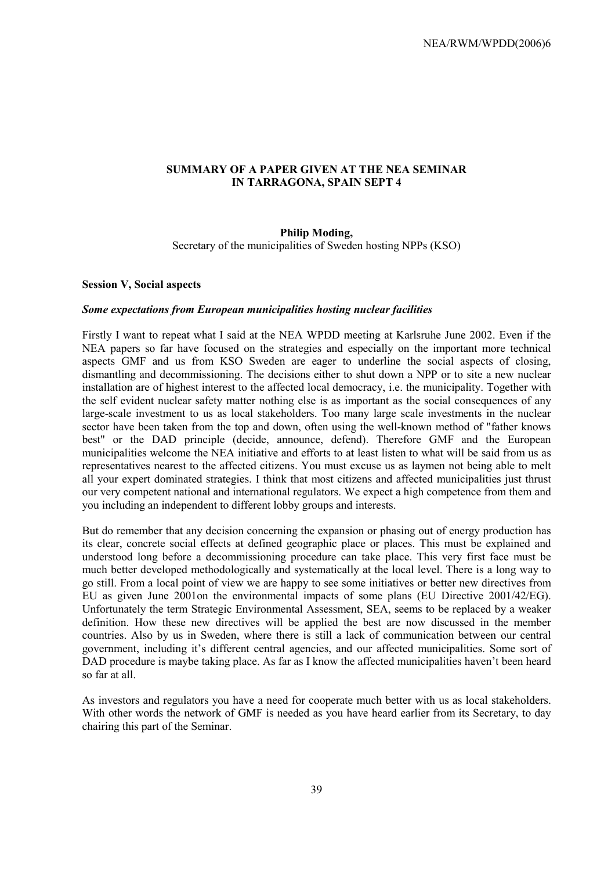# **SUMMARY OF A PAPER GIVEN AT THE NEA SEMINAR IN TARRAGONA, SPAIN SEPT 4**

#### **Philip Moding,**

Secretary of the municipalities of Sweden hosting NPPs (KSO)

#### **Session V, Social aspects**

#### *Some expectations from European municipalities hosting nuclear facilities*

Firstly I want to repeat what I said at the NEA WPDD meeting at Karlsruhe June 2002. Even if the NEA papers so far have focused on the strategies and especially on the important more technical aspects GMF and us from KSO Sweden are eager to underline the social aspects of closing, dismantling and decommissioning. The decisions either to shut down a NPP or to site a new nuclear installation are of highest interest to the affected local democracy, i.e. the municipality. Together with the self evident nuclear safety matter nothing else is as important as the social consequences of any large-scale investment to us as local stakeholders. Too many large scale investments in the nuclear sector have been taken from the top and down, often using the well-known method of "father knows best" or the DAD principle (decide, announce, defend). Therefore GMF and the European municipalities welcome the NEA initiative and efforts to at least listen to what will be said from us as representatives nearest to the affected citizens. You must excuse us as laymen not being able to melt all your expert dominated strategies. I think that most citizens and affected municipalities just thrust our very competent national and international regulators. We expect a high competence from them and you including an independent to different lobby groups and interests.

But do remember that any decision concerning the expansion or phasing out of energy production has its clear, concrete social effects at defined geographic place or places. This must be explained and understood long before a decommissioning procedure can take place. This very first face must be much better developed methodologically and systematically at the local level. There is a long way to go still. From a local point of view we are happy to see some initiatives or better new directives from EU as given June 2001on the environmental impacts of some plans (EU Directive 2001/42/EG). Unfortunately the term Strategic Environmental Assessment, SEA, seems to be replaced by a weaker definition. How these new directives will be applied the best are now discussed in the member countries. Also by us in Sweden, where there is still a lack of communication between our central government, including it's different central agencies, and our affected municipalities. Some sort of DAD procedure is maybe taking place. As far as I know the affected municipalities haven't been heard so far at all.

As investors and regulators you have a need for cooperate much better with us as local stakeholders. With other words the network of GMF is needed as you have heard earlier from its Secretary, to day chairing this part of the Seminar.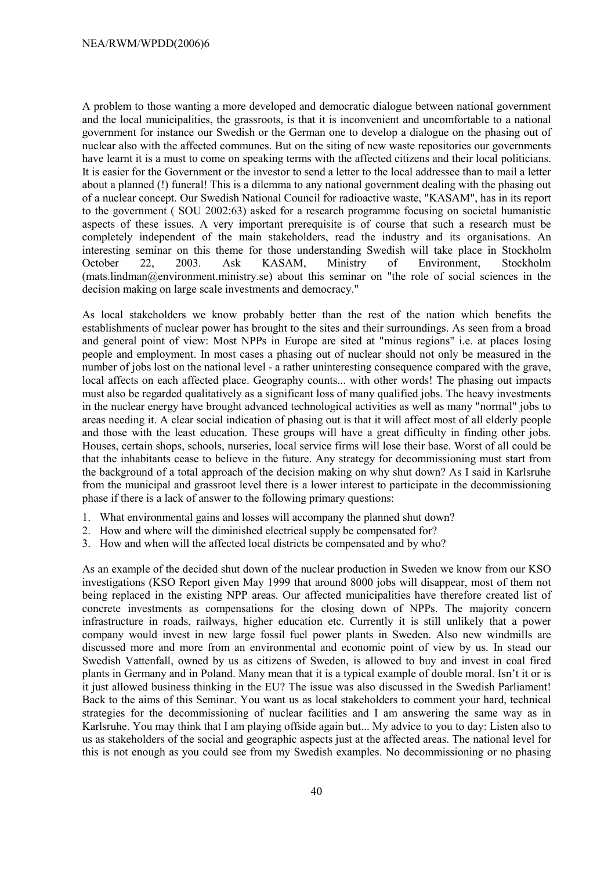A problem to those wanting a more developed and democratic dialogue between national government and the local municipalities, the grassroots, is that it is inconvenient and uncomfortable to a national government for instance our Swedish or the German one to develop a dialogue on the phasing out of nuclear also with the affected communes. But on the siting of new waste repositories our governments have learnt it is a must to come on speaking terms with the affected citizens and their local politicians. It is easier for the Government or the investor to send a letter to the local addressee than to mail a letter about a planned (!) funeral! This is a dilemma to any national government dealing with the phasing out of a nuclear concept. Our Swedish National Council for radioactive waste, "KASAM", has in its report to the government ( SOU 2002:63) asked for a research programme focusing on societal humanistic aspects of these issues. A very important prerequisite is of course that such a research must be completely independent of the main stakeholders, read the industry and its organisations. An interesting seminar on this theme for those understanding Swedish will take place in Stockholm October 22, 2003. Ask KASAM, Ministry of Environment, Stockholm (mats.lindman@environment.ministry.se) about this seminar on "the role of social sciences in the decision making on large scale investments and democracy."

As local stakeholders we know probably better than the rest of the nation which benefits the establishments of nuclear power has brought to the sites and their surroundings. As seen from a broad and general point of view: Most NPPs in Europe are sited at "minus regions" i.e. at places losing people and employment. In most cases a phasing out of nuclear should not only be measured in the number of jobs lost on the national level - a rather uninteresting consequence compared with the grave, local affects on each affected place. Geography counts... with other words! The phasing out impacts must also be regarded qualitatively as a significant loss of many qualified jobs. The heavy investments in the nuclear energy have brought advanced technological activities as well as many "normal" jobs to areas needing it. A clear social indication of phasing out is that it will affect most of all elderly people and those with the least education. These groups will have a great difficulty in finding other jobs. Houses, certain shops, schools, nurseries, local service firms will lose their base. Worst of all could be that the inhabitants cease to believe in the future. Any strategy for decommissioning must start from the background of a total approach of the decision making on why shut down? As I said in Karlsruhe from the municipal and grassroot level there is a lower interest to participate in the decommissioning phase if there is a lack of answer to the following primary questions:

- 1. What environmental gains and losses will accompany the planned shut down?
- 2. How and where will the diminished electrical supply be compensated for?
- 3. How and when will the affected local districts be compensated and by who?

As an example of the decided shut down of the nuclear production in Sweden we know from our KSO investigations (KSO Report given May 1999 that around 8000 jobs will disappear, most of them not being replaced in the existing NPP areas. Our affected municipalities have therefore created list of concrete investments as compensations for the closing down of NPPs. The majority concern infrastructure in roads, railways, higher education etc. Currently it is still unlikely that a power company would invest in new large fossil fuel power plants in Sweden. Also new windmills are discussed more and more from an environmental and economic point of view by us. In stead our Swedish Vattenfall, owned by us as citizens of Sweden, is allowed to buy and invest in coal fired plants in Germany and in Poland. Many mean that it is a typical example of double moral. Isn't it or is it just allowed business thinking in the EU? The issue was also discussed in the Swedish Parliament! Back to the aims of this Seminar. You want us as local stakeholders to comment your hard, technical strategies for the decommissioning of nuclear facilities and I am answering the same way as in Karlsruhe. You may think that I am playing offside again but... My advice to you to day: Listen also to us as stakeholders of the social and geographic aspects just at the affected areas. The national level for this is not enough as you could see from my Swedish examples. No decommissioning or no phasing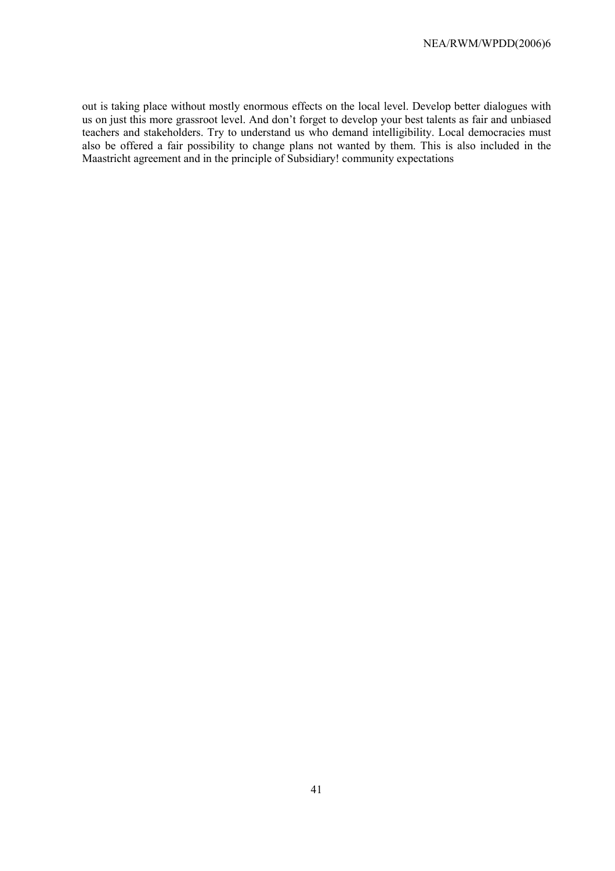out is taking place without mostly enormous effects on the local level. Develop better dialogues with us on just this more grassroot level. And don't forget to develop your best talents as fair and unbiased teachers and stakeholders. Try to understand us who demand intelligibility. Local democracies must also be offered a fair possibility to change plans not wanted by them. This is also included in the Maastricht agreement and in the principle of Subsidiary! community expectations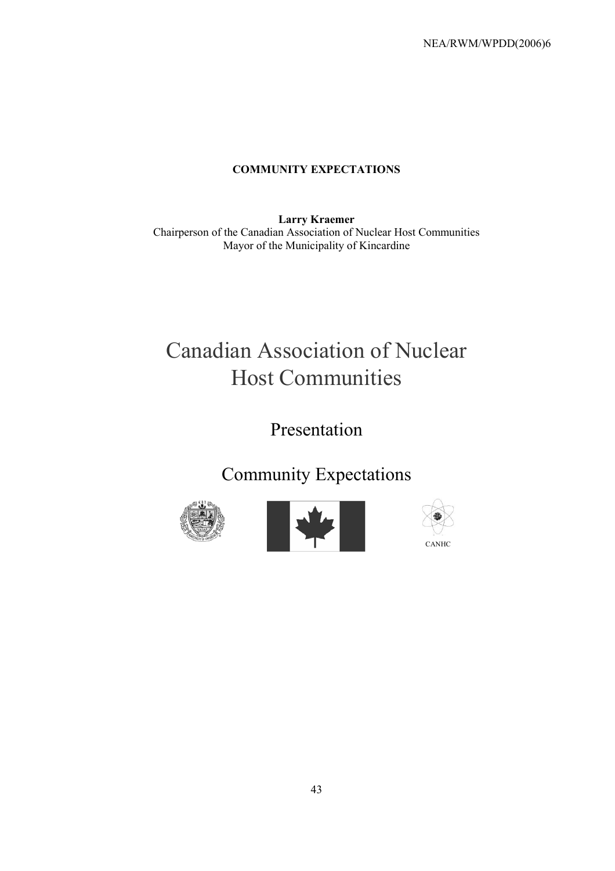# **COMMUNITY EXPECTATIONS**

**Larry Kraemer**  Chairperson of the Canadian Association of Nuclear Host Communities Mayor of the Municipality of Kincardine

# Canadian Association of Nuclear Host Communities

Presentation

Community Expectations







CANHC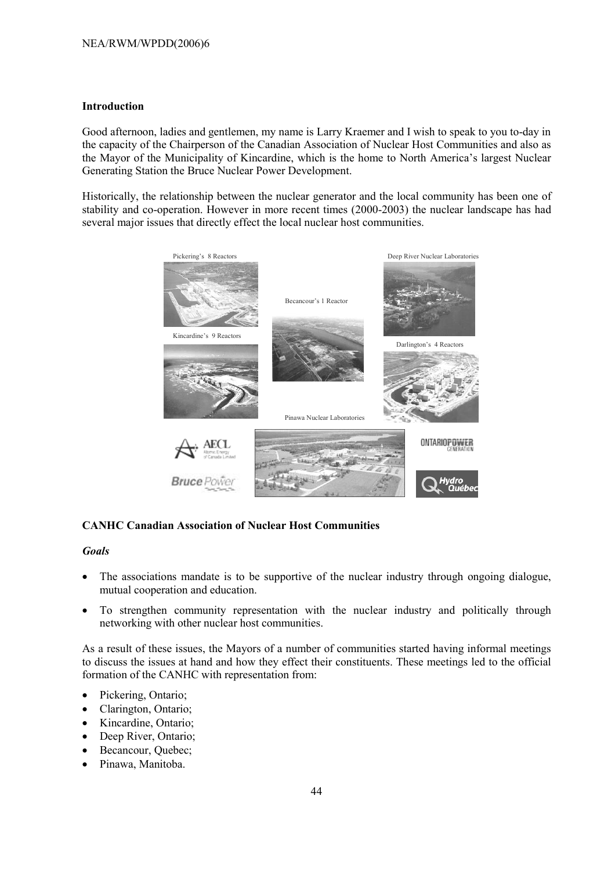# **Introduction**

Good afternoon, ladies and gentlemen, my name is Larry Kraemer and I wish to speak to you to-day in the capacity of the Chairperson of the Canadian Association of Nuclear Host Communities and also as the Mayor of the Municipality of Kincardine, which is the home to North Americaís largest Nuclear Generating Station the Bruce Nuclear Power Development.

Historically, the relationship between the nuclear generator and the local community has been one of stability and co-operation. However in more recent times (2000-2003) the nuclear landscape has had several major issues that directly effect the local nuclear host communities.



# **CANHC Canadian Association of Nuclear Host Communities**

# *Goals*

- The associations mandate is to be supportive of the nuclear industry through ongoing dialogue, mutual cooperation and education.
- To strengthen community representation with the nuclear industry and politically through networking with other nuclear host communities.

As a result of these issues, the Mayors of a number of communities started having informal meetings to discuss the issues at hand and how they effect their constituents. These meetings led to the official formation of the CANHC with representation from:

- Pickering, Ontario;
- Clarington, Ontario;
- Kincardine, Ontario;
- Deep River, Ontario;
- Becancour, Quebec;
- Pinawa, Manitoba.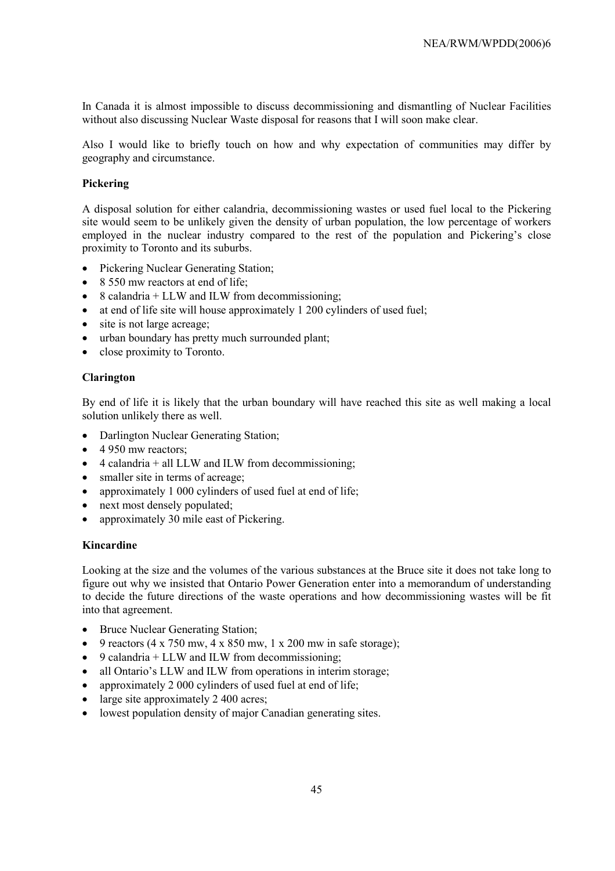In Canada it is almost impossible to discuss decommissioning and dismantling of Nuclear Facilities without also discussing Nuclear Waste disposal for reasons that I will soon make clear.

Also I would like to briefly touch on how and why expectation of communities may differ by geography and circumstance.

# **Pickering**

A disposal solution for either calandria, decommissioning wastes or used fuel local to the Pickering site would seem to be unlikely given the density of urban population, the low percentage of workers employed in the nuclear industry compared to the rest of the population and Pickering's close proximity to Toronto and its suburbs.

- Pickering Nuclear Generating Station;
- 8 550 mw reactors at end of life;
- 8 calandria + LLW and ILW from decommissioning;
- at end of life site will house approximately 1 200 cylinders of used fuel;
- site is not large acreage:
- urban boundary has pretty much surrounded plant;
- close proximity to Toronto.

# **Clarington**

By end of life it is likely that the urban boundary will have reached this site as well making a local solution unlikely there as well.

- Darlington Nuclear Generating Station;
- 4 950 mw reactors:
- 4 calandria + all LLW and ILW from decommissioning;
- smaller site in terms of acreage;
- approximately 1 000 cylinders of used fuel at end of life;
- next most densely populated:
- approximately 30 mile east of Pickering.

# **Kincardine**

Looking at the size and the volumes of the various substances at the Bruce site it does not take long to figure out why we insisted that Ontario Power Generation enter into a memorandum of understanding to decide the future directions of the waste operations and how decommissioning wastes will be fit into that agreement.

- Bruce Nuclear Generating Station:
- 9 reactors  $(4 \times 750 \text{ mw}, 4 \times 850 \text{ mw}, 1 \times 200 \text{ mw} \text{ in safe storage})$ ;
- 9 calandria + LLW and ILW from decommissioning;
- all Ontario's LLW and ILW from operations in interim storage;
- approximately 2 000 cylinders of used fuel at end of life;
- large site approximately 2 400 acres;
- lowest population density of major Canadian generating sites.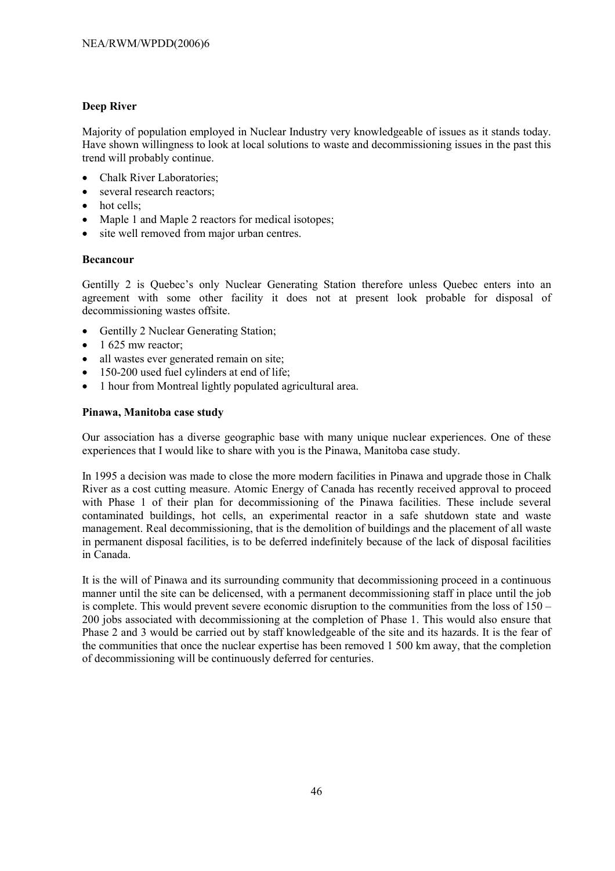# **Deep River**

Majority of population employed in Nuclear Industry very knowledgeable of issues as it stands today. Have shown willingness to look at local solutions to waste and decommissioning issues in the past this trend will probably continue.

- Chalk River Laboratories;
- several research reactors:
- hot cells:
- Maple 1 and Maple 2 reactors for medical isotopes;
- site well removed from major urban centres.

# **Becancour**

Gentilly 2 is Quebec's only Nuclear Generating Station therefore unless Quebec enters into an agreement with some other facility it does not at present look probable for disposal of decommissioning wastes offsite.

- Gentilly 2 Nuclear Generating Station;
- 1 625 mw reactor:
- all wastes ever generated remain on site:
- 150-200 used fuel cylinders at end of life;
- 1 hour from Montreal lightly populated agricultural area.

# **Pinawa, Manitoba case study**

Our association has a diverse geographic base with many unique nuclear experiences. One of these experiences that I would like to share with you is the Pinawa, Manitoba case study.

In 1995 a decision was made to close the more modern facilities in Pinawa and upgrade those in Chalk River as a cost cutting measure. Atomic Energy of Canada has recently received approval to proceed with Phase 1 of their plan for decommissioning of the Pinawa facilities. These include several contaminated buildings, hot cells, an experimental reactor in a safe shutdown state and waste management. Real decommissioning, that is the demolition of buildings and the placement of all waste in permanent disposal facilities, is to be deferred indefinitely because of the lack of disposal facilities in Canada.

It is the will of Pinawa and its surrounding community that decommissioning proceed in a continuous manner until the site can be delicensed, with a permanent decommissioning staff in place until the job is complete. This would prevent severe economic disruption to the communities from the loss of  $150 -$ 200 jobs associated with decommissioning at the completion of Phase 1. This would also ensure that Phase 2 and 3 would be carried out by staff knowledgeable of the site and its hazards. It is the fear of the communities that once the nuclear expertise has been removed 1 500 km away, that the completion of decommissioning will be continuously deferred for centuries.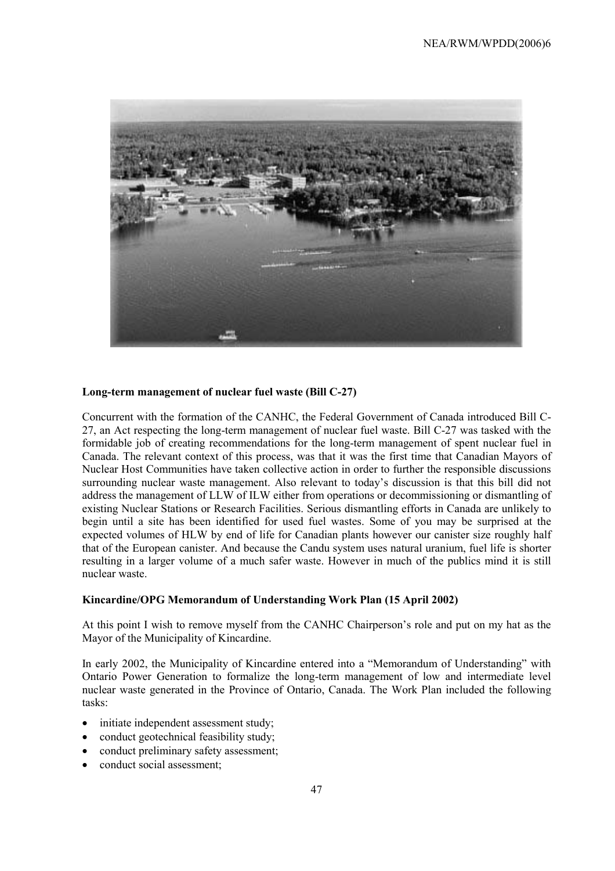

# **Long-term management of nuclear fuel waste (Bill C-27)**

Concurrent with the formation of the CANHC, the Federal Government of Canada introduced Bill C-27, an Act respecting the long-term management of nuclear fuel waste. Bill C-27 was tasked with the formidable job of creating recommendations for the long-term management of spent nuclear fuel in Canada. The relevant context of this process, was that it was the first time that Canadian Mayors of Nuclear Host Communities have taken collective action in order to further the responsible discussions surrounding nuclear waste management. Also relevant to today's discussion is that this bill did not address the management of LLW of ILW either from operations or decommissioning or dismantling of existing Nuclear Stations or Research Facilities. Serious dismantling efforts in Canada are unlikely to begin until a site has been identified for used fuel wastes. Some of you may be surprised at the expected volumes of HLW by end of life for Canadian plants however our canister size roughly half that of the European canister. And because the Candu system uses natural uranium, fuel life is shorter resulting in a larger volume of a much safer waste. However in much of the publics mind it is still nuclear waste.

# **Kincardine/OPG Memorandum of Understanding Work Plan (15 April 2002)**

At this point I wish to remove myself from the CANHC Chairperson's role and put on my hat as the Mayor of the Municipality of Kincardine.

In early 2002, the Municipality of Kincardine entered into a "Memorandum of Understanding" with Ontario Power Generation to formalize the long-term management of low and intermediate level nuclear waste generated in the Province of Ontario, Canada. The Work Plan included the following tasks:

- initiate independent assessment study;
- conduct geotechnical feasibility study;
- conduct preliminary safety assessment;
- conduct social assessment;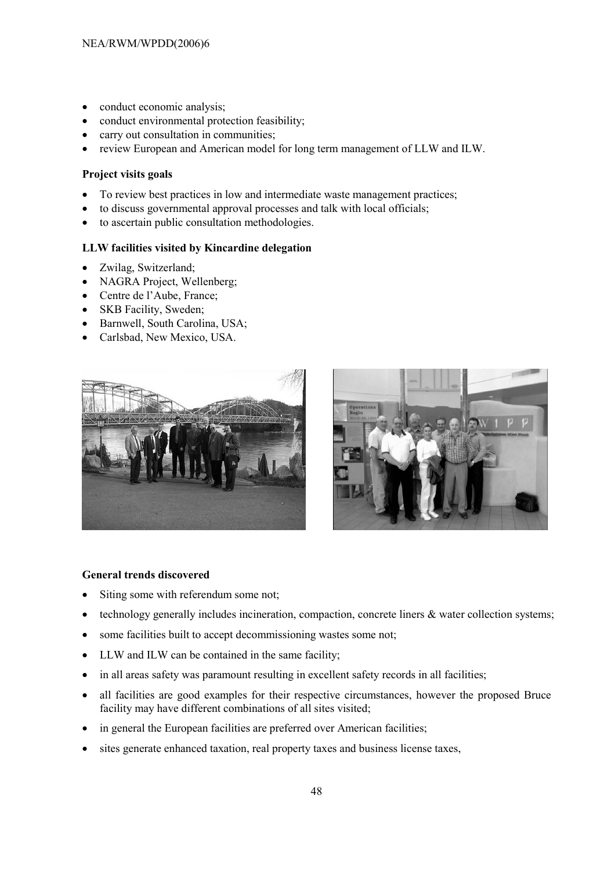- conduct economic analysis;
- conduct environmental protection feasibility;
- carry out consultation in communities;
- review European and American model for long term management of LLW and ILW.

# **Project visits goals**

- To review best practices in low and intermediate waste management practices;
- to discuss governmental approval processes and talk with local officials;
- to ascertain public consultation methodologies.

# **LLW facilities visited by Kincardine delegation**

- Zwilag, Switzerland;
- NAGRA Project, Wellenberg;
- Centre de l'Aube, France;
- SKB Facility, Sweden;
- Barnwell, South Carolina, USA;
- Carlsbad, New Mexico, USA.





# **General trends discovered**

- Siting some with referendum some not;
- technology generally includes incineration, compaction, concrete liners & water collection systems;
- some facilities built to accept decommissioning wastes some not;
- LLW and ILW can be contained in the same facility;
- in all areas safety was paramount resulting in excellent safety records in all facilities;
- all facilities are good examples for their respective circumstances, however the proposed Bruce facility may have different combinations of all sites visited;
- in general the European facilities are preferred over American facilities;
- sites generate enhanced taxation, real property taxes and business license taxes,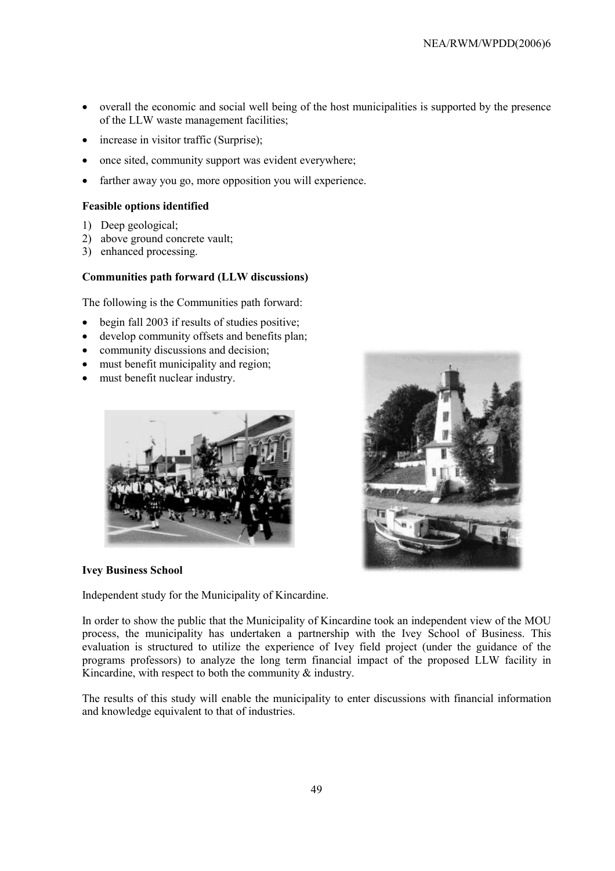- overall the economic and social well being of the host municipalities is supported by the presence of the LLW waste management facilities;
- increase in visitor traffic (Surprise);
- once sited, community support was evident everywhere;
- farther away you go, more opposition you will experience.

# **Feasible options identified**

- 1) Deep geological;
- 2) above ground concrete vault;
- 3) enhanced processing.

# **Communities path forward (LLW discussions)**

The following is the Communities path forward:

- begin fall 2003 if results of studies positive;
- develop community offsets and benefits plan;
- community discussions and decision;
- must benefit municipality and region;
- must benefit nuclear industry.





# **Ivey Business School**

Independent study for the Municipality of Kincardine.

In order to show the public that the Municipality of Kincardine took an independent view of the MOU process, the municipality has undertaken a partnership with the Ivey School of Business. This evaluation is structured to utilize the experience of Ivey field project (under the guidance of the programs professors) to analyze the long term financial impact of the proposed LLW facility in Kincardine, with respect to both the community  $\&$  industry.

The results of this study will enable the municipality to enter discussions with financial information and knowledge equivalent to that of industries.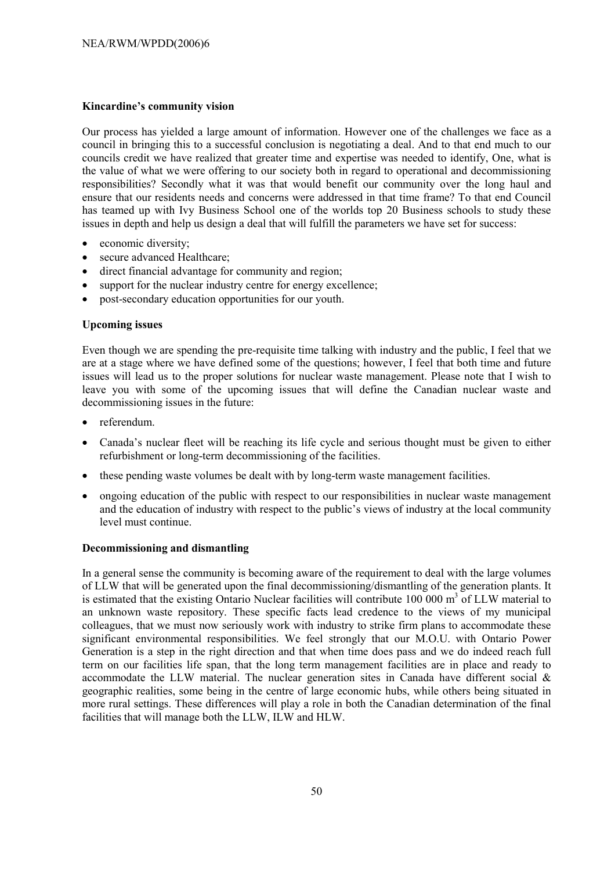# **Kincardine's community vision**

Our process has yielded a large amount of information. However one of the challenges we face as a council in bringing this to a successful conclusion is negotiating a deal. And to that end much to our councils credit we have realized that greater time and expertise was needed to identify, One, what is the value of what we were offering to our society both in regard to operational and decommissioning responsibilities? Secondly what it was that would benefit our community over the long haul and ensure that our residents needs and concerns were addressed in that time frame? To that end Council has teamed up with Ivy Business School one of the worlds top 20 Business schools to study these issues in depth and help us design a deal that will fulfill the parameters we have set for success:

- economic diversity;
- secure advanced Healthcare;
- direct financial advantage for community and region;
- support for the nuclear industry centre for energy excellence;
- post-secondary education opportunities for our youth.

# **Upcoming issues**

Even though we are spending the pre-requisite time talking with industry and the public, I feel that we are at a stage where we have defined some of the questions; however, I feel that both time and future issues will lead us to the proper solutions for nuclear waste management. Please note that I wish to leave you with some of the upcoming issues that will define the Canadian nuclear waste and decommissioning issues in the future:

- referendum.
- Canadaís nuclear fleet will be reaching its life cycle and serious thought must be given to either refurbishment or long-term decommissioning of the facilities.
- these pending waste volumes be dealt with by long-term waste management facilities.
- ongoing education of the public with respect to our responsibilities in nuclear waste management and the education of industry with respect to the public's views of industry at the local community level must continue.

# **Decommissioning and dismantling**

In a general sense the community is becoming aware of the requirement to deal with the large volumes of LLW that will be generated upon the final decommissioning/dismantling of the generation plants. It is estimated that the existing Ontario Nuclear facilities will contribute 100 000 m<sup>3</sup> of LLW material to an unknown waste repository. These specific facts lead credence to the views of my municipal colleagues, that we must now seriously work with industry to strike firm plans to accommodate these significant environmental responsibilities. We feel strongly that our M.O.U. with Ontario Power Generation is a step in the right direction and that when time does pass and we do indeed reach full term on our facilities life span, that the long term management facilities are in place and ready to accommodate the LLW material. The nuclear generation sites in Canada have different social & geographic realities, some being in the centre of large economic hubs, while others being situated in more rural settings. These differences will play a role in both the Canadian determination of the final facilities that will manage both the LLW, ILW and HLW.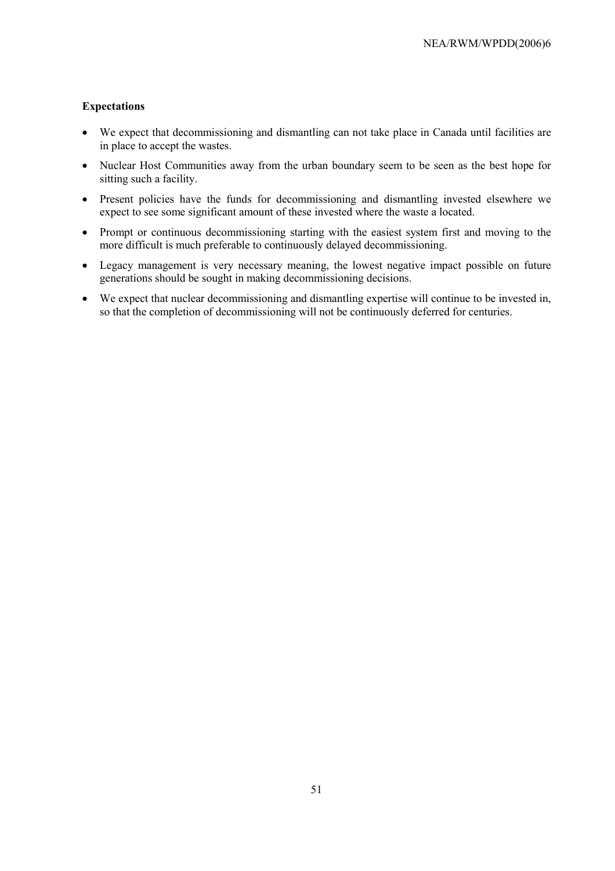# **Expectations**

- We expect that decommissioning and dismantling can not take place in Canada until facilities are in place to accept the wastes.
- Nuclear Host Communities away from the urban boundary seem to be seen as the best hope for sitting such a facility.
- Present policies have the funds for decommissioning and dismantling invested elsewhere we expect to see some significant amount of these invested where the waste a located.
- Prompt or continuous decommissioning starting with the easiest system first and moving to the more difficult is much preferable to continuously delayed decommissioning.
- Legacy management is very necessary meaning, the lowest negative impact possible on future generations should be sought in making decommissioning decisions.
- We expect that nuclear decommissioning and dismantling expertise will continue to be invested in, so that the completion of decommissioning will not be continuously deferred for centuries.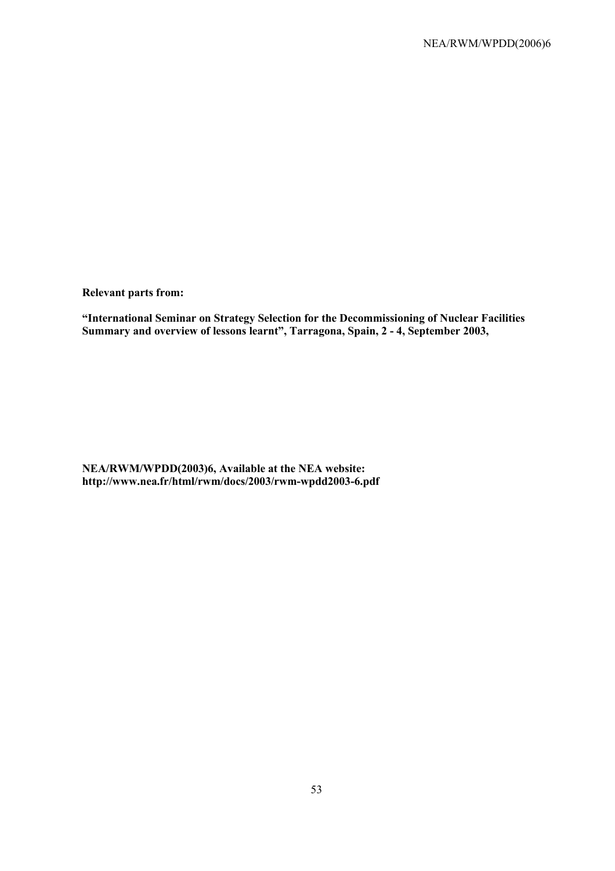**Relevant parts from:** 

**ìInternational Seminar on Strategy Selection for the Decommissioning of Nuclear Facilities**  Summary and overview of lessons learnt", Tarragona, Spain, 2 - 4, September 2003,

**NEA/RWM/WPDD(2003)6, Available at the NEA website: http://www.nea.fr/html/rwm/docs/2003/rwm-wpdd2003-6.pdf**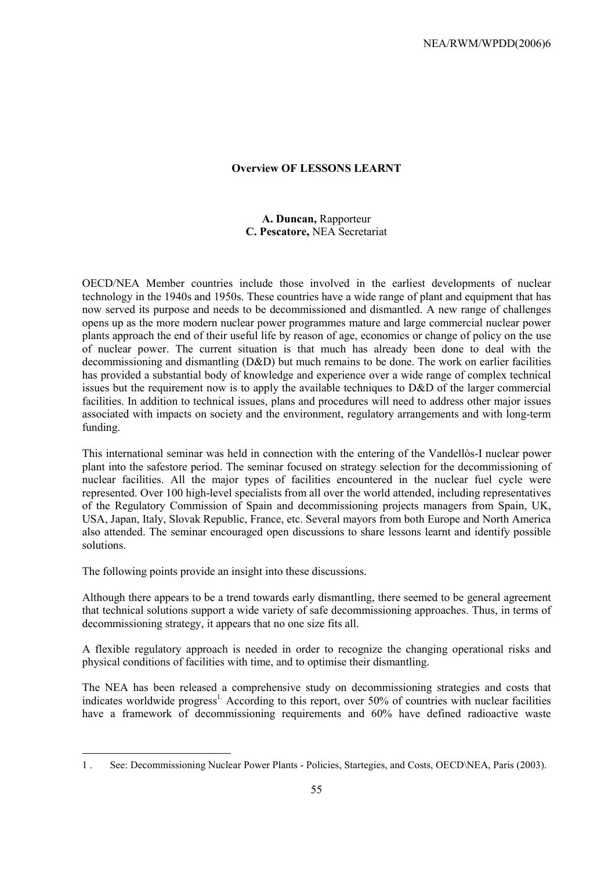# **Overview OF LESSONS LEARNT**

# **A. Duncan,** Rapporteur **C. Pescatore,** NEA Secretariat

OECD/NEA Member countries include those involved in the earliest developments of nuclear technology in the 1940s and 1950s. These countries have a wide range of plant and equipment that has now served its purpose and needs to be decommissioned and dismantled. A new range of challenges opens up as the more modern nuclear power programmes mature and large commercial nuclear power plants approach the end of their useful life by reason of age, economics or change of policy on the use of nuclear power. The current situation is that much has already been done to deal with the decommissioning and dismantling (D&D) but much remains to be done. The work on earlier facilities has provided a substantial body of knowledge and experience over a wide range of complex technical issues but the requirement now is to apply the available techniques to D&D of the larger commercial facilities. In addition to technical issues, plans and procedures will need to address other major issues associated with impacts on society and the environment, regulatory arrangements and with long-term funding.

This international seminar was held in connection with the entering of the Vandellos-I nuclear power plant into the safestore period. The seminar focused on strategy selection for the decommissioning of nuclear facilities. All the major types of facilities encountered in the nuclear fuel cycle were represented. Over 100 high-level specialists from all over the world attended, including representatives of the Regulatory Commission of Spain and decommissioning projects managers from Spain, UK, USA, Japan, Italy, Slovak Republic, France, etc. Several mayors from both Europe and North America also attended. The seminar encouraged open discussions to share lessons learnt and identify possible solutions.

The following points provide an insight into these discussions.

 $\overline{a}$ 

Although there appears to be a trend towards early dismantling, there seemed to be general agreement that technical solutions support a wide variety of safe decommissioning approaches. Thus, in terms of decommissioning strategy, it appears that no one size fits all.

A flexible regulatory approach is needed in order to recognize the changing operational risks and physical conditions of facilities with time, and to optimise their dismantling.

The NEA has been released a comprehensive study on decommissioning strategies and costs that indicates worldwide progress<sup>1.</sup> According to this report, over 50% of countries with nuclear facilities have a framework of decommissioning requirements and 60% have defined radioactive waste

<sup>1 .</sup> See: Decommissioning Nuclear Power Plants - Policies, Startegies, and Costs, OECD\NEA, Paris (2003).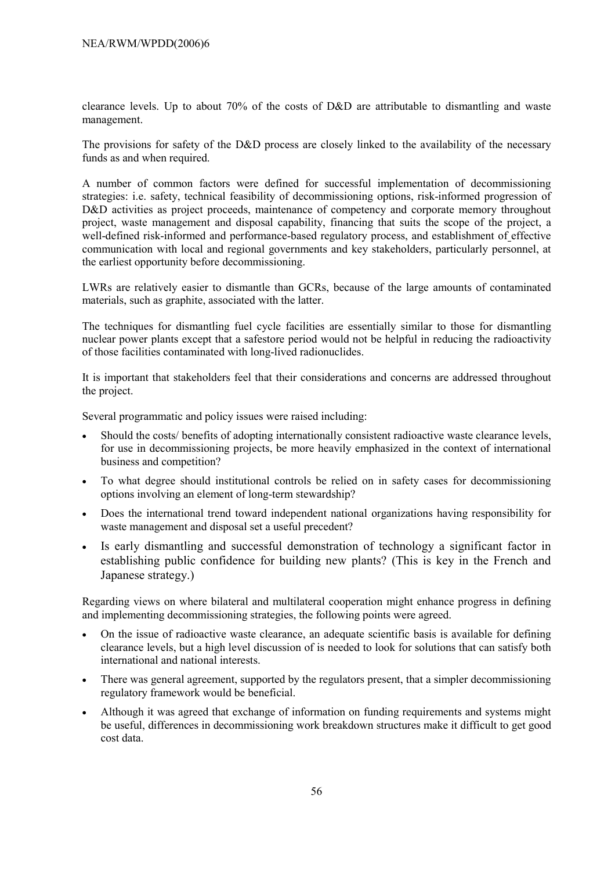clearance levels. Up to about 70% of the costs of D&D are attributable to dismantling and waste management.

The provisions for safety of the D&D process are closely linked to the availability of the necessary funds as and when required.

A number of common factors were defined for successful implementation of decommissioning strategies: i.e. safety, technical feasibility of decommissioning options, risk-informed progression of D&D activities as project proceeds, maintenance of competency and corporate memory throughout project, waste management and disposal capability, financing that suits the scope of the project, a well-defined risk-informed and performance-based regulatory process, and establishment of effective communication with local and regional governments and key stakeholders, particularly personnel, at the earliest opportunity before decommissioning.

LWRs are relatively easier to dismantle than GCRs, because of the large amounts of contaminated materials, such as graphite, associated with the latter.

The techniques for dismantling fuel cycle facilities are essentially similar to those for dismantling nuclear power plants except that a safestore period would not be helpful in reducing the radioactivity of those facilities contaminated with long-lived radionuclides.

It is important that stakeholders feel that their considerations and concerns are addressed throughout the project.

Several programmatic and policy issues were raised including:

- Should the costs/ benefits of adopting internationally consistent radioactive waste clearance levels, for use in decommissioning projects, be more heavily emphasized in the context of international business and competition?
- To what degree should institutional controls be relied on in safety cases for decommissioning options involving an element of long-term stewardship?
- Does the international trend toward independent national organizations having responsibility for waste management and disposal set a useful precedent?
- Is early dismantling and successful demonstration of technology a significant factor in establishing public confidence for building new plants? (This is key in the French and Japanese strategy.)

Regarding views on where bilateral and multilateral cooperation might enhance progress in defining and implementing decommissioning strategies, the following points were agreed.

- On the issue of radioactive waste clearance, an adequate scientific basis is available for defining clearance levels, but a high level discussion of is needed to look for solutions that can satisfy both international and national interests.
- There was general agreement, supported by the regulators present, that a simpler decommissioning regulatory framework would be beneficial.
- Although it was agreed that exchange of information on funding requirements and systems might be useful, differences in decommissioning work breakdown structures make it difficult to get good cost data.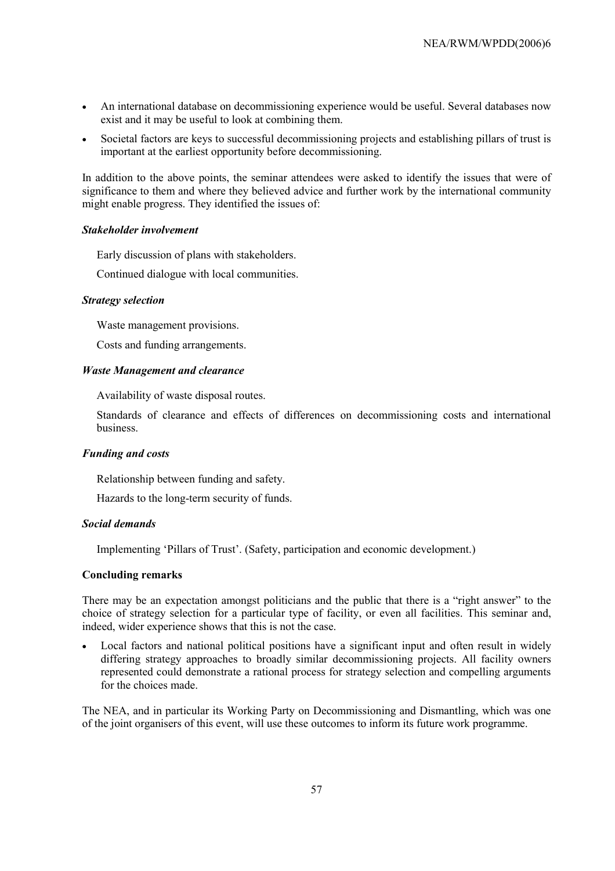- An international database on decommissioning experience would be useful. Several databases now exist and it may be useful to look at combining them.
- Societal factors are keys to successful decommissioning projects and establishing pillars of trust is important at the earliest opportunity before decommissioning.

In addition to the above points, the seminar attendees were asked to identify the issues that were of significance to them and where they believed advice and further work by the international community might enable progress. They identified the issues of:

#### *Stakeholder involvement*

Early discussion of plans with stakeholders.

Continued dialogue with local communities.

#### *Strategy selection*

Waste management provisions.

Costs and funding arrangements.

#### *Waste Management and clearance*

Availability of waste disposal routes.

Standards of clearance and effects of differences on decommissioning costs and international business.

# *Funding and costs*

Relationship between funding and safety.

Hazards to the long-term security of funds.

#### *Social demands*

Implementing 'Pillars of Trust'. (Safety, participation and economic development.)

#### **Concluding remarks**

There may be an expectation amongst politicians and the public that there is a "right answer" to the choice of strategy selection for a particular type of facility, or even all facilities. This seminar and, indeed, wider experience shows that this is not the case.

• Local factors and national political positions have a significant input and often result in widely differing strategy approaches to broadly similar decommissioning projects. All facility owners represented could demonstrate a rational process for strategy selection and compelling arguments for the choices made.

The NEA, and in particular its Working Party on Decommissioning and Dismantling, which was one of the joint organisers of this event, will use these outcomes to inform its future work programme.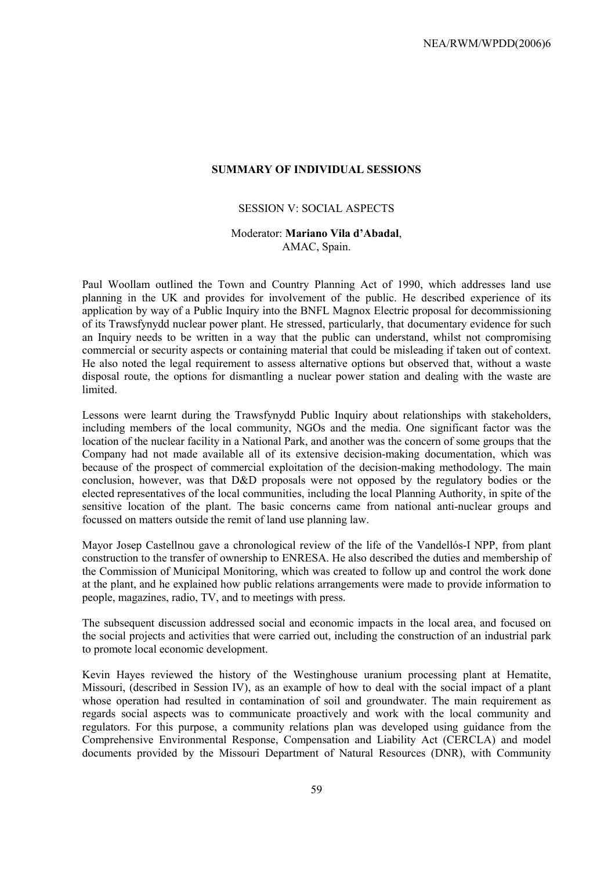#### **SUMMARY OF INDIVIDUAL SESSIONS**

#### SESSION V: SOCIAL ASPECTS

# Moderator: Mariano Vila d'Abadal, AMAC, Spain.

Paul Woollam outlined the Town and Country Planning Act of 1990, which addresses land use planning in the UK and provides for involvement of the public. He described experience of its application by way of a Public Inquiry into the BNFL Magnox Electric proposal for decommissioning of its Trawsfynydd nuclear power plant. He stressed, particularly, that documentary evidence for such an Inquiry needs to be written in a way that the public can understand, whilst not compromising commercial or security aspects or containing material that could be misleading if taken out of context. He also noted the legal requirement to assess alternative options but observed that, without a waste disposal route, the options for dismantling a nuclear power station and dealing with the waste are limited.

Lessons were learnt during the Trawsfynydd Public Inquiry about relationships with stakeholders, including members of the local community, NGOs and the media. One significant factor was the location of the nuclear facility in a National Park, and another was the concern of some groups that the Company had not made available all of its extensive decision-making documentation, which was because of the prospect of commercial exploitation of the decision-making methodology. The main conclusion, however, was that D&D proposals were not opposed by the regulatory bodies or the elected representatives of the local communities, including the local Planning Authority, in spite of the sensitive location of the plant. The basic concerns came from national anti-nuclear groups and focussed on matters outside the remit of land use planning law.

Mayor Josep Castellnou gave a chronological review of the life of the Vandellós-I NPP, from plant construction to the transfer of ownership to ENRESA. He also described the duties and membership of the Commission of Municipal Monitoring, which was created to follow up and control the work done at the plant, and he explained how public relations arrangements were made to provide information to people, magazines, radio, TV, and to meetings with press.

The subsequent discussion addressed social and economic impacts in the local area, and focused on the social projects and activities that were carried out, including the construction of an industrial park to promote local economic development.

Kevin Hayes reviewed the history of the Westinghouse uranium processing plant at Hematite, Missouri, (described in Session IV), as an example of how to deal with the social impact of a plant whose operation had resulted in contamination of soil and groundwater. The main requirement as regards social aspects was to communicate proactively and work with the local community and regulators. For this purpose, a community relations plan was developed using guidance from the Comprehensive Environmental Response, Compensation and Liability Act (CERCLA) and model documents provided by the Missouri Department of Natural Resources (DNR), with Community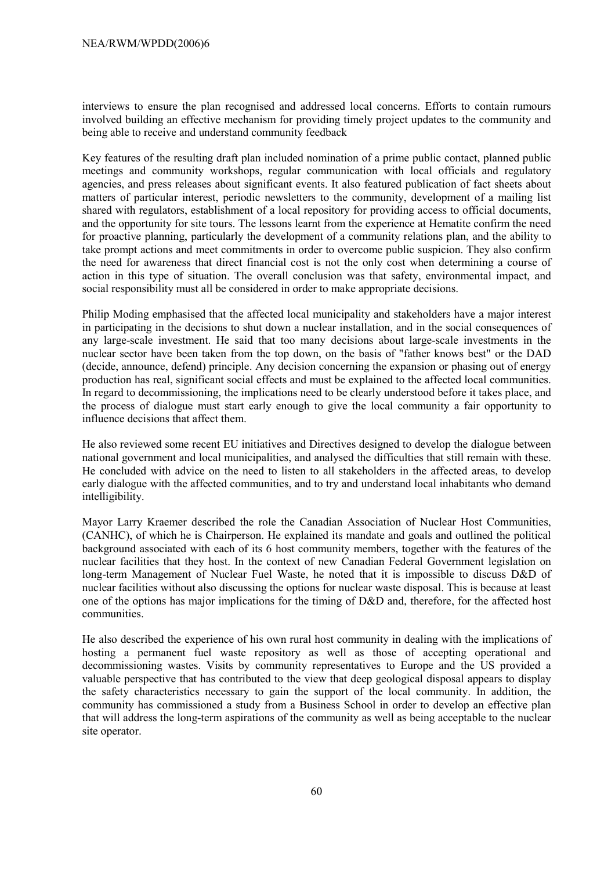interviews to ensure the plan recognised and addressed local concerns. Efforts to contain rumours involved building an effective mechanism for providing timely project updates to the community and being able to receive and understand community feedback

Key features of the resulting draft plan included nomination of a prime public contact, planned public meetings and community workshops, regular communication with local officials and regulatory agencies, and press releases about significant events. It also featured publication of fact sheets about matters of particular interest, periodic newsletters to the community, development of a mailing list shared with regulators, establishment of a local repository for providing access to official documents, and the opportunity for site tours. The lessons learnt from the experience at Hematite confirm the need for proactive planning, particularly the development of a community relations plan, and the ability to take prompt actions and meet commitments in order to overcome public suspicion. They also confirm the need for awareness that direct financial cost is not the only cost when determining a course of action in this type of situation. The overall conclusion was that safety, environmental impact, and social responsibility must all be considered in order to make appropriate decisions.

Philip Moding emphasised that the affected local municipality and stakeholders have a major interest in participating in the decisions to shut down a nuclear installation, and in the social consequences of any large-scale investment. He said that too many decisions about large-scale investments in the nuclear sector have been taken from the top down, on the basis of "father knows best" or the DAD (decide, announce, defend) principle. Any decision concerning the expansion or phasing out of energy production has real, significant social effects and must be explained to the affected local communities. In regard to decommissioning, the implications need to be clearly understood before it takes place, and the process of dialogue must start early enough to give the local community a fair opportunity to influence decisions that affect them.

He also reviewed some recent EU initiatives and Directives designed to develop the dialogue between national government and local municipalities, and analysed the difficulties that still remain with these. He concluded with advice on the need to listen to all stakeholders in the affected areas, to develop early dialogue with the affected communities, and to try and understand local inhabitants who demand intelligibility.

Mayor Larry Kraemer described the role the Canadian Association of Nuclear Host Communities, (CANHC), of which he is Chairperson. He explained its mandate and goals and outlined the political background associated with each of its 6 host community members, together with the features of the nuclear facilities that they host. In the context of new Canadian Federal Government legislation on long-term Management of Nuclear Fuel Waste, he noted that it is impossible to discuss D&D of nuclear facilities without also discussing the options for nuclear waste disposal. This is because at least one of the options has major implications for the timing of D&D and, therefore, for the affected host communities.

He also described the experience of his own rural host community in dealing with the implications of hosting a permanent fuel waste repository as well as those of accepting operational and decommissioning wastes. Visits by community representatives to Europe and the US provided a valuable perspective that has contributed to the view that deep geological disposal appears to display the safety characteristics necessary to gain the support of the local community. In addition, the community has commissioned a study from a Business School in order to develop an effective plan that will address the long-term aspirations of the community as well as being acceptable to the nuclear site operator.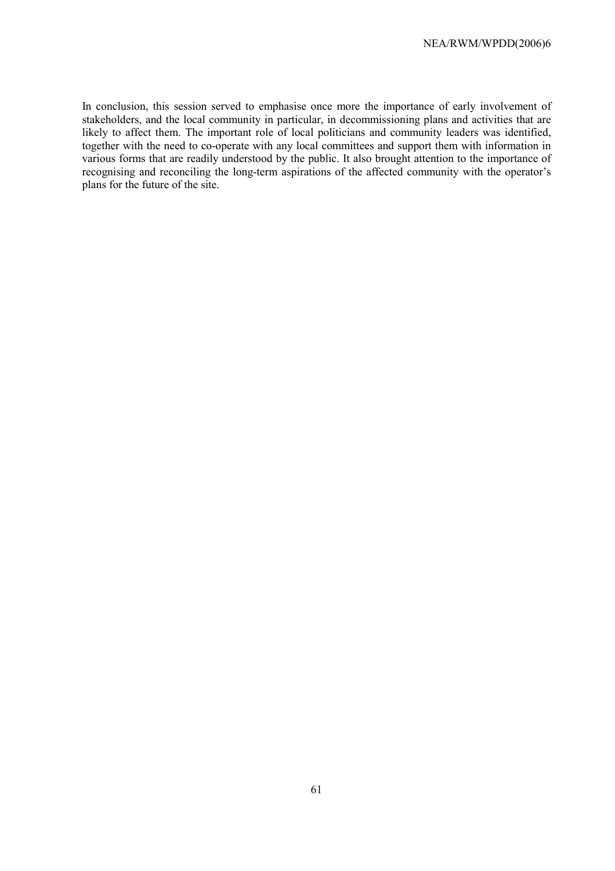In conclusion, this session served to emphasise once more the importance of early involvement of stakeholders, and the local community in particular, in decommissioning plans and activities that are likely to affect them. The important role of local politicians and community leaders was identified, together with the need to co-operate with any local committees and support them with information in various forms that are readily understood by the public. It also brought attention to the importance of recognising and reconciling the long-term aspirations of the affected community with the operator's plans for the future of the site.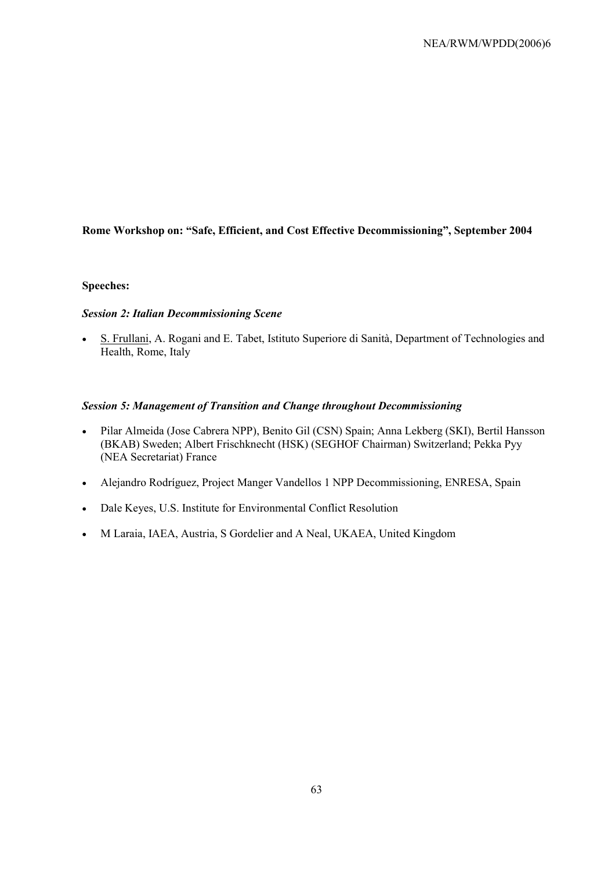# Rome Workshop on: "Safe, Efficient, and Cost Effective Decommissioning", September 2004

#### **Speeches:**

#### *Session 2: Italian Decommissioning Scene*

• S. Frullani, A. Rogani and E. Tabet, Istituto Superiore di Sanità, Department of Technologies and Health, Rome, Italy

# *Session 5: Management of Transition and Change throughout Decommissioning*

- Pilar Almeida (Jose Cabrera NPP), Benito Gil (CSN) Spain; Anna Lekberg (SKI), Bertil Hansson (BKAB) Sweden; Albert Frischknecht (HSK) (SEGHOF Chairman) Switzerland; Pekka Pyy (NEA Secretariat) France
- Alejandro Rodríguez, Project Manger Vandellos 1 NPP Decommissioning, ENRESA, Spain
- Dale Keyes, U.S. Institute for Environmental Conflict Resolution
- M Laraia, IAEA, Austria, S Gordelier and A Neal, UKAEA, United Kingdom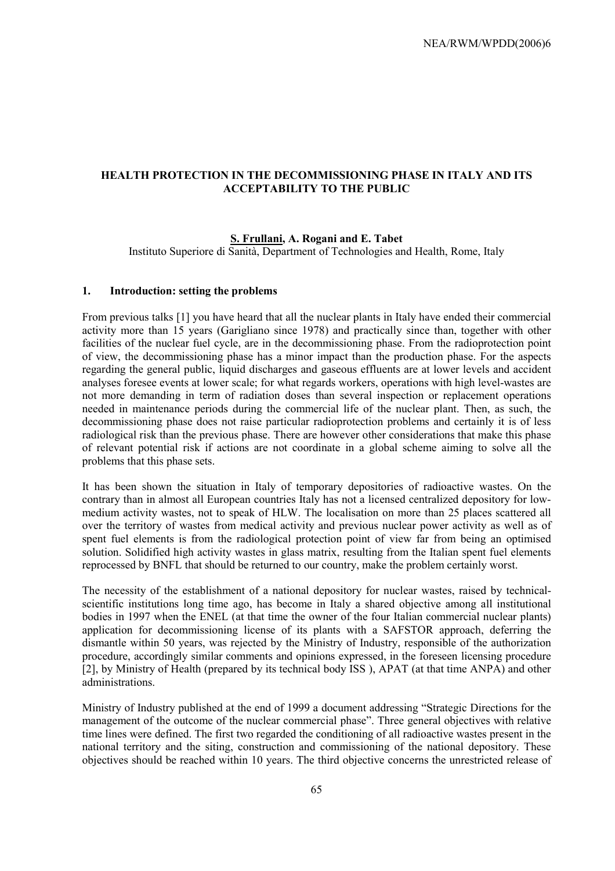# **HEALTH PROTECTION IN THE DECOMMISSIONING PHASE IN ITALY AND ITS ACCEPTABILITY TO THE PUBLIC**

#### **S. Frullani, A. Rogani and E. Tabet**

Instituto Superiore di Sanità, Department of Technologies and Health, Rome, Italy

# **1. Introduction: setting the problems**

From previous talks [1] you have heard that all the nuclear plants in Italy have ended their commercial activity more than 15 years (Garigliano since 1978) and practically since than, together with other facilities of the nuclear fuel cycle, are in the decommissioning phase. From the radioprotection point of view, the decommissioning phase has a minor impact than the production phase. For the aspects regarding the general public, liquid discharges and gaseous effluents are at lower levels and accident analyses foresee events at lower scale; for what regards workers, operations with high level-wastes are not more demanding in term of radiation doses than several inspection or replacement operations needed in maintenance periods during the commercial life of the nuclear plant. Then, as such, the decommissioning phase does not raise particular radioprotection problems and certainly it is of less radiological risk than the previous phase. There are however other considerations that make this phase of relevant potential risk if actions are not coordinate in a global scheme aiming to solve all the problems that this phase sets.

It has been shown the situation in Italy of temporary depositories of radioactive wastes. On the contrary than in almost all European countries Italy has not a licensed centralized depository for lowmedium activity wastes, not to speak of HLW. The localisation on more than 25 places scattered all over the territory of wastes from medical activity and previous nuclear power activity as well as of spent fuel elements is from the radiological protection point of view far from being an optimised solution. Solidified high activity wastes in glass matrix, resulting from the Italian spent fuel elements reprocessed by BNFL that should be returned to our country, make the problem certainly worst.

The necessity of the establishment of a national depository for nuclear wastes, raised by technicalscientific institutions long time ago, has become in Italy a shared objective among all institutional bodies in 1997 when the ENEL (at that time the owner of the four Italian commercial nuclear plants) application for decommissioning license of its plants with a SAFSTOR approach, deferring the dismantle within 50 years, was rejected by the Ministry of Industry, responsible of the authorization procedure, accordingly similar comments and opinions expressed, in the foreseen licensing procedure [2], by Ministry of Health (prepared by its technical body ISS ), APAT (at that time ANPA) and other administrations.

Ministry of Industry published at the end of 1999 a document addressing "Strategic Directions for the management of the outcome of the nuclear commercial phase". Three general objectives with relative time lines were defined. The first two regarded the conditioning of all radioactive wastes present in the national territory and the siting, construction and commissioning of the national depository. These objectives should be reached within 10 years. The third objective concerns the unrestricted release of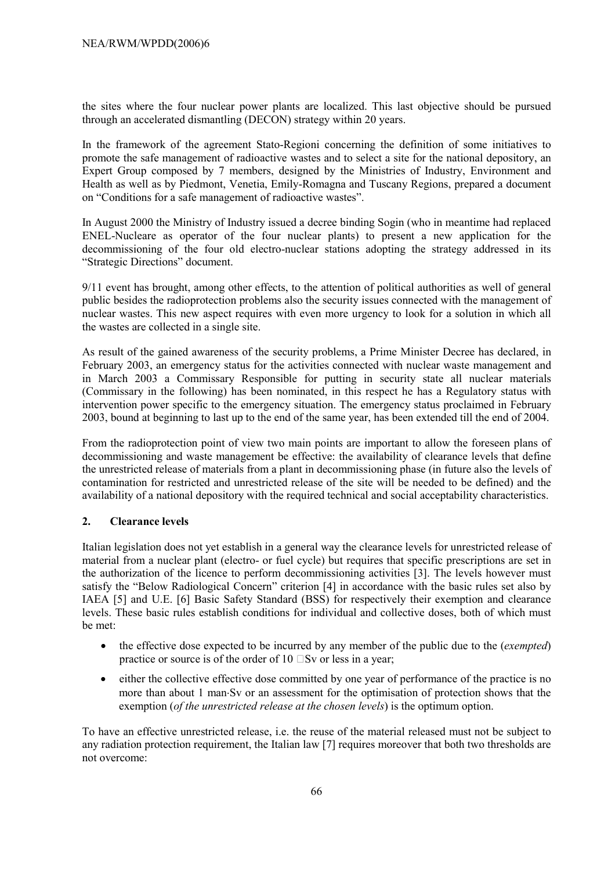the sites where the four nuclear power plants are localized. This last objective should be pursued through an accelerated dismantling (DECON) strategy within 20 years.

In the framework of the agreement Stato-Regioni concerning the definition of some initiatives to promote the safe management of radioactive wastes and to select a site for the national depository, an Expert Group composed by 7 members, designed by the Ministries of Industry, Environment and Health as well as by Piedmont, Venetia, Emily-Romagna and Tuscany Regions, prepared a document on "Conditions for a safe management of radioactive wastes".

In August 2000 the Ministry of Industry issued a decree binding Sogin (who in meantime had replaced ENEL-Nucleare as operator of the four nuclear plants) to present a new application for the decommissioning of the four old electro-nuclear stations adopting the strategy addressed in its "Strategic Directions" document.

9/11 event has brought, among other effects, to the attention of political authorities as well of general public besides the radioprotection problems also the security issues connected with the management of nuclear wastes. This new aspect requires with even more urgency to look for a solution in which all the wastes are collected in a single site.

As result of the gained awareness of the security problems, a Prime Minister Decree has declared, in February 2003, an emergency status for the activities connected with nuclear waste management and in March 2003 a Commissary Responsible for putting in security state all nuclear materials (Commissary in the following) has been nominated, in this respect he has a Regulatory status with intervention power specific to the emergency situation. The emergency status proclaimed in February 2003, bound at beginning to last up to the end of the same year, has been extended till the end of 2004.

From the radioprotection point of view two main points are important to allow the foreseen plans of decommissioning and waste management be effective: the availability of clearance levels that define the unrestricted release of materials from a plant in decommissioning phase (in future also the levels of contamination for restricted and unrestricted release of the site will be needed to be defined) and the availability of a national depository with the required technical and social acceptability characteristics.

# **2. Clearance levels**

Italian legislation does not yet establish in a general way the clearance levels for unrestricted release of material from a nuclear plant (electro- or fuel cycle) but requires that specific prescriptions are set in the authorization of the licence to perform decommissioning activities [3]. The levels however must satisfy the "Below Radiological Concern" criterion [4] in accordance with the basic rules set also by IAEA [5] and U.E. [6] Basic Safety Standard (BSS) for respectively their exemption and clearance levels. These basic rules establish conditions for individual and collective doses, both of which must be met:

- the effective dose expected to be incurred by any member of the public due to the (*exempted*) practice or source is of the order of 10 Sv or less in a year;
- either the collective effective dose committed by one year of performance of the practice is no more than about 1 man⋅Sv or an assessment for the optimisation of protection shows that the exemption (*of the unrestricted release at the chosen levels*) is the optimum option.

To have an effective unrestricted release, i.e. the reuse of the material released must not be subject to any radiation protection requirement, the Italian law [7] requires moreover that both two thresholds are not overcome: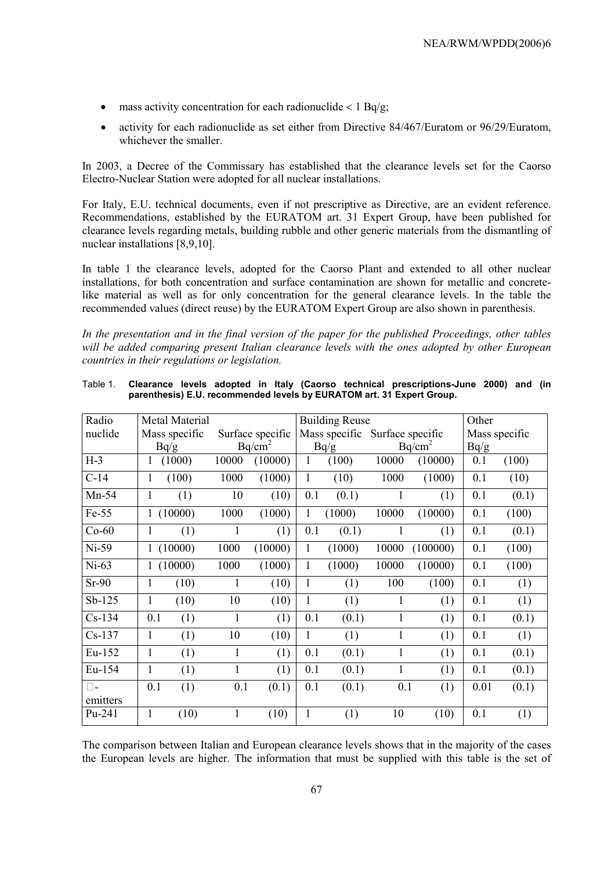- mass activity concentration for each radionuclide  $< 1$  Bq/g;
- activity for each radionuclide as set either from Directive 84/467/Euratom or 96/29/Euratom, whichever the smaller.

In 2003, a Decree of the Commissary has established that the clearance levels set for the Caorso Electro-Nuclear Station were adopted for all nuclear installations.

For Italy, E.U. technical documents, even if not prescriptive as Directive, are an evident reference. Recommendations, established by the EURATOM art. 31 Expert Group, have been published for clearance levels regarding metals, building rubble and other generic materials from the dismantling of nuclear installations [8,9,10].

In table 1 the clearance levels, adopted for the Caorso Plant and extended to all other nuclear installations, for both concentration and surface contamination are shown for metallic and concretelike material as well as for only concentration for the general clearance levels. In the table the recommended values (direct reuse) by the EURATOM Expert Group are also shown in parenthesis.

*In the presentation and in the final version of the paper for the published Proceedings, other tables will be added comparing present Italian clearance levels with the ones adopted by other European countries in their regulations or legislation.* 

| Radio    | <b>Metal Material</b>             |                    |               |              | <b>Building Reuse</b> |                    |               |      | Other |  |
|----------|-----------------------------------|--------------------|---------------|--------------|-----------------------|--------------------|---------------|------|-------|--|
| nuclide  | Mass specific<br>Surface specific |                    | Mass specific |              | Surface specific      |                    | Mass specific |      |       |  |
|          | Bq/g                              | Bq/cm <sup>2</sup> |               | Bq/g         |                       | Bq/cm <sup>2</sup> |               | Bq/g |       |  |
| $H-3$    | (1000)<br>1                       | 10000              | (10000)       | 1            | (100)                 | 10000              | (10000)       | 0.1  | (100) |  |
| $C-14$   | (100)<br>1                        | 1000               | (1000)        | $\mathbf{1}$ | (10)                  | 1000               | (1000)        | 0.1  | (10)  |  |
| $Mn-54$  | (1)<br>1                          | 10                 | (10)          | 0.1          | (0.1)                 | 1                  | (1)           | 0.1  | (0.1) |  |
| Fe-55    | (10000)<br>1                      | 1000               | (1000)        | $\mathbf{1}$ | (1000)                | 10000              | (10000)       | 0.1  | (100) |  |
| $Co-60$  | (1)<br>1                          | 1                  | (1)           | 0.1          | (0.1)                 |                    | (1)           | 0.1  | (0.1) |  |
| Ni-59    | (10000)                           | 1000               | (10000)       | 1            | (1000)                | 10000              | (100000)      | 0.1  | (100) |  |
| $Ni-63$  | (10000)<br>1                      | 1000               | (1000)        | $\mathbf{1}$ | (1000)                | 10000              | (10000)       | 0.1  | (100) |  |
| $Sr-90$  | (10)<br>1                         |                    | (10)          | $\mathbf{1}$ | (1)                   | 100                | (100)         | 0.1  | (1)   |  |
| $Sb-125$ | 1<br>(10)                         | 10                 | (10)          | $\mathbf{1}$ | (1)                   |                    | (1)           | 0.1  | (1)   |  |
| $Cs-134$ | 0.1<br>(1)                        |                    | (1)           | 0.1          | (0.1)                 |                    | (1)           | 0.1  | (0.1) |  |
| $Cs-137$ | 1<br>(1)                          | 10                 | (10)          | $\mathbf{1}$ | (1)                   | 1                  | (1)           | 0.1  | (1)   |  |
| Eu-152   | (1)<br>1                          | 1                  | (1)           | 0.1          | (0.1)                 | 1                  | (1)           | 0.1  | (0.1) |  |
| Eu-154   | 1<br>(1)                          | $\mathbf{1}$       | (1)           | 0.1          | (0.1)                 | 1                  | (1)           | 0.1  | (0.1) |  |
| emitters | 0.1<br>(1)                        | 0.1                | (0.1)         | 0.1          | (0.1)                 | 0.1                | (1)           | 0.01 | (0.1) |  |
| Pu-241   | 1<br>(10)                         |                    | (10)          | $\mathbf{1}$ | (1)                   | 10                 | (10)          | 0.1  | (1)   |  |

Table 1. **Clearance levels adopted in Italy (Caorso technical prescriptions-June 2000) and (in parenthesis) E.U. recommended levels by EURATOM art. 31 Expert Group.** 

The comparison between Italian and European clearance levels shows that in the majority of the cases the European levels are higher. The information that must be supplied with this table is the set of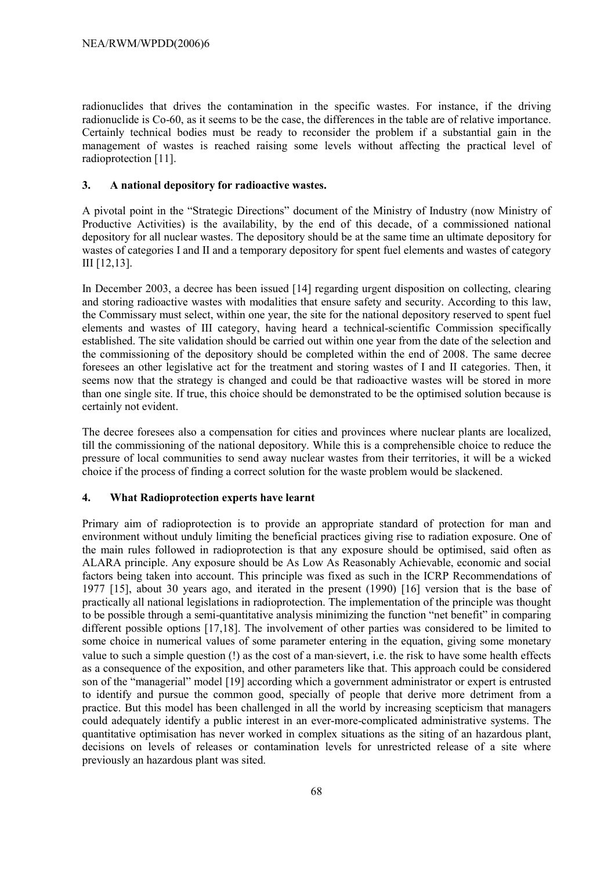radionuclides that drives the contamination in the specific wastes. For instance, if the driving radionuclide is Co-60, as it seems to be the case, the differences in the table are of relative importance. Certainly technical bodies must be ready to reconsider the problem if a substantial gain in the management of wastes is reached raising some levels without affecting the practical level of radioprotection [11].

# **3. A national depository for radioactive wastes.**

A pivotal point in the "Strategic Directions" document of the Ministry of Industry (now Ministry of Productive Activities) is the availability, by the end of this decade, of a commissioned national depository for all nuclear wastes. The depository should be at the same time an ultimate depository for wastes of categories I and II and a temporary depository for spent fuel elements and wastes of category III [12,13].

In December 2003, a decree has been issued [14] regarding urgent disposition on collecting, clearing and storing radioactive wastes with modalities that ensure safety and security. According to this law, the Commissary must select, within one year, the site for the national depository reserved to spent fuel elements and wastes of III category, having heard a technical-scientific Commission specifically established. The site validation should be carried out within one year from the date of the selection and the commissioning of the depository should be completed within the end of 2008. The same decree foresees an other legislative act for the treatment and storing wastes of I and II categories. Then, it seems now that the strategy is changed and could be that radioactive wastes will be stored in more than one single site. If true, this choice should be demonstrated to be the optimised solution because is certainly not evident.

The decree foresees also a compensation for cities and provinces where nuclear plants are localized, till the commissioning of the national depository. While this is a comprehensible choice to reduce the pressure of local communities to send away nuclear wastes from their territories, it will be a wicked choice if the process of finding a correct solution for the waste problem would be slackened.

# **4. What Radioprotection experts have learnt**

Primary aim of radioprotection is to provide an appropriate standard of protection for man and environment without unduly limiting the beneficial practices giving rise to radiation exposure. One of the main rules followed in radioprotection is that any exposure should be optimised, said often as ALARA principle. Any exposure should be As Low As Reasonably Achievable, economic and social factors being taken into account. This principle was fixed as such in the ICRP Recommendations of 1977 [15], about 30 years ago, and iterated in the present (1990) [16] version that is the base of practically all national legislations in radioprotection. The implementation of the principle was thought to be possible through a semi-quantitative analysis minimizing the function "net benefit" in comparing different possible options [17,18]. The involvement of other parties was considered to be limited to some choice in numerical values of some parameter entering in the equation, giving some monetary value to such a simple question (!) as the cost of a man⋅sievert, i.e. the risk to have some health effects as a consequence of the exposition, and other parameters like that. This approach could be considered son of the "managerial" model [19] according which a government administrator or expert is entrusted to identify and pursue the common good, specially of people that derive more detriment from a practice. But this model has been challenged in all the world by increasing scepticism that managers could adequately identify a public interest in an ever-more-complicated administrative systems. The quantitative optimisation has never worked in complex situations as the siting of an hazardous plant, decisions on levels of releases or contamination levels for unrestricted release of a site where previously an hazardous plant was sited.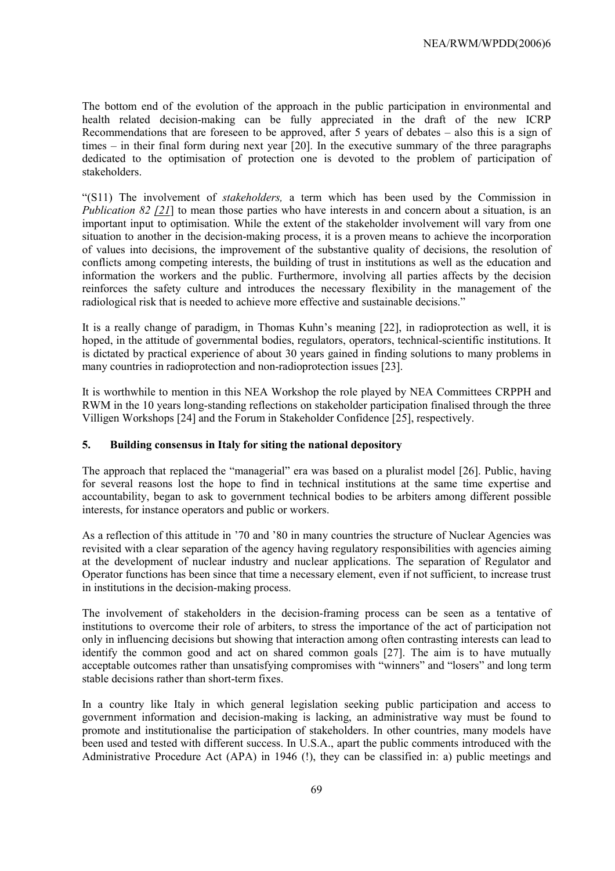The bottom end of the evolution of the approach in the public participation in environmental and health related decision-making can be fully appreciated in the draft of the new ICRP Recommendations that are foreseen to be approved, after 5 years of debates  $-$  also this is a sign of times  $-$  in their final form during next year [20]. In the executive summary of the three paragraphs dedicated to the optimisation of protection one is devoted to the problem of participation of stakeholders.

ì(S11) The involvement of *stakeholders,* a term which has been used by the Commission in *Publication 82 [21*] to mean those parties who have interests in and concern about a situation, is an important input to optimisation. While the extent of the stakeholder involvement will vary from one situation to another in the decision-making process, it is a proven means to achieve the incorporation of values into decisions, the improvement of the substantive quality of decisions, the resolution of conflicts among competing interests, the building of trust in institutions as well as the education and information the workers and the public. Furthermore, involving all parties affects by the decision reinforces the safety culture and introduces the necessary flexibility in the management of the radiological risk that is needed to achieve more effective and sustainable decisions."

It is a really change of paradigm, in Thomas Kuhn's meaning [22], in radioprotection as well, it is hoped, in the attitude of governmental bodies, regulators, operators, technical-scientific institutions. It is dictated by practical experience of about 30 years gained in finding solutions to many problems in many countries in radioprotection and non-radioprotection issues [23].

It is worthwhile to mention in this NEA Workshop the role played by NEA Committees CRPPH and RWM in the 10 years long-standing reflections on stakeholder participation finalised through the three Villigen Workshops [24] and the Forum in Stakeholder Confidence [25], respectively.

#### **5. Building consensus in Italy for siting the national depository**

The approach that replaced the "managerial" era was based on a pluralist model [26]. Public, having for several reasons lost the hope to find in technical institutions at the same time expertise and accountability, began to ask to government technical bodies to be arbiters among different possible interests, for instance operators and public or workers.

As a reflection of this attitude in '70 and '80 in many countries the structure of Nuclear Agencies was revisited with a clear separation of the agency having regulatory responsibilities with agencies aiming at the development of nuclear industry and nuclear applications. The separation of Regulator and Operator functions has been since that time a necessary element, even if not sufficient, to increase trust in institutions in the decision-making process.

The involvement of stakeholders in the decision-framing process can be seen as a tentative of institutions to overcome their role of arbiters, to stress the importance of the act of participation not only in influencing decisions but showing that interaction among often contrasting interests can lead to identify the common good and act on shared common goals [27]. The aim is to have mutually acceptable outcomes rather than unsatisfying compromises with "winners" and "losers" and long term stable decisions rather than short-term fixes.

In a country like Italy in which general legislation seeking public participation and access to government information and decision-making is lacking, an administrative way must be found to promote and institutionalise the participation of stakeholders. In other countries, many models have been used and tested with different success. In U.S.A., apart the public comments introduced with the Administrative Procedure Act (APA) in 1946 (!), they can be classified in: a) public meetings and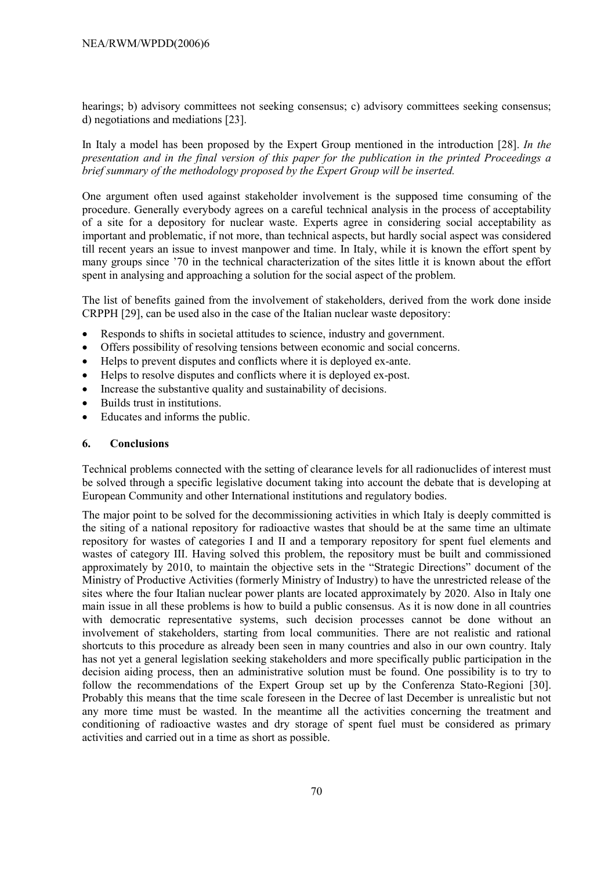hearings; b) advisory committees not seeking consensus; c) advisory committees seeking consensus; d) negotiations and mediations [23].

In Italy a model has been proposed by the Expert Group mentioned in the introduction [28]. *In the presentation and in the final version of this paper for the publication in the printed Proceedings a brief summary of the methodology proposed by the Expert Group will be inserted.* 

One argument often used against stakeholder involvement is the supposed time consuming of the procedure. Generally everybody agrees on a careful technical analysis in the process of acceptability of a site for a depository for nuclear waste. Experts agree in considering social acceptability as important and problematic, if not more, than technical aspects, but hardly social aspect was considered till recent years an issue to invest manpower and time. In Italy, while it is known the effort spent by many groups since '70 in the technical characterization of the sites little it is known about the effort spent in analysing and approaching a solution for the social aspect of the problem.

The list of benefits gained from the involvement of stakeholders, derived from the work done inside CRPPH [29], can be used also in the case of the Italian nuclear waste depository:

- Responds to shifts in societal attitudes to science, industry and government.
- Offers possibility of resolving tensions between economic and social concerns.
- Helps to prevent disputes and conflicts where it is deployed ex-ante.
- Helps to resolve disputes and conflicts where it is deployed ex-post.
- Increase the substantive quality and sustainability of decisions.
- Builds trust in institutions.
- Educates and informs the public.

# **6. Conclusions**

Technical problems connected with the setting of clearance levels for all radionuclides of interest must be solved through a specific legislative document taking into account the debate that is developing at European Community and other International institutions and regulatory bodies.

The major point to be solved for the decommissioning activities in which Italy is deeply committed is the siting of a national repository for radioactive wastes that should be at the same time an ultimate repository for wastes of categories I and II and a temporary repository for spent fuel elements and wastes of category III. Having solved this problem, the repository must be built and commissioned approximately by 2010, to maintain the objective sets in the "Strategic Directions" document of the Ministry of Productive Activities (formerly Ministry of Industry) to have the unrestricted release of the sites where the four Italian nuclear power plants are located approximately by 2020. Also in Italy one main issue in all these problems is how to build a public consensus. As it is now done in all countries with democratic representative systems, such decision processes cannot be done without an involvement of stakeholders, starting from local communities. There are not realistic and rational shortcuts to this procedure as already been seen in many countries and also in our own country. Italy has not yet a general legislation seeking stakeholders and more specifically public participation in the decision aiding process, then an administrative solution must be found. One possibility is to try to follow the recommendations of the Expert Group set up by the Conferenza Stato-Regioni [30]. Probably this means that the time scale foreseen in the Decree of last December is unrealistic but not any more time must be wasted. In the meantime all the activities concerning the treatment and conditioning of radioactive wastes and dry storage of spent fuel must be considered as primary activities and carried out in a time as short as possible.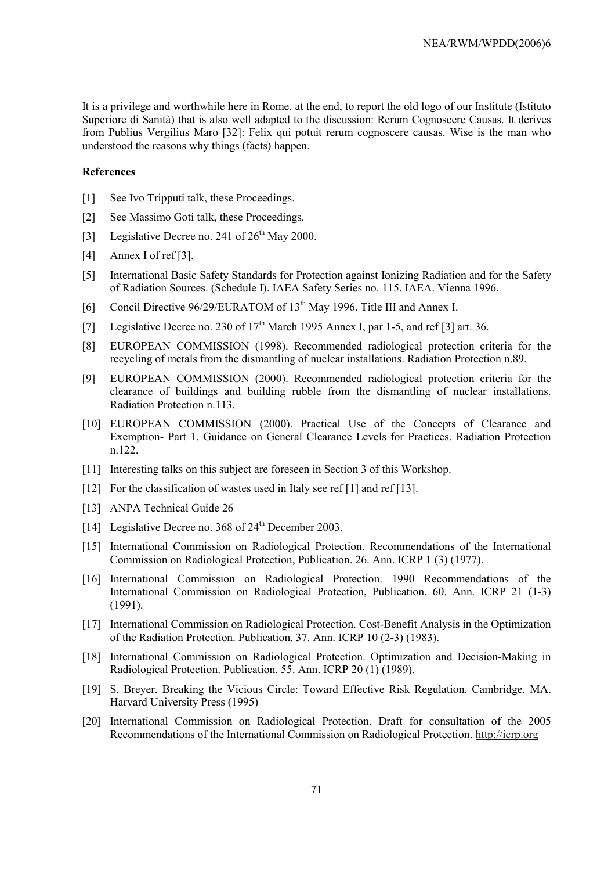It is a privilege and worthwhile here in Rome, at the end, to report the old logo of our Institute (Istituto Superiore di Sanità) that is also well adapted to the discussion: Rerum Cognoscere Causas. It derives from Publius Vergilius Maro [32]: Felix qui potuit rerum cognoscere causas. Wise is the man who understood the reasons why things (facts) happen.

#### **References**

- [1] See Ivo Tripputi talk, these Proceedings.
- [2] See Massimo Goti talk, these Proceedings.
- [3] Legislative Decree no. 241 of  $26<sup>th</sup>$  May 2000.
- [4] Annex I of ref [3].
- [5] International Basic Safety Standards for Protection against Ionizing Radiation and for the Safety of Radiation Sources. (Schedule I). IAEA Safety Series no. 115. IAEA. Vienna 1996.
- [6] Concil Directive 96/29/EURATOM of 13<sup>th</sup> May 1996. Title III and Annex I.
- [7] Legislative Decree no. 230 of  $17<sup>th</sup>$  March 1995 Annex I, par 1-5, and ref [3] art. 36.
- [8] EUROPEAN COMMISSION (1998). Recommended radiological protection criteria for the recycling of metals from the dismantling of nuclear installations. Radiation Protection n.89.
- [9] EUROPEAN COMMISSION (2000). Recommended radiological protection criteria for the clearance of buildings and building rubble from the dismantling of nuclear installations. Radiation Protection n.113.
- [10] EUROPEAN COMMISSION (2000). Practical Use of the Concepts of Clearance and Exemption- Part 1. Guidance on General Clearance Levels for Practices. Radiation Protection n.122.
- [11] Interesting talks on this subject are foreseen in Section 3 of this Workshop.
- [12] For the classification of wastes used in Italy see ref [1] and ref [13].
- [13] ANPA Technical Guide 26
- [14] Legislative Decree no. 368 of 24<sup>th</sup> December 2003.
- [15] International Commission on Radiological Protection. Recommendations of the International Commission on Radiological Protection, Publication. 26. Ann. ICRP 1 (3) (1977).
- [16] International Commission on Radiological Protection. 1990 Recommendations of the International Commission on Radiological Protection, Publication. 60. Ann. ICRP 21 (1-3) (1991).
- [17] International Commission on Radiological Protection. Cost-Benefit Analysis in the Optimization of the Radiation Protection. Publication. 37. Ann. ICRP 10 (2-3) (1983).
- [18] International Commission on Radiological Protection. Optimization and Decision-Making in Radiological Protection. Publication. 55. Ann. ICRP 20 (1) (1989).
- [19] S. Breyer. Breaking the Vicious Circle: Toward Effective Risk Regulation. Cambridge, MA. Harvard University Press (1995)
- [20] International Commission on Radiological Protection. Draft for consultation of the 2005 Recommendations of the International Commission on Radiological Protection. http://icrp.org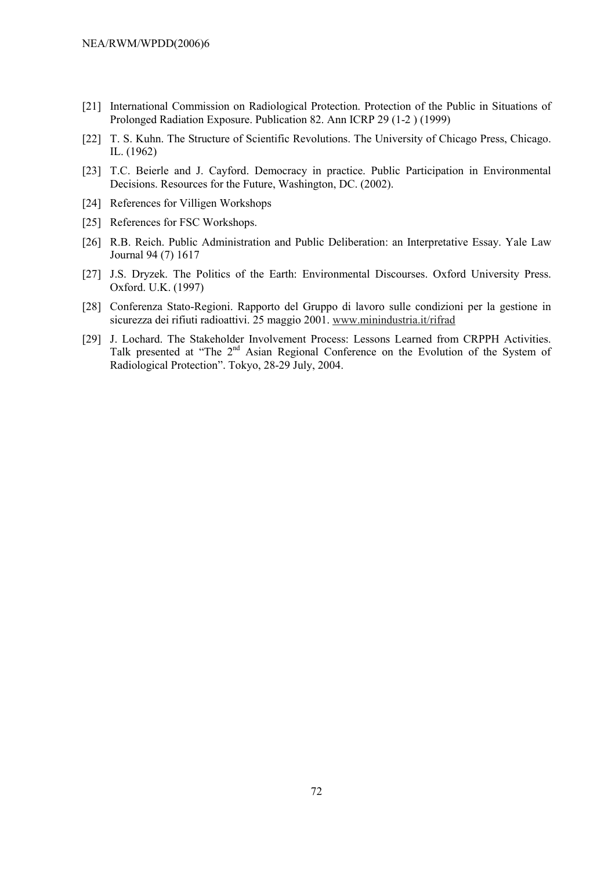- [21] International Commission on Radiological Protection. Protection of the Public in Situations of Prolonged Radiation Exposure. Publication 82. Ann ICRP 29 (1-2 ) (1999)
- [22] T. S. Kuhn. The Structure of Scientific Revolutions. The University of Chicago Press, Chicago. IL. (1962)
- [23] T.C. Beierle and J. Cayford. Democracy in practice. Public Participation in Environmental Decisions. Resources for the Future, Washington, DC. (2002).
- [24] References for Villigen Workshops
- [25] References for FSC Workshops.
- [26] R.B. Reich. Public Administration and Public Deliberation: an Interpretative Essay. Yale Law Journal 94 (7) 1617
- [27] J.S. Dryzek. The Politics of the Earth: Environmental Discourses. Oxford University Press. Oxford. U.K. (1997)
- [28] Conferenza Stato-Regioni. Rapporto del Gruppo di lavoro sulle condizioni per la gestione in sicurezza dei rifiuti radioattivi. 25 maggio 2001. www.minindustria.it/rifrad
- [29] J. Lochard. The Stakeholder Involvement Process: Lessons Learned from CRPPH Activities. Talk presented at "The  $2<sup>nd</sup>$  Asian Regional Conference on the Evolution of the System of Radiological Protection". Tokyo, 28-29 July, 2004.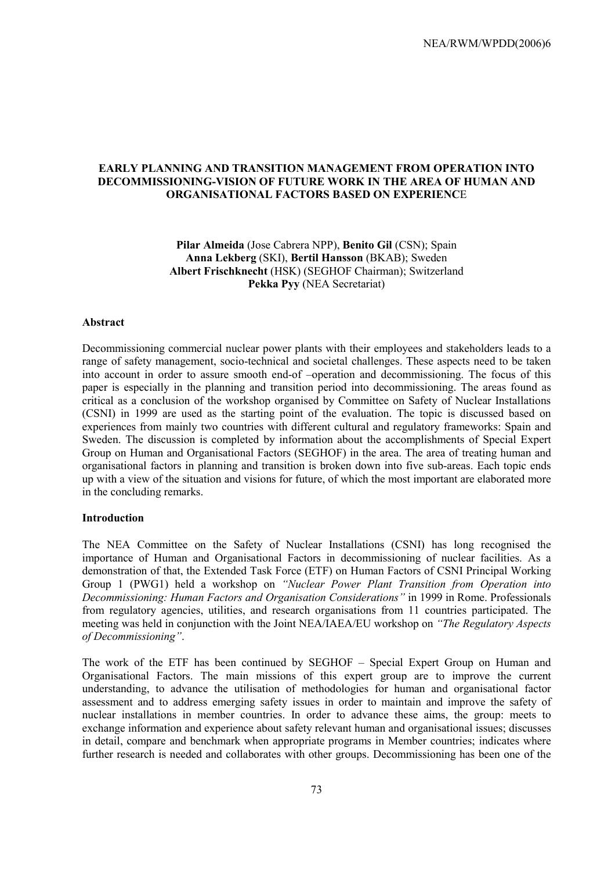NEA/RWM/WPDD(2006)6

#### **EARLY PLANNING AND TRANSITION MANAGEMENT FROM OPERATION INTO DECOMMISSIONING-VISION OF FUTURE WORK IN THE AREA OF HUMAN AND ORGANISATIONAL FACTORS BASED ON EXPERIENC**E

## **Pilar Almeida** (Jose Cabrera NPP), **Benito Gil** (CSN); Spain **Anna Lekberg** (SKI), **Bertil Hansson** (BKAB); Sweden **Albert Frischknecht** (HSK) (SEGHOF Chairman); Switzerland **Pekka Pyy** (NEA Secretariat)

#### **Abstract**

Decommissioning commercial nuclear power plants with their employees and stakeholders leads to a range of safety management, socio-technical and societal challenges. These aspects need to be taken into account in order to assure smooth end-of -operation and decommissioning. The focus of this paper is especially in the planning and transition period into decommissioning. The areas found as critical as a conclusion of the workshop organised by Committee on Safety of Nuclear Installations (CSNI) in 1999 are used as the starting point of the evaluation. The topic is discussed based on experiences from mainly two countries with different cultural and regulatory frameworks: Spain and Sweden. The discussion is completed by information about the accomplishments of Special Expert Group on Human and Organisational Factors (SEGHOF) in the area. The area of treating human and organisational factors in planning and transition is broken down into five sub-areas. Each topic ends up with a view of the situation and visions for future, of which the most important are elaborated more in the concluding remarks.

#### **Introduction**

The NEA Committee on the Safety of Nuclear Installations (CSNI) has long recognised the importance of Human and Organisational Factors in decommissioning of nuclear facilities. As a demonstration of that, the Extended Task Force (ETF) on Human Factors of CSNI Principal Working Group 1 (PWG1) held a workshop on *"Nuclear Power Plant Transition from Operation into Decommissioning: Human Factors and Organisation Considerationsî* in 1999 in Rome. Professionals from regulatory agencies, utilities, and research organisations from 11 countries participated. The meeting was held in conjunction with the Joint NEA/IAEA/EU workshop on *ìThe Regulatory Aspects of Decommissioning*".

The work of the ETF has been continued by  $SEGHOF - Special Expert Group on Human and$ Organisational Factors. The main missions of this expert group are to improve the current understanding, to advance the utilisation of methodologies for human and organisational factor assessment and to address emerging safety issues in order to maintain and improve the safety of nuclear installations in member countries. In order to advance these aims, the group: meets to exchange information and experience about safety relevant human and organisational issues; discusses in detail, compare and benchmark when appropriate programs in Member countries; indicates where further research is needed and collaborates with other groups. Decommissioning has been one of the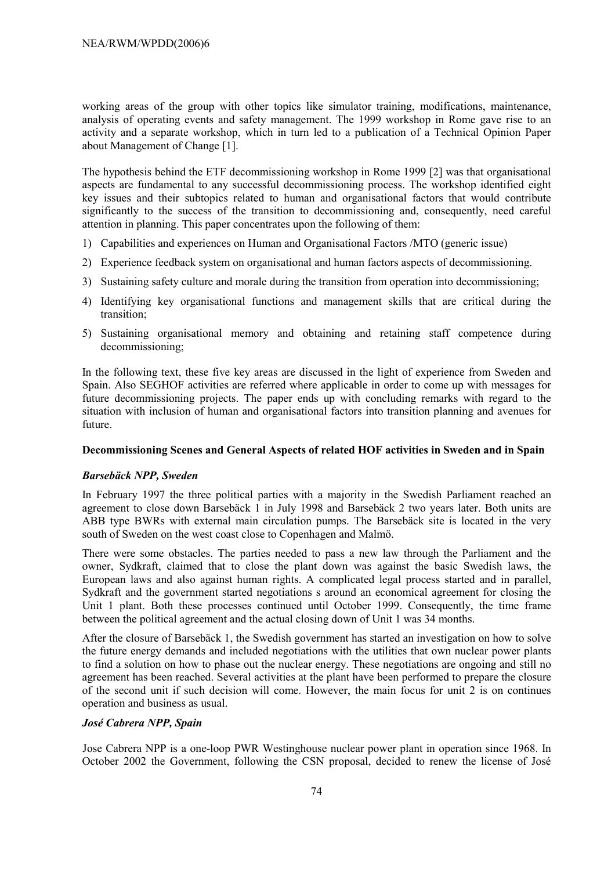working areas of the group with other topics like simulator training, modifications, maintenance, analysis of operating events and safety management. The 1999 workshop in Rome gave rise to an activity and a separate workshop, which in turn led to a publication of a Technical Opinion Paper about Management of Change [1].

The hypothesis behind the ETF decommissioning workshop in Rome 1999 [2] was that organisational aspects are fundamental to any successful decommissioning process. The workshop identified eight key issues and their subtopics related to human and organisational factors that would contribute significantly to the success of the transition to decommissioning and, consequently, need careful attention in planning. This paper concentrates upon the following of them:

- 1) Capabilities and experiences on Human and Organisational Factors /MTO (generic issue)
- 2) Experience feedback system on organisational and human factors aspects of decommissioning.
- 3) Sustaining safety culture and morale during the transition from operation into decommissioning;
- 4) Identifying key organisational functions and management skills that are critical during the transition;
- 5) Sustaining organisational memory and obtaining and retaining staff competence during decommissioning;

In the following text, these five key areas are discussed in the light of experience from Sweden and Spain. Also SEGHOF activities are referred where applicable in order to come up with messages for future decommissioning projects. The paper ends up with concluding remarks with regard to the situation with inclusion of human and organisational factors into transition planning and avenues for future.

## **Decommissioning Scenes and General Aspects of related HOF activities in Sweden and in Spain**

## *Barseb‰ck NPP, Sweden*

In February 1997 the three political parties with a majority in the Swedish Parliament reached an agreement to close down Barsebäck 1 in July 1998 and Barsebäck 2 two years later. Both units are ABB type BWRs with external main circulation pumps. The Barsebäck site is located in the very south of Sweden on the west coast close to Copenhagen and Malmö.

There were some obstacles. The parties needed to pass a new law through the Parliament and the owner, Sydkraft, claimed that to close the plant down was against the basic Swedish laws, the European laws and also against human rights. A complicated legal process started and in parallel, Sydkraft and the government started negotiations s around an economical agreement for closing the Unit 1 plant. Both these processes continued until October 1999. Consequently, the time frame between the political agreement and the actual closing down of Unit 1 was 34 months.

After the closure of Barsebäck 1, the Swedish government has started an investigation on how to solve the future energy demands and included negotiations with the utilities that own nuclear power plants to find a solution on how to phase out the nuclear energy. These negotiations are ongoing and still no agreement has been reached. Several activities at the plant have been performed to prepare the closure of the second unit if such decision will come. However, the main focus for unit 2 is on continues operation and business as usual.

## *JosÈ Cabrera NPP, Spain*

Jose Cabrera NPP is a one-loop PWR Westinghouse nuclear power plant in operation since 1968. In October 2002 the Government, following the CSN proposal, decided to renew the license of JosÈ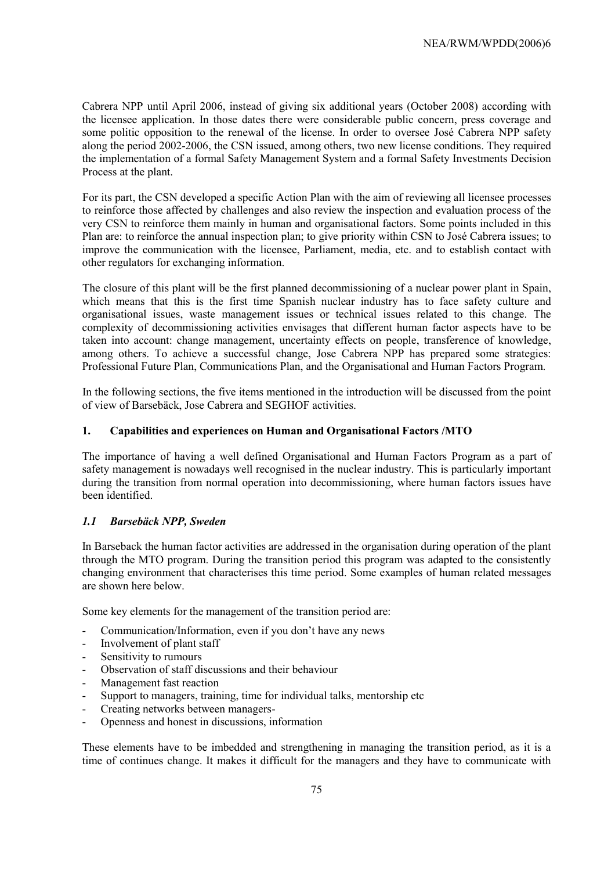Cabrera NPP until April 2006, instead of giving six additional years (October 2008) according with the licensee application. In those dates there were considerable public concern, press coverage and some politic opposition to the renewal of the license. In order to oversee José Cabrera NPP safety along the period 2002-2006, the CSN issued, among others, two new license conditions. They required the implementation of a formal Safety Management System and a formal Safety Investments Decision Process at the plant.

For its part, the CSN developed a specific Action Plan with the aim of reviewing all licensee processes to reinforce those affected by challenges and also review the inspection and evaluation process of the very CSN to reinforce them mainly in human and organisational factors. Some points included in this Plan are: to reinforce the annual inspection plan; to give priority within CSN to José Cabrera issues; to improve the communication with the licensee, Parliament, media, etc. and to establish contact with other regulators for exchanging information.

The closure of this plant will be the first planned decommissioning of a nuclear power plant in Spain, which means that this is the first time Spanish nuclear industry has to face safety culture and organisational issues, waste management issues or technical issues related to this change. The complexity of decommissioning activities envisages that different human factor aspects have to be taken into account: change management, uncertainty effects on people, transference of knowledge, among others. To achieve a successful change, Jose Cabrera NPP has prepared some strategies: Professional Future Plan, Communications Plan, and the Organisational and Human Factors Program.

In the following sections, the five items mentioned in the introduction will be discussed from the point of view of Barsebäck, Jose Cabrera and SEGHOF activities.

## **1. Capabilities and experiences on Human and Organisational Factors /MTO**

The importance of having a well defined Organisational and Human Factors Program as a part of safety management is nowadays well recognised in the nuclear industry. This is particularly important during the transition from normal operation into decommissioning, where human factors issues have been identified.

## *1.1 Barseb‰ck NPP, Sweden*

In Barseback the human factor activities are addressed in the organisation during operation of the plant through the MTO program. During the transition period this program was adapted to the consistently changing environment that characterises this time period. Some examples of human related messages are shown here below.

Some key elements for the management of the transition period are:

- Communication/Information, even if you don't have any news
- Involvement of plant staff
- Sensitivity to rumours
- Observation of staff discussions and their behaviour
- Management fast reaction
- Support to managers, training, time for individual talks, mentorship etc
- Creating networks between managers-
- Openness and honest in discussions, information

These elements have to be imbedded and strengthening in managing the transition period, as it is a time of continues change. It makes it difficult for the managers and they have to communicate with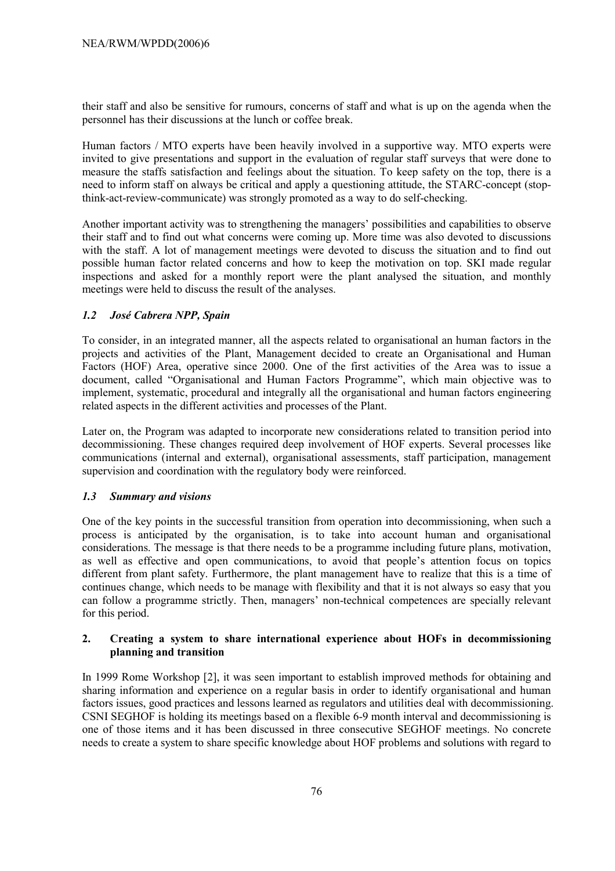their staff and also be sensitive for rumours, concerns of staff and what is up on the agenda when the personnel has their discussions at the lunch or coffee break.

Human factors / MTO experts have been heavily involved in a supportive way. MTO experts were invited to give presentations and support in the evaluation of regular staff surveys that were done to measure the staffs satisfaction and feelings about the situation. To keep safety on the top, there is a need to inform staff on always be critical and apply a questioning attitude, the STARC-concept (stopthink-act-review-communicate) was strongly promoted as a way to do self-checking.

Another important activity was to strengthening the managers' possibilities and capabilities to observe their staff and to find out what concerns were coming up. More time was also devoted to discussions with the staff. A lot of management meetings were devoted to discuss the situation and to find out possible human factor related concerns and how to keep the motivation on top. SKI made regular inspections and asked for a monthly report were the plant analysed the situation, and monthly meetings were held to discuss the result of the analyses.

# *1.2 JosÈ Cabrera NPP, Spain*

To consider, in an integrated manner, all the aspects related to organisational an human factors in the projects and activities of the Plant, Management decided to create an Organisational and Human Factors (HOF) Area, operative since 2000. One of the first activities of the Area was to issue a document, called "Organisational and Human Factors Programme", which main objective was to implement, systematic, procedural and integrally all the organisational and human factors engineering related aspects in the different activities and processes of the Plant.

Later on, the Program was adapted to incorporate new considerations related to transition period into decommissioning. These changes required deep involvement of HOF experts. Several processes like communications (internal and external), organisational assessments, staff participation, management supervision and coordination with the regulatory body were reinforced.

## *1.3 Summary and visions*

One of the key points in the successful transition from operation into decommissioning, when such a process is anticipated by the organisation, is to take into account human and organisational considerations. The message is that there needs to be a programme including future plans, motivation, as well as effective and open communications, to avoid that people's attention focus on topics different from plant safety. Furthermore, the plant management have to realize that this is a time of continues change, which needs to be manage with flexibility and that it is not always so easy that you can follow a programme strictly. Then, managers' non-technical competences are specially relevant for this period.

## **2. Creating a system to share international experience about HOFs in decommissioning planning and transition**

In 1999 Rome Workshop [2], it was seen important to establish improved methods for obtaining and sharing information and experience on a regular basis in order to identify organisational and human factors issues, good practices and lessons learned as regulators and utilities deal with decommissioning. CSNI SEGHOF is holding its meetings based on a flexible 6-9 month interval and decommissioning is one of those items and it has been discussed in three consecutive SEGHOF meetings. No concrete needs to create a system to share specific knowledge about HOF problems and solutions with regard to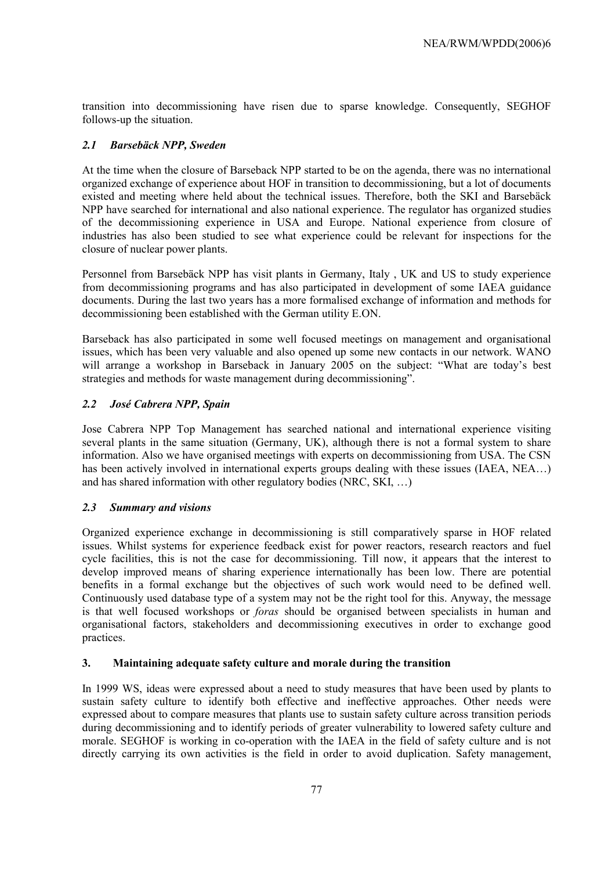transition into decommissioning have risen due to sparse knowledge. Consequently, SEGHOF follows-up the situation.

## *2.1 Barseb‰ck NPP, Sweden*

At the time when the closure of Barseback NPP started to be on the agenda, there was no international organized exchange of experience about HOF in transition to decommissioning, but a lot of documents existed and meeting where held about the technical issues. Therefore, both the SKI and Barsebäck NPP have searched for international and also national experience. The regulator has organized studies of the decommissioning experience in USA and Europe. National experience from closure of industries has also been studied to see what experience could be relevant for inspections for the closure of nuclear power plants.

Personnel from Barsebäck NPP has visit plants in Germany, Italy, UK and US to study experience from decommissioning programs and has also participated in development of some IAEA guidance documents. During the last two years has a more formalised exchange of information and methods for decommissioning been established with the German utility E.ON.

Barseback has also participated in some well focused meetings on management and organisational issues, which has been very valuable and also opened up some new contacts in our network. WANO will arrange a workshop in Barseback in January 2005 on the subject: "What are today's best strategies and methods for waste management during decommissioning".

# *2.2 JosÈ Cabrera NPP, Spain*

Jose Cabrera NPP Top Management has searched national and international experience visiting several plants in the same situation (Germany, UK), although there is not a formal system to share information. Also we have organised meetings with experts on decommissioning from USA. The CSN has been actively involved in international experts groups dealing with these issues (IAEA, NEA...) and has shared information with other regulatory bodies  $(NRC, SKI, ...)$ 

## *2.3 Summary and visions*

Organized experience exchange in decommissioning is still comparatively sparse in HOF related issues. Whilst systems for experience feedback exist for power reactors, research reactors and fuel cycle facilities, this is not the case for decommissioning. Till now, it appears that the interest to develop improved means of sharing experience internationally has been low. There are potential benefits in a formal exchange but the objectives of such work would need to be defined well. Continuously used database type of a system may not be the right tool for this. Anyway, the message is that well focused workshops or *foras* should be organised between specialists in human and organisational factors, stakeholders and decommissioning executives in order to exchange good practices.

## **3. Maintaining adequate safety culture and morale during the transition**

In 1999 WS, ideas were expressed about a need to study measures that have been used by plants to sustain safety culture to identify both effective and ineffective approaches. Other needs were expressed about to compare measures that plants use to sustain safety culture across transition periods during decommissioning and to identify periods of greater vulnerability to lowered safety culture and morale. SEGHOF is working in co-operation with the IAEA in the field of safety culture and is not directly carrying its own activities is the field in order to avoid duplication. Safety management,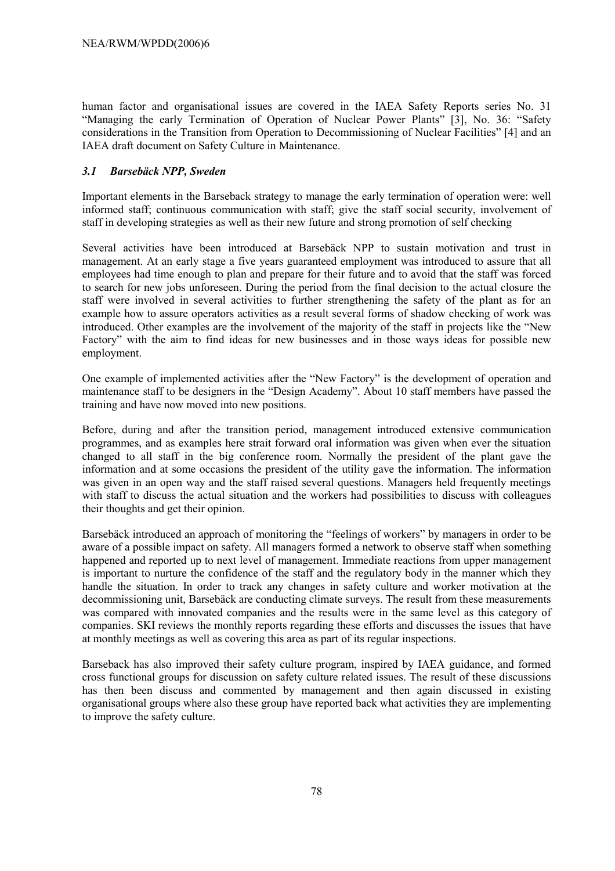human factor and organisational issues are covered in the IAEA Safety Reports series No. 31 "Managing the early Termination of Operation of Nuclear Power Plants" [3], No. 36: "Safety considerations in the Transition from Operation to Decommissioning of Nuclear Facilities" [4] and an IAEA draft document on Safety Culture in Maintenance.

# *3.1 Barseb‰ck NPP, Sweden*

Important elements in the Barseback strategy to manage the early termination of operation were: well informed staff; continuous communication with staff; give the staff social security, involvement of staff in developing strategies as well as their new future and strong promotion of self checking

Several activities have been introduced at Barsebäck NPP to sustain motivation and trust in management. At an early stage a five years guaranteed employment was introduced to assure that all employees had time enough to plan and prepare for their future and to avoid that the staff was forced to search for new jobs unforeseen. During the period from the final decision to the actual closure the staff were involved in several activities to further strengthening the safety of the plant as for an example how to assure operators activities as a result several forms of shadow checking of work was introduced. Other examples are the involvement of the majority of the staff in projects like the "New Factory" with the aim to find ideas for new businesses and in those ways ideas for possible new employment.

One example of implemented activities after the "New Factory" is the development of operation and maintenance staff to be designers in the "Design Academy". About 10 staff members have passed the training and have now moved into new positions.

Before, during and after the transition period, management introduced extensive communication programmes, and as examples here strait forward oral information was given when ever the situation changed to all staff in the big conference room. Normally the president of the plant gave the information and at some occasions the president of the utility gave the information. The information was given in an open way and the staff raised several questions. Managers held frequently meetings with staff to discuss the actual situation and the workers had possibilities to discuss with colleagues their thoughts and get their opinion.

Barsebäck introduced an approach of monitoring the "feelings of workers" by managers in order to be aware of a possible impact on safety. All managers formed a network to observe staff when something happened and reported up to next level of management. Immediate reactions from upper management is important to nurture the confidence of the staff and the regulatory body in the manner which they handle the situation. In order to track any changes in safety culture and worker motivation at the decommissioning unit, Barsebäck are conducting climate surveys. The result from these measurements was compared with innovated companies and the results were in the same level as this category of companies. SKI reviews the monthly reports regarding these efforts and discusses the issues that have at monthly meetings as well as covering this area as part of its regular inspections.

Barseback has also improved their safety culture program, inspired by IAEA guidance, and formed cross functional groups for discussion on safety culture related issues. The result of these discussions has then been discuss and commented by management and then again discussed in existing organisational groups where also these group have reported back what activities they are implementing to improve the safety culture.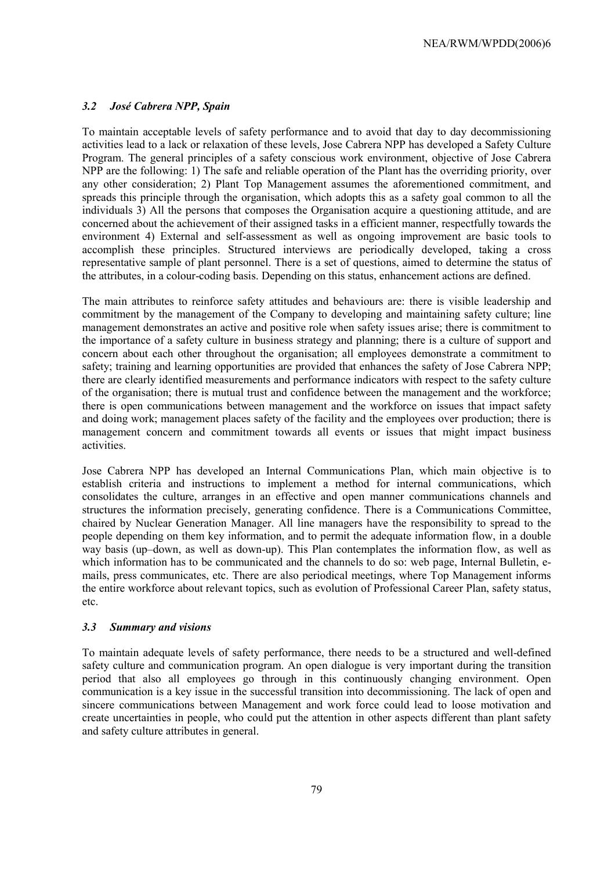#### *3.2 JosÈ Cabrera NPP, Spain*

To maintain acceptable levels of safety performance and to avoid that day to day decommissioning activities lead to a lack or relaxation of these levels, Jose Cabrera NPP has developed a Safety Culture Program. The general principles of a safety conscious work environment, objective of Jose Cabrera NPP are the following: 1) The safe and reliable operation of the Plant has the overriding priority, over any other consideration; 2) Plant Top Management assumes the aforementioned commitment, and spreads this principle through the organisation, which adopts this as a safety goal common to all the individuals 3) All the persons that composes the Organisation acquire a questioning attitude, and are concerned about the achievement of their assigned tasks in a efficient manner, respectfully towards the environment 4) External and self-assessment as well as ongoing improvement are basic tools to accomplish these principles. Structured interviews are periodically developed, taking a cross representative sample of plant personnel. There is a set of questions, aimed to determine the status of the attributes, in a colour-coding basis. Depending on this status, enhancement actions are defined.

The main attributes to reinforce safety attitudes and behaviours are: there is visible leadership and commitment by the management of the Company to developing and maintaining safety culture; line management demonstrates an active and positive role when safety issues arise; there is commitment to the importance of a safety culture in business strategy and planning; there is a culture of support and concern about each other throughout the organisation; all employees demonstrate a commitment to safety; training and learning opportunities are provided that enhances the safety of Jose Cabrera NPP; there are clearly identified measurements and performance indicators with respect to the safety culture of the organisation; there is mutual trust and confidence between the management and the workforce; there is open communications between management and the workforce on issues that impact safety and doing work; management places safety of the facility and the employees over production; there is management concern and commitment towards all events or issues that might impact business activities.

Jose Cabrera NPP has developed an Internal Communications Plan, which main objective is to establish criteria and instructions to implement a method for internal communications, which consolidates the culture, arranges in an effective and open manner communications channels and structures the information precisely, generating confidence. There is a Communications Committee, chaired by Nuclear Generation Manager. All line managers have the responsibility to spread to the people depending on them key information, and to permit the adequate information flow, in a double way basis (up-down, as well as down-up). This Plan contemplates the information flow, as well as which information has to be communicated and the channels to do so: web page, Internal Bulletin, emails, press communicates, etc. There are also periodical meetings, where Top Management informs the entire workforce about relevant topics, such as evolution of Professional Career Plan, safety status, etc.

## *3.3 Summary and visions*

To maintain adequate levels of safety performance, there needs to be a structured and well-defined safety culture and communication program. An open dialogue is very important during the transition period that also all employees go through in this continuously changing environment. Open communication is a key issue in the successful transition into decommissioning. The lack of open and sincere communications between Management and work force could lead to loose motivation and create uncertainties in people, who could put the attention in other aspects different than plant safety and safety culture attributes in general.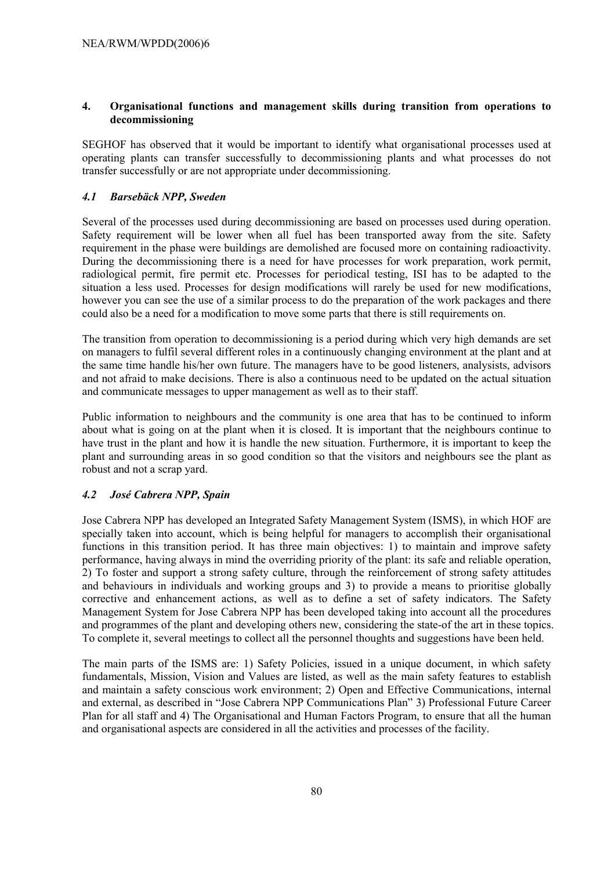# **4. Organisational functions and management skills during transition from operations to decommissioning**

SEGHOF has observed that it would be important to identify what organisational processes used at operating plants can transfer successfully to decommissioning plants and what processes do not transfer successfully or are not appropriate under decommissioning.

# *4.1 Barseb‰ck NPP, Sweden*

Several of the processes used during decommissioning are based on processes used during operation. Safety requirement will be lower when all fuel has been transported away from the site. Safety requirement in the phase were buildings are demolished are focused more on containing radioactivity. During the decommissioning there is a need for have processes for work preparation, work permit, radiological permit, fire permit etc. Processes for periodical testing, ISI has to be adapted to the situation a less used. Processes for design modifications will rarely be used for new modifications, however you can see the use of a similar process to do the preparation of the work packages and there could also be a need for a modification to move some parts that there is still requirements on.

The transition from operation to decommissioning is a period during which very high demands are set on managers to fulfil several different roles in a continuously changing environment at the plant and at the same time handle his/her own future. The managers have to be good listeners, analysists, advisors and not afraid to make decisions. There is also a continuous need to be updated on the actual situation and communicate messages to upper management as well as to their staff.

Public information to neighbours and the community is one area that has to be continued to inform about what is going on at the plant when it is closed. It is important that the neighbours continue to have trust in the plant and how it is handle the new situation. Furthermore, it is important to keep the plant and surrounding areas in so good condition so that the visitors and neighbours see the plant as robust and not a scrap yard.

# *4.2 JosÈ Cabrera NPP, Spain*

Jose Cabrera NPP has developed an Integrated Safety Management System (ISMS), in which HOF are specially taken into account, which is being helpful for managers to accomplish their organisational functions in this transition period. It has three main objectives: 1) to maintain and improve safety performance, having always in mind the overriding priority of the plant: its safe and reliable operation, 2) To foster and support a strong safety culture, through the reinforcement of strong safety attitudes and behaviours in individuals and working groups and 3) to provide a means to prioritise globally corrective and enhancement actions, as well as to define a set of safety indicators. The Safety Management System for Jose Cabrera NPP has been developed taking into account all the procedures and programmes of the plant and developing others new, considering the state-of the art in these topics. To complete it, several meetings to collect all the personnel thoughts and suggestions have been held.

The main parts of the ISMS are: 1) Safety Policies, issued in a unique document, in which safety fundamentals, Mission, Vision and Values are listed, as well as the main safety features to establish and maintain a safety conscious work environment; 2) Open and Effective Communications, internal and external, as described in "Jose Cabrera NPP Communications Plan" 3) Professional Future Career Plan for all staff and 4) The Organisational and Human Factors Program, to ensure that all the human and organisational aspects are considered in all the activities and processes of the facility.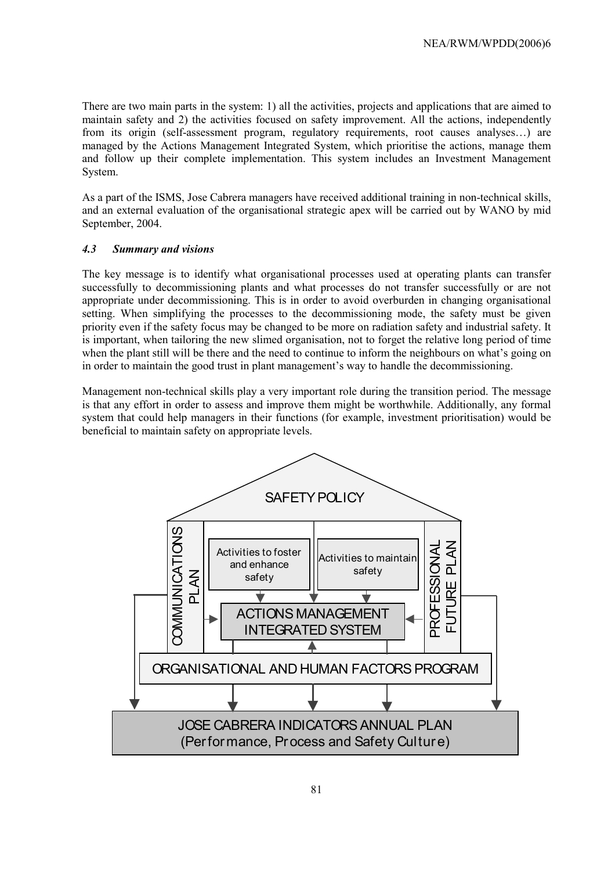There are two main parts in the system: 1) all the activities, projects and applications that are aimed to maintain safety and 2) the activities focused on safety improvement. All the actions, independently from its origin (self-assessment program, regulatory requirements, root causes analyses...) are managed by the Actions Management Integrated System, which prioritise the actions, manage them and follow up their complete implementation. This system includes an Investment Management System.

As a part of the ISMS, Jose Cabrera managers have received additional training in non-technical skills, and an external evaluation of the organisational strategic apex will be carried out by WANO by mid September, 2004.

#### *4.3 Summary and visions*

The key message is to identify what organisational processes used at operating plants can transfer successfully to decommissioning plants and what processes do not transfer successfully or are not appropriate under decommissioning. This is in order to avoid overburden in changing organisational setting. When simplifying the processes to the decommissioning mode, the safety must be given priority even if the safety focus may be changed to be more on radiation safety and industrial safety. It is important, when tailoring the new slimed organisation, not to forget the relative long period of time when the plant still will be there and the need to continue to inform the neighbours on what's going on in order to maintain the good trust in plant management's way to handle the decommissioning.

Management non-technical skills play a very important role during the transition period. The message is that any effort in order to assess and improve them might be worthwhile. Additionally, any formal system that could help managers in their functions (for example, investment prioritisation) would be beneficial to maintain safety on appropriate levels.

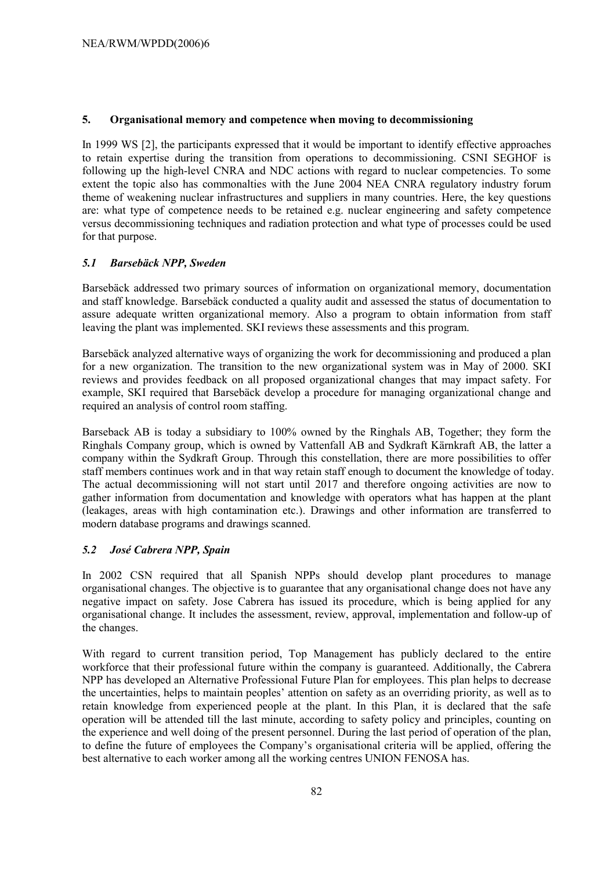## **5. Organisational memory and competence when moving to decommissioning**

In 1999 WS [2], the participants expressed that it would be important to identify effective approaches to retain expertise during the transition from operations to decommissioning. CSNI SEGHOF is following up the high-level CNRA and NDC actions with regard to nuclear competencies. To some extent the topic also has commonalties with the June 2004 NEA CNRA regulatory industry forum theme of weakening nuclear infrastructures and suppliers in many countries. Here, the key questions are: what type of competence needs to be retained e.g. nuclear engineering and safety competence versus decommissioning techniques and radiation protection and what type of processes could be used for that purpose.

# *5.1 Barseb‰ck NPP, Sweden*

Barsebäck addressed two primary sources of information on organizational memory, documentation and staff knowledge. Barsebäck conducted a quality audit and assessed the status of documentation to assure adequate written organizational memory. Also a program to obtain information from staff leaving the plant was implemented. SKI reviews these assessments and this program.

Barsebäck analyzed alternative ways of organizing the work for decommissioning and produced a plan for a new organization. The transition to the new organizational system was in May of 2000. SKI reviews and provides feedback on all proposed organizational changes that may impact safety. For example, SKI required that Barsebäck develop a procedure for managing organizational change and required an analysis of control room staffing.

Barseback AB is today a subsidiary to 100% owned by the Ringhals AB, Together; they form the Ringhals Company group, which is owned by Vattenfall AB and Sydkraft Kärnkraft AB, the latter a company within the Sydkraft Group. Through this constellation, there are more possibilities to offer staff members continues work and in that way retain staff enough to document the knowledge of today. The actual decommissioning will not start until 2017 and therefore ongoing activities are now to gather information from documentation and knowledge with operators what has happen at the plant (leakages, areas with high contamination etc.). Drawings and other information are transferred to modern database programs and drawings scanned.

# *5.2 JosÈ Cabrera NPP, Spain*

In 2002 CSN required that all Spanish NPPs should develop plant procedures to manage organisational changes. The objective is to guarantee that any organisational change does not have any negative impact on safety. Jose Cabrera has issued its procedure, which is being applied for any organisational change. It includes the assessment, review, approval, implementation and follow-up of the changes.

With regard to current transition period, Top Management has publicly declared to the entire workforce that their professional future within the company is guaranteed. Additionally, the Cabrera NPP has developed an Alternative Professional Future Plan for employees. This plan helps to decrease the uncertainties, helps to maintain peoples' attention on safety as an overriding priority, as well as to retain knowledge from experienced people at the plant. In this Plan, it is declared that the safe operation will be attended till the last minute, according to safety policy and principles, counting on the experience and well doing of the present personnel. During the last period of operation of the plan, to define the future of employees the Companyís organisational criteria will be applied, offering the best alternative to each worker among all the working centres UNION FENOSA has.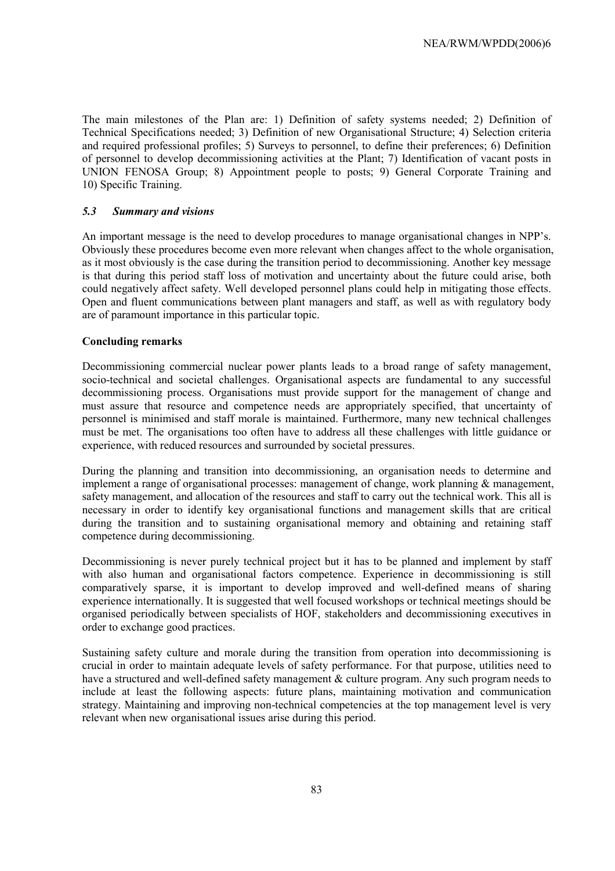The main milestones of the Plan are: 1) Definition of safety systems needed; 2) Definition of Technical Specifications needed; 3) Definition of new Organisational Structure; 4) Selection criteria and required professional profiles; 5) Surveys to personnel, to define their preferences; 6) Definition of personnel to develop decommissioning activities at the Plant; 7) Identification of vacant posts in UNION FENOSA Group; 8) Appointment people to posts; 9) General Corporate Training and 10) Specific Training.

# *5.3 Summary and visions*

An important message is the need to develop procedures to manage organisational changes in NPP's. Obviously these procedures become even more relevant when changes affect to the whole organisation, as it most obviously is the case during the transition period to decommissioning. Another key message is that during this period staff loss of motivation and uncertainty about the future could arise, both could negatively affect safety. Well developed personnel plans could help in mitigating those effects. Open and fluent communications between plant managers and staff, as well as with regulatory body are of paramount importance in this particular topic.

#### **Concluding remarks**

Decommissioning commercial nuclear power plants leads to a broad range of safety management, socio-technical and societal challenges. Organisational aspects are fundamental to any successful decommissioning process. Organisations must provide support for the management of change and must assure that resource and competence needs are appropriately specified, that uncertainty of personnel is minimised and staff morale is maintained. Furthermore, many new technical challenges must be met. The organisations too often have to address all these challenges with little guidance or experience, with reduced resources and surrounded by societal pressures.

During the planning and transition into decommissioning, an organisation needs to determine and implement a range of organisational processes: management of change, work planning & management, safety management, and allocation of the resources and staff to carry out the technical work. This all is necessary in order to identify key organisational functions and management skills that are critical during the transition and to sustaining organisational memory and obtaining and retaining staff competence during decommissioning.

Decommissioning is never purely technical project but it has to be planned and implement by staff with also human and organisational factors competence. Experience in decommissioning is still comparatively sparse, it is important to develop improved and well-defined means of sharing experience internationally. It is suggested that well focused workshops or technical meetings should be organised periodically between specialists of HOF, stakeholders and decommissioning executives in order to exchange good practices.

Sustaining safety culture and morale during the transition from operation into decommissioning is crucial in order to maintain adequate levels of safety performance. For that purpose, utilities need to have a structured and well-defined safety management & culture program. Any such program needs to include at least the following aspects: future plans, maintaining motivation and communication strategy. Maintaining and improving non-technical competencies at the top management level is very relevant when new organisational issues arise during this period.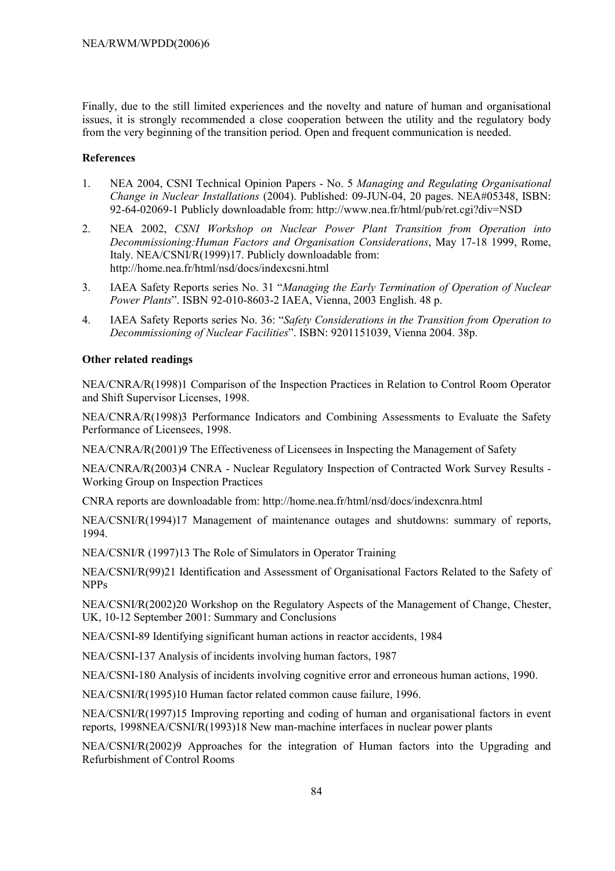Finally, due to the still limited experiences and the novelty and nature of human and organisational issues, it is strongly recommended a close cooperation between the utility and the regulatory body from the very beginning of the transition period. Open and frequent communication is needed.

## **References**

- 1. NEA 2004, CSNI Technical Opinion Papers No. 5 *Managing and Regulating Organisational Change in Nuclear Installations* (2004). Published: 09-JUN-04, 20 pages. NEA#05348, ISBN: 92-64-02069-1 Publicly downloadable from: http://www.nea.fr/html/pub/ret.cgi?div=NSD
- 2. NEA 2002, *CSNI Workshop on Nuclear Power Plant Transition from Operation into Decommissioning:Human Factors and Organisation Considerations*, May 17-18 1999, Rome, Italy. NEA/CSNI/R(1999)17. Publicly downloadable from: http://home.nea.fr/html/nsd/docs/indexcsni.html
- 3. IAEA Safety Reports series No. 31 "Managing the Early Termination of Operation of Nuclear *Power Plants*î. ISBN 92-010-8603-2 IAEA, Vienna, 2003 English. 48 p.
- 4. IAEA Safety Reports series No. 36: "Safety Considerations in the Transition from Operation to *Decommissioning of Nuclear Facilities*î. ISBN: 9201151039, Vienna 2004. 38p.

# **Other related readings**

NEA/CNRA/R(1998)1 Comparison of the Inspection Practices in Relation to Control Room Operator and Shift Supervisor Licenses, 1998.

NEA/CNRA/R(1998)3 Performance Indicators and Combining Assessments to Evaluate the Safety Performance of Licensees, 1998.

NEA/CNRA/R(2001)9 The Effectiveness of Licensees in Inspecting the Management of Safety

NEA/CNRA/R(2003)4 CNRA - Nuclear Regulatory Inspection of Contracted Work Survey Results - Working Group on Inspection Practices

CNRA reports are downloadable from: http://home.nea.fr/html/nsd/docs/indexcnra.html

NEA/CSNI/R(1994)17 Management of maintenance outages and shutdowns: summary of reports, 1994.

NEA/CSNI/R (1997)13 The Role of Simulators in Operator Training

NEA/CSNI/R(99)21 Identification and Assessment of Organisational Factors Related to the Safety of NPPs

NEA/CSNI/R(2002)20 Workshop on the Regulatory Aspects of the Management of Change, Chester, UK, 10-12 September 2001: Summary and Conclusions

NEA/CSNI-89 Identifying significant human actions in reactor accidents, 1984

NEA/CSNI-137 Analysis of incidents involving human factors, 1987

NEA/CSNI-180 Analysis of incidents involving cognitive error and erroneous human actions, 1990.

NEA/CSNI/R(1995)10 Human factor related common cause failure, 1996.

NEA/CSNI/R(1997)15 Improving reporting and coding of human and organisational factors in event reports, 1998NEA/CSNI/R(1993)18 New man-machine interfaces in nuclear power plants

NEA/CSNI/R(2002)9 Approaches for the integration of Human factors into the Upgrading and Refurbishment of Control Rooms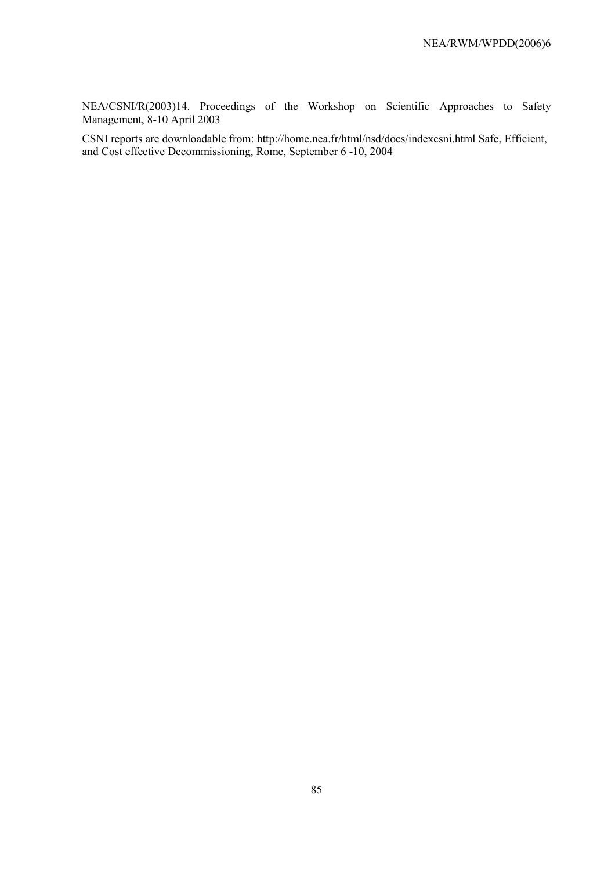NEA/CSNI/R(2003)14. Proceedings of the Workshop on Scientific Approaches to Safety Management, 8-10 April 2003

CSNI reports are downloadable from: http://home.nea.fr/html/nsd/docs/indexcsni.html Safe, Efficient, and Cost effective Decommissioning, Rome, September 6 -10, 2004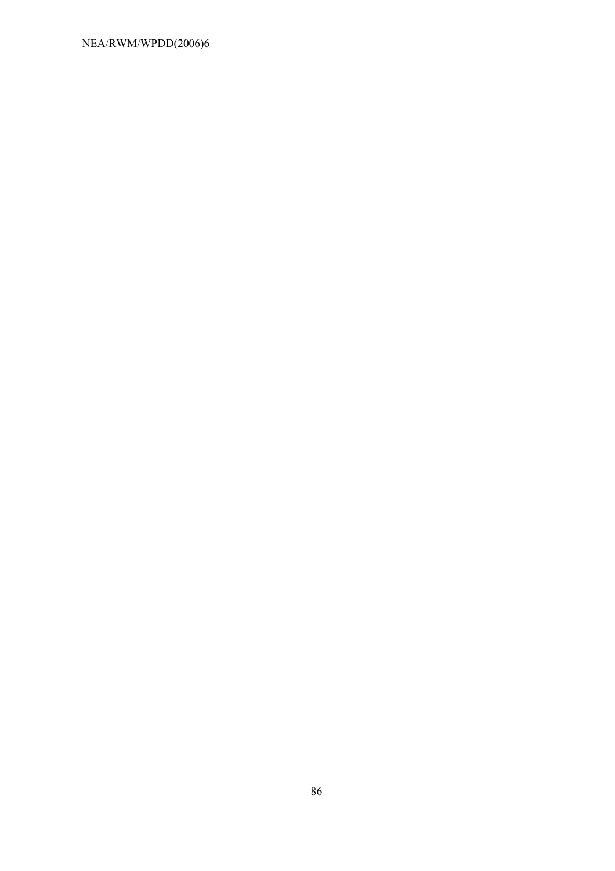# NEA/RWM/WPDD(2006)6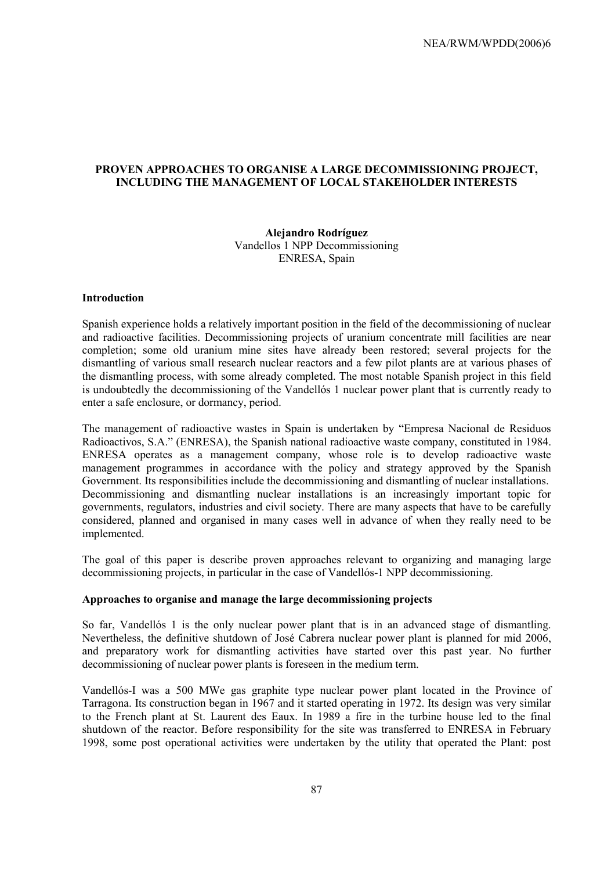NEA/RWM/WPDD(2006)6

## **PROVEN APPROACHES TO ORGANISE A LARGE DECOMMISSIONING PROJECT, INCLUDING THE MANAGEMENT OF LOCAL STAKEHOLDER INTERESTS**

## **Alejandro RodrÌguez**  Vandellos 1 NPP Decommissioning ENRESA, Spain

#### **Introduction**

Spanish experience holds a relatively important position in the field of the decommissioning of nuclear and radioactive facilities. Decommissioning projects of uranium concentrate mill facilities are near completion; some old uranium mine sites have already been restored; several projects for the dismantling of various small research nuclear reactors and a few pilot plants are at various phases of the dismantling process, with some already completed. The most notable Spanish project in this field is undoubtedly the decommissioning of the Vandellós 1 nuclear power plant that is currently ready to enter a safe enclosure, or dormancy, period.

The management of radioactive wastes in Spain is undertaken by "Empresa Nacional de Residuos" Radioactivos, S.A." (ENRESA), the Spanish national radioactive waste company, constituted in 1984. ENRESA operates as a management company, whose role is to develop radioactive waste management programmes in accordance with the policy and strategy approved by the Spanish Government. Its responsibilities include the decommissioning and dismantling of nuclear installations. Decommissioning and dismantling nuclear installations is an increasingly important topic for governments, regulators, industries and civil society. There are many aspects that have to be carefully considered, planned and organised in many cases well in advance of when they really need to be implemented.

The goal of this paper is describe proven approaches relevant to organizing and managing large decommissioning projects, in particular in the case of Vandellós-1 NPP decommissioning.

#### **Approaches to organise and manage the large decommissioning projects**

So far, Vandellós 1 is the only nuclear power plant that is in an advanced stage of dismantling. Nevertheless, the definitive shutdown of JosÈ Cabrera nuclear power plant is planned for mid 2006, and preparatory work for dismantling activities have started over this past year. No further decommissioning of nuclear power plants is foreseen in the medium term.

Vandellós-I was a 500 MWe gas graphite type nuclear power plant located in the Province of Tarragona. Its construction began in 1967 and it started operating in 1972. Its design was very similar to the French plant at St. Laurent des Eaux. In 1989 a fire in the turbine house led to the final shutdown of the reactor. Before responsibility for the site was transferred to ENRESA in February 1998, some post operational activities were undertaken by the utility that operated the Plant: post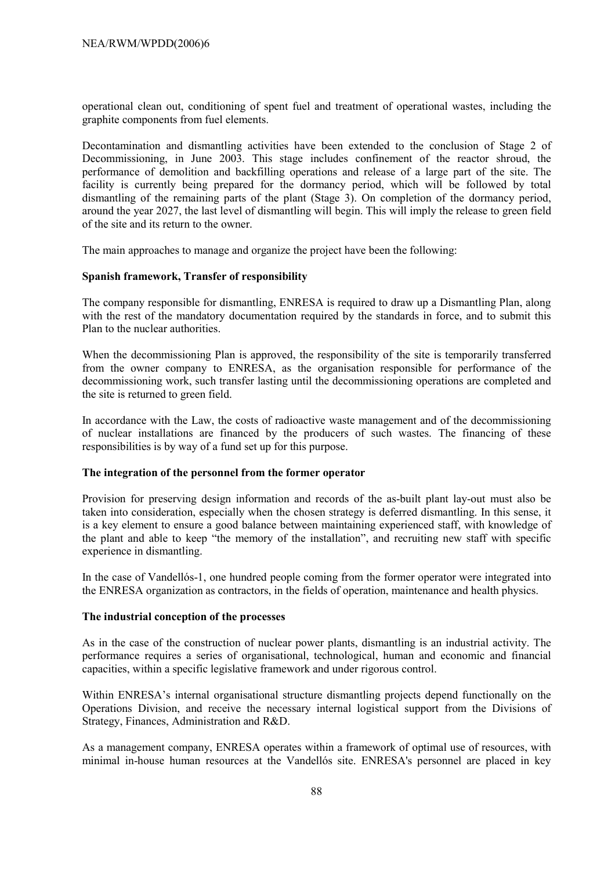operational clean out, conditioning of spent fuel and treatment of operational wastes, including the graphite components from fuel elements.

Decontamination and dismantling activities have been extended to the conclusion of Stage 2 of Decommissioning, in June 2003. This stage includes confinement of the reactor shroud, the performance of demolition and backfilling operations and release of a large part of the site. The facility is currently being prepared for the dormancy period, which will be followed by total dismantling of the remaining parts of the plant (Stage 3). On completion of the dormancy period, around the year 2027, the last level of dismantling will begin. This will imply the release to green field of the site and its return to the owner.

The main approaches to manage and organize the project have been the following:

## **Spanish framework, Transfer of responsibility**

The company responsible for dismantling, ENRESA is required to draw up a Dismantling Plan, along with the rest of the mandatory documentation required by the standards in force, and to submit this Plan to the nuclear authorities.

When the decommissioning Plan is approved, the responsibility of the site is temporarily transferred from the owner company to ENRESA, as the organisation responsible for performance of the decommissioning work, such transfer lasting until the decommissioning operations are completed and the site is returned to green field.

In accordance with the Law, the costs of radioactive waste management and of the decommissioning of nuclear installations are financed by the producers of such wastes. The financing of these responsibilities is by way of a fund set up for this purpose.

#### **The integration of the personnel from the former operator**

Provision for preserving design information and records of the as-built plant lay-out must also be taken into consideration, especially when the chosen strategy is deferred dismantling. In this sense, it is a key element to ensure a good balance between maintaining experienced staff, with knowledge of the plant and able to keep "the memory of the installation", and recruiting new staff with specific experience in dismantling.

In the case of Vandellós-1, one hundred people coming from the former operator were integrated into the ENRESA organization as contractors, in the fields of operation, maintenance and health physics.

#### **The industrial conception of the processes**

As in the case of the construction of nuclear power plants, dismantling is an industrial activity. The performance requires a series of organisational, technological, human and economic and financial capacities, within a specific legislative framework and under rigorous control.

Within ENRESA's internal organisational structure dismantling projects depend functionally on the Operations Division, and receive the necessary internal logistical support from the Divisions of Strategy, Finances, Administration and R&D.

As a management company, ENRESA operates within a framework of optimal use of resources, with minimal in-house human resources at the Vandellós site. ENRESA's personnel are placed in key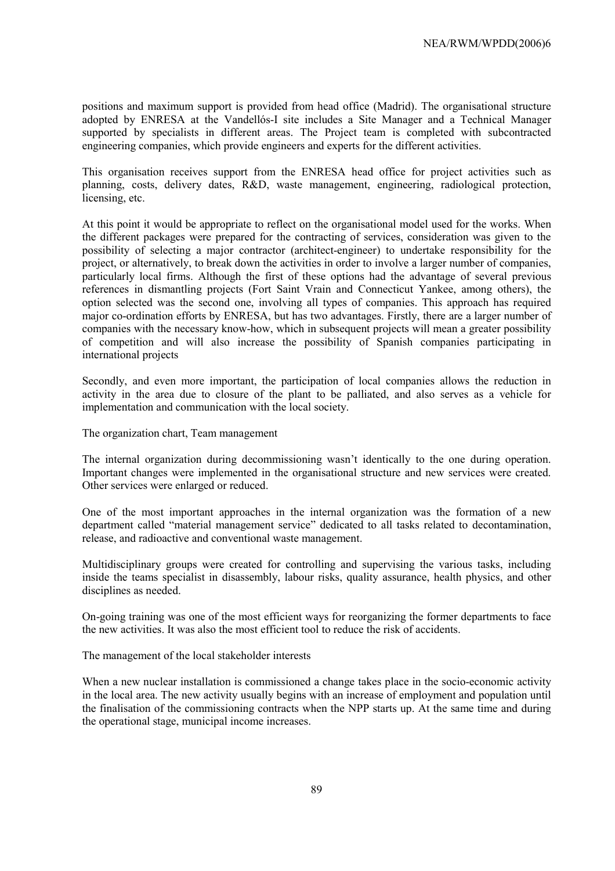positions and maximum support is provided from head office (Madrid). The organisational structure adopted by ENRESA at the Vandellós-I site includes a Site Manager and a Technical Manager supported by specialists in different areas. The Project team is completed with subcontracted engineering companies, which provide engineers and experts for the different activities.

This organisation receives support from the ENRESA head office for project activities such as planning, costs, delivery dates, R&D, waste management, engineering, radiological protection, licensing, etc.

At this point it would be appropriate to reflect on the organisational model used for the works. When the different packages were prepared for the contracting of services, consideration was given to the possibility of selecting a major contractor (architect-engineer) to undertake responsibility for the project, or alternatively, to break down the activities in order to involve a larger number of companies, particularly local firms. Although the first of these options had the advantage of several previous references in dismantling projects (Fort Saint Vrain and Connecticut Yankee, among others), the option selected was the second one, involving all types of companies. This approach has required major co-ordination efforts by ENRESA, but has two advantages. Firstly, there are a larger number of companies with the necessary know-how, which in subsequent projects will mean a greater possibility of competition and will also increase the possibility of Spanish companies participating in international projects

Secondly, and even more important, the participation of local companies allows the reduction in activity in the area due to closure of the plant to be palliated, and also serves as a vehicle for implementation and communication with the local society.

The organization chart, Team management

The internal organization during decommissioning wasn't identically to the one during operation. Important changes were implemented in the organisational structure and new services were created. Other services were enlarged or reduced.

One of the most important approaches in the internal organization was the formation of a new department called "material management service" dedicated to all tasks related to decontamination, release, and radioactive and conventional waste management.

Multidisciplinary groups were created for controlling and supervising the various tasks, including inside the teams specialist in disassembly, labour risks, quality assurance, health physics, and other disciplines as needed.

On-going training was one of the most efficient ways for reorganizing the former departments to face the new activities. It was also the most efficient tool to reduce the risk of accidents.

The management of the local stakeholder interests

When a new nuclear installation is commissioned a change takes place in the socio-economic activity in the local area. The new activity usually begins with an increase of employment and population until the finalisation of the commissioning contracts when the NPP starts up. At the same time and during the operational stage, municipal income increases.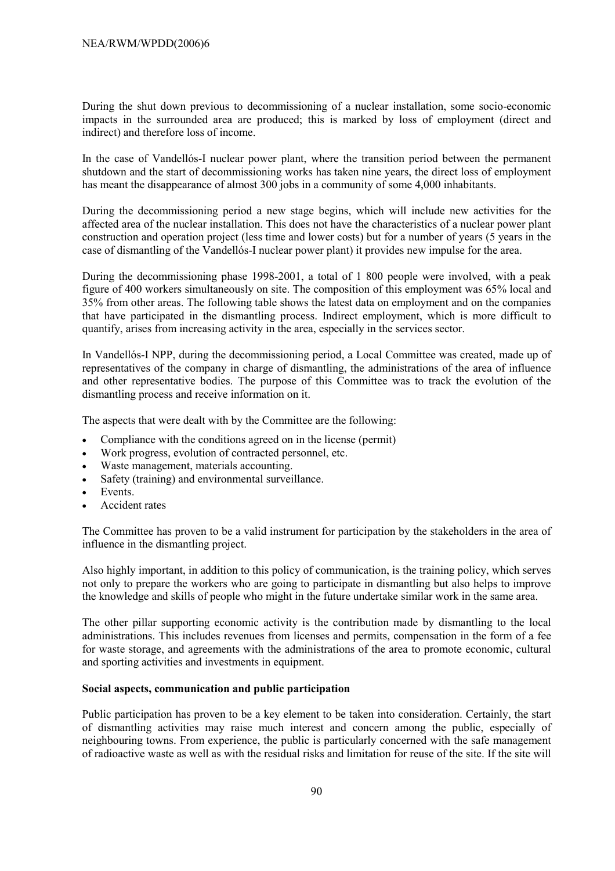During the shut down previous to decommissioning of a nuclear installation, some socio-economic impacts in the surrounded area are produced; this is marked by loss of employment (direct and indirect) and therefore loss of income.

In the case of Vandellós-I nuclear power plant, where the transition period between the permanent shutdown and the start of decommissioning works has taken nine years, the direct loss of employment has meant the disappearance of almost 300 jobs in a community of some 4,000 inhabitants.

During the decommissioning period a new stage begins, which will include new activities for the affected area of the nuclear installation. This does not have the characteristics of a nuclear power plant construction and operation project (less time and lower costs) but for a number of years (5 years in the case of dismantling of the Vandellós-I nuclear power plant) it provides new impulse for the area.

During the decommissioning phase 1998-2001, a total of 1 800 people were involved, with a peak figure of 400 workers simultaneously on site. The composition of this employment was 65% local and 35% from other areas. The following table shows the latest data on employment and on the companies that have participated in the dismantling process. Indirect employment, which is more difficult to quantify, arises from increasing activity in the area, especially in the services sector.

In Vandellós-I NPP, during the decommissioning period, a Local Committee was created, made up of representatives of the company in charge of dismantling, the administrations of the area of influence and other representative bodies. The purpose of this Committee was to track the evolution of the dismantling process and receive information on it.

The aspects that were dealt with by the Committee are the following:

- Compliance with the conditions agreed on in the license (permit)
- Work progress, evolution of contracted personnel, etc.
- Waste management, materials accounting.
- Safety (training) and environmental surveillance.
- Events.
- Accident rates

The Committee has proven to be a valid instrument for participation by the stakeholders in the area of influence in the dismantling project.

Also highly important, in addition to this policy of communication, is the training policy, which serves not only to prepare the workers who are going to participate in dismantling but also helps to improve the knowledge and skills of people who might in the future undertake similar work in the same area.

The other pillar supporting economic activity is the contribution made by dismantling to the local administrations. This includes revenues from licenses and permits, compensation in the form of a fee for waste storage, and agreements with the administrations of the area to promote economic, cultural and sporting activities and investments in equipment.

## **Social aspects, communication and public participation**

Public participation has proven to be a key element to be taken into consideration. Certainly, the start of dismantling activities may raise much interest and concern among the public, especially of neighbouring towns. From experience, the public is particularly concerned with the safe management of radioactive waste as well as with the residual risks and limitation for reuse of the site. If the site will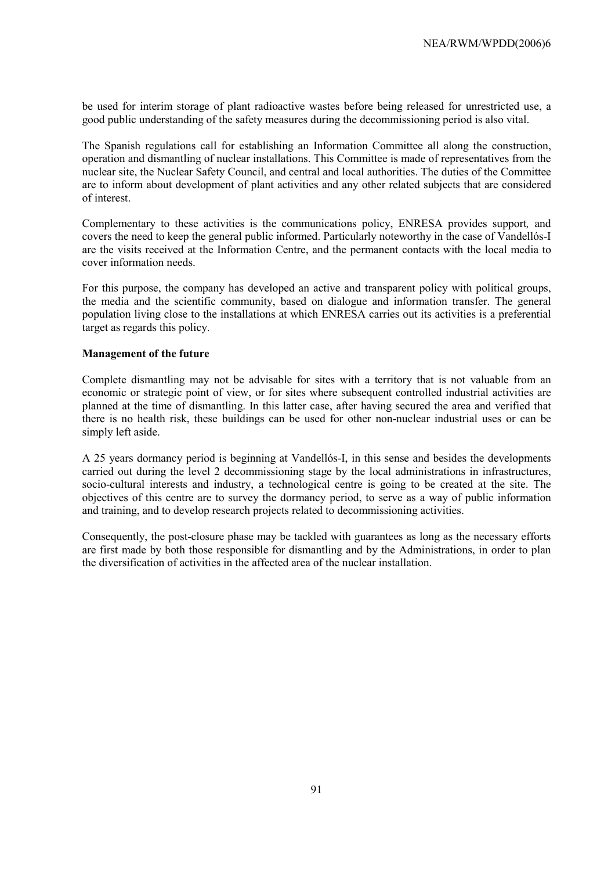be used for interim storage of plant radioactive wastes before being released for unrestricted use, a good public understanding of the safety measures during the decommissioning period is also vital.

The Spanish regulations call for establishing an Information Committee all along the construction, operation and dismantling of nuclear installations. This Committee is made of representatives from the nuclear site, the Nuclear Safety Council, and central and local authorities. The duties of the Committee are to inform about development of plant activities and any other related subjects that are considered of interest.

Complementary to these activities is the communications policy, ENRESA provides support*,* and covers the need to keep the general public informed. Particularly noteworthy in the case of Vandellós-I are the visits received at the Information Centre, and the permanent contacts with the local media to cover information needs.

For this purpose, the company has developed an active and transparent policy with political groups, the media and the scientific community, based on dialogue and information transfer. The general population living close to the installations at which ENRESA carries out its activities is a preferential target as regards this policy.

#### **Management of the future**

Complete dismantling may not be advisable for sites with a territory that is not valuable from an economic or strategic point of view, or for sites where subsequent controlled industrial activities are planned at the time of dismantling. In this latter case, after having secured the area and verified that there is no health risk, these buildings can be used for other non-nuclear industrial uses or can be simply left aside.

A 25 years dormancy period is beginning at Vandellós-I, in this sense and besides the developments carried out during the level 2 decommissioning stage by the local administrations in infrastructures, socio-cultural interests and industry, a technological centre is going to be created at the site. The objectives of this centre are to survey the dormancy period, to serve as a way of public information and training, and to develop research projects related to decommissioning activities.

Consequently, the post-closure phase may be tackled with guarantees as long as the necessary efforts are first made by both those responsible for dismantling and by the Administrations, in order to plan the diversification of activities in the affected area of the nuclear installation.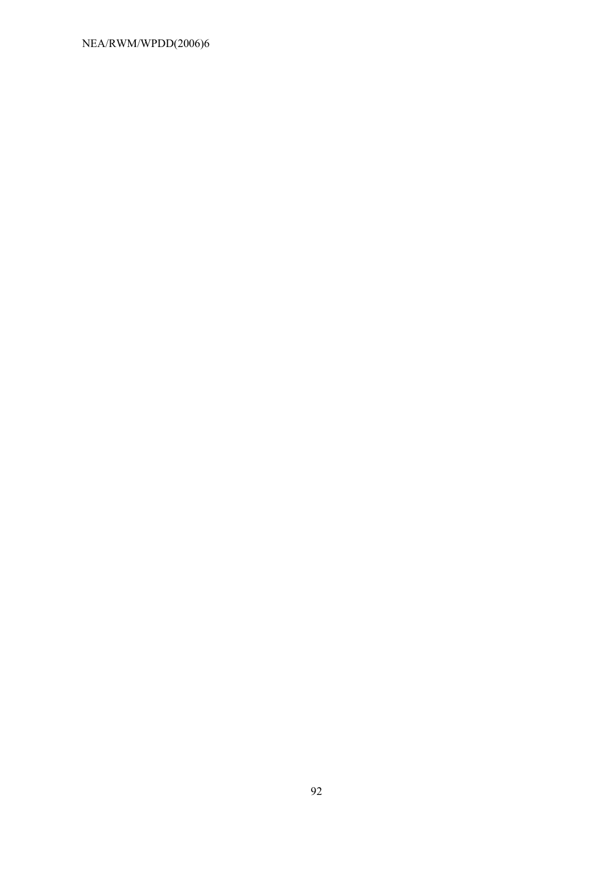# NEA/RWM/WPDD(2006)6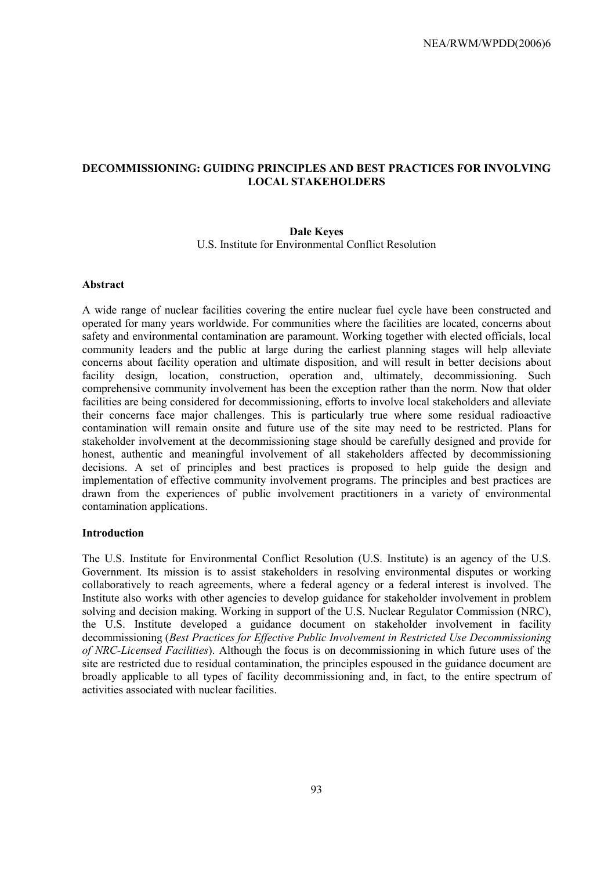# **DECOMMISSIONING: GUIDING PRINCIPLES AND BEST PRACTICES FOR INVOLVING LOCAL STAKEHOLDERS**

#### **Dale Keyes**

U.S. Institute for Environmental Conflict Resolution

#### **Abstract**

A wide range of nuclear facilities covering the entire nuclear fuel cycle have been constructed and operated for many years worldwide. For communities where the facilities are located, concerns about safety and environmental contamination are paramount. Working together with elected officials, local community leaders and the public at large during the earliest planning stages will help alleviate concerns about facility operation and ultimate disposition, and will result in better decisions about facility design, location, construction, operation and, ultimately, decommissioning. Such comprehensive community involvement has been the exception rather than the norm. Now that older facilities are being considered for decommissioning, efforts to involve local stakeholders and alleviate their concerns face major challenges. This is particularly true where some residual radioactive contamination will remain onsite and future use of the site may need to be restricted. Plans for stakeholder involvement at the decommissioning stage should be carefully designed and provide for honest, authentic and meaningful involvement of all stakeholders affected by decommissioning decisions. A set of principles and best practices is proposed to help guide the design and implementation of effective community involvement programs. The principles and best practices are drawn from the experiences of public involvement practitioners in a variety of environmental contamination applications.

#### **Introduction**

The U.S. Institute for Environmental Conflict Resolution (U.S. Institute) is an agency of the U.S. Government. Its mission is to assist stakeholders in resolving environmental disputes or working collaboratively to reach agreements, where a federal agency or a federal interest is involved. The Institute also works with other agencies to develop guidance for stakeholder involvement in problem solving and decision making. Working in support of the U.S. Nuclear Regulator Commission (NRC), the U.S. Institute developed a guidance document on stakeholder involvement in facility decommissioning (*Best Practices for Effective Public Involvement in Restricted Use Decommissioning of NRC-Licensed Facilities*). Although the focus is on decommissioning in which future uses of the site are restricted due to residual contamination, the principles espoused in the guidance document are broadly applicable to all types of facility decommissioning and, in fact, to the entire spectrum of activities associated with nuclear facilities.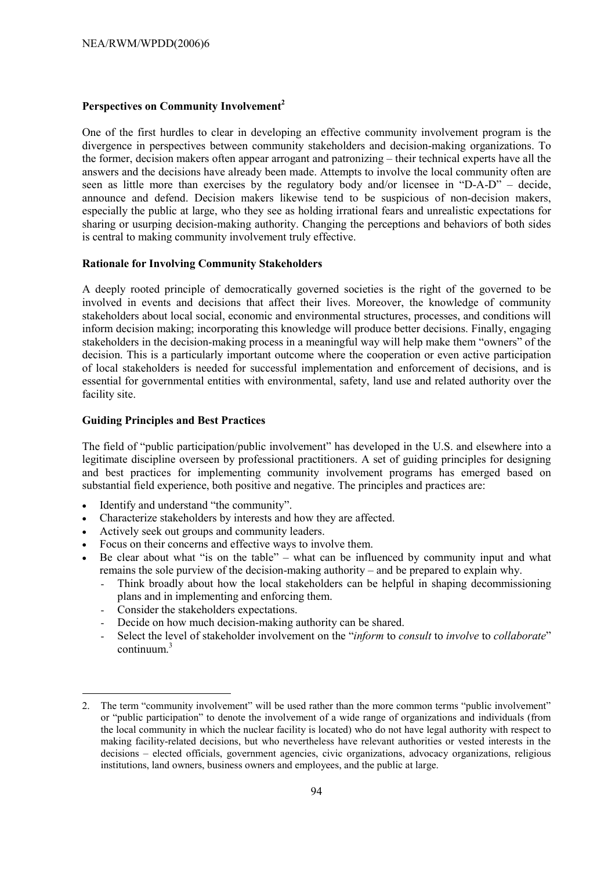# **Perspectives on Community Involvement2**

One of the first hurdles to clear in developing an effective community involvement program is the divergence in perspectives between community stakeholders and decision-making organizations. To the former, decision makers often appear arrogant and patronizing – their technical experts have all the answers and the decisions have already been made. Attempts to involve the local community often are seen as little more than exercises by the regulatory body and/or licensee in  $D-A-D$  – decide, announce and defend. Decision makers likewise tend to be suspicious of non-decision makers, especially the public at large, who they see as holding irrational fears and unrealistic expectations for sharing or usurping decision-making authority. Changing the perceptions and behaviors of both sides is central to making community involvement truly effective.

## **Rationale for Involving Community Stakeholders**

A deeply rooted principle of democratically governed societies is the right of the governed to be involved in events and decisions that affect their lives. Moreover, the knowledge of community stakeholders about local social, economic and environmental structures, processes, and conditions will inform decision making; incorporating this knowledge will produce better decisions. Finally, engaging stakeholders in the decision-making process in a meaningful way will help make them "owners" of the decision. This is a particularly important outcome where the cooperation or even active participation of local stakeholders is needed for successful implementation and enforcement of decisions, and is essential for governmental entities with environmental, safety, land use and related authority over the facility site.

## **Guiding Principles and Best Practices**

The field of "public participation/public involvement" has developed in the U.S. and elsewhere into a legitimate discipline overseen by professional practitioners. A set of guiding principles for designing and best practices for implementing community involvement programs has emerged based on substantial field experience, both positive and negative. The principles and practices are:

- Identify and understand "the community".
- Characterize stakeholders by interests and how they are affected.
- Actively seek out groups and community leaders.
- Focus on their concerns and effective ways to involve them.
- Be clear about what "is on the table"  $-$  what can be influenced by community input and what remains the sole purview of the decision-making authority  $-$  and be prepared to explain why.
	- Think broadly about how the local stakeholders can be helpful in shaping decommissioning plans and in implementing and enforcing them.
	- Consider the stakeholders expectations.

 $\overline{a}$ 

- Decide on how much decision-making authority can be shared.
- Select the level of stakeholder involvement on the *''inform* to *consult* to *involve* to *collaborate''* continuum.<sup>3</sup>

<sup>2.</sup> The term "community involvement" will be used rather than the more common terms "public involvement" or "public participation" to denote the involvement of a wide range of organizations and individuals (from the local community in which the nuclear facility is located) who do not have legal authority with respect to making facility-related decisions, but who nevertheless have relevant authorities or vested interests in the decisions – elected officials, government agencies, civic organizations, advocacy organizations, religious institutions, land owners, business owners and employees, and the public at large.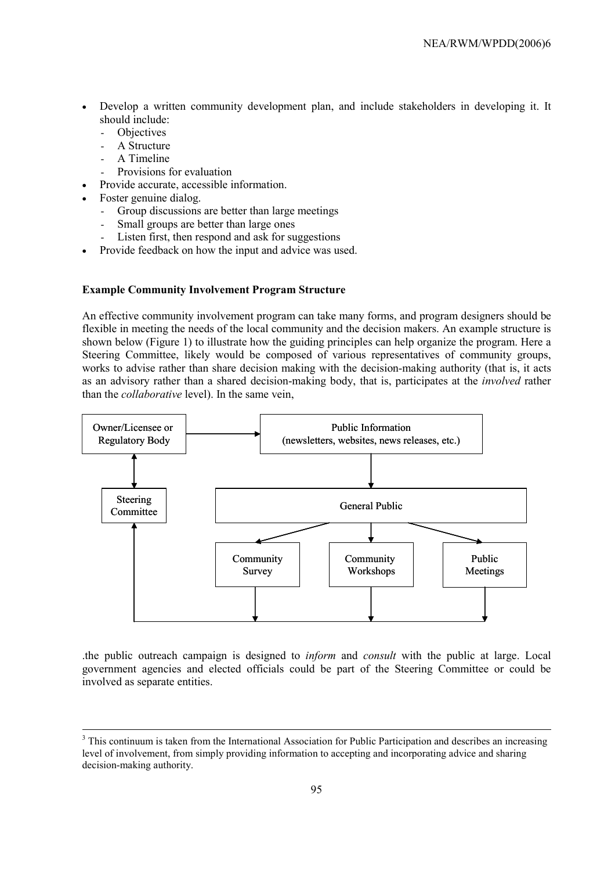- Develop a written community development plan, and include stakeholders in developing it. It should include:
	- Objectives
	- A Structure
	- A Timeline
	- Provisions for evaluation
- Provide accurate, accessible information.
- Foster genuine dialog.
	- Group discussions are better than large meetings
	- Small groups are better than large ones
	- Listen first, then respond and ask for suggestions
- Provide feedback on how the input and advice was used.

## **Example Community Involvement Program Structure**

An effective community involvement program can take many forms, and program designers should be flexible in meeting the needs of the local community and the decision makers. An example structure is shown below (Figure 1) to illustrate how the guiding principles can help organize the program. Here a Steering Committee, likely would be composed of various representatives of community groups, works to advise rather than share decision making with the decision-making authority (that is, it acts as an advisory rather than a shared decision-making body, that is, participates at the *involved* rather than the *collaborative* level). In the same vein,



.the public outreach campaign is designed to *inform* and *consult* with the public at large. Local government agencies and elected officials could be part of the Steering Committee or could be involved as separate entities.

 $\frac{1}{3}$ <sup>3</sup> This continuum is taken from the International Association for Public Participation and describes an increasing level of involvement, from simply providing information to accepting and incorporating advice and sharing decision-making authority.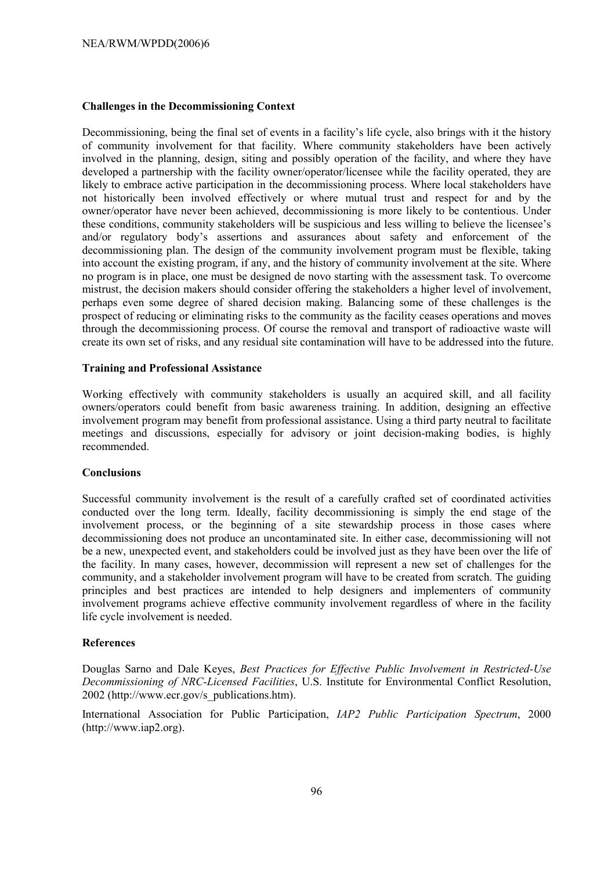## **Challenges in the Decommissioning Context**

Decommissioning, being the final set of events in a facility's life cycle, also brings with it the history of community involvement for that facility. Where community stakeholders have been actively involved in the planning, design, siting and possibly operation of the facility, and where they have developed a partnership with the facility owner/operator/licensee while the facility operated, they are likely to embrace active participation in the decommissioning process. Where local stakeholders have not historically been involved effectively or where mutual trust and respect for and by the owner/operator have never been achieved, decommissioning is more likely to be contentious. Under these conditions, community stakeholders will be suspicious and less willing to believe the licensee's and/or regulatory body's assertions and assurances about safety and enforcement of the decommissioning plan. The design of the community involvement program must be flexible, taking into account the existing program, if any, and the history of community involvement at the site. Where no program is in place, one must be designed de novo starting with the assessment task. To overcome mistrust, the decision makers should consider offering the stakeholders a higher level of involvement, perhaps even some degree of shared decision making. Balancing some of these challenges is the prospect of reducing or eliminating risks to the community as the facility ceases operations and moves through the decommissioning process. Of course the removal and transport of radioactive waste will create its own set of risks, and any residual site contamination will have to be addressed into the future.

## **Training and Professional Assistance**

Working effectively with community stakeholders is usually an acquired skill, and all facility owners/operators could benefit from basic awareness training. In addition, designing an effective involvement program may benefit from professional assistance. Using a third party neutral to facilitate meetings and discussions, especially for advisory or joint decision-making bodies, is highly recommended.

## **Conclusions**

Successful community involvement is the result of a carefully crafted set of coordinated activities conducted over the long term. Ideally, facility decommissioning is simply the end stage of the involvement process, or the beginning of a site stewardship process in those cases where decommissioning does not produce an uncontaminated site. In either case, decommissioning will not be a new, unexpected event, and stakeholders could be involved just as they have been over the life of the facility. In many cases, however, decommission will represent a new set of challenges for the community, and a stakeholder involvement program will have to be created from scratch. The guiding principles and best practices are intended to help designers and implementers of community involvement programs achieve effective community involvement regardless of where in the facility life cycle involvement is needed.

## **References**

Douglas Sarno and Dale Keyes, *Best Practices for Effective Public Involvement in Restricted-Use Decommissioning of NRC-Licensed Facilities*, U.S. Institute for Environmental Conflict Resolution, 2002 (http://www.ecr.gov/s\_publications.htm).

International Association for Public Participation, *IAP2 Public Participation Spectrum*, 2000 (http://www.iap2.org).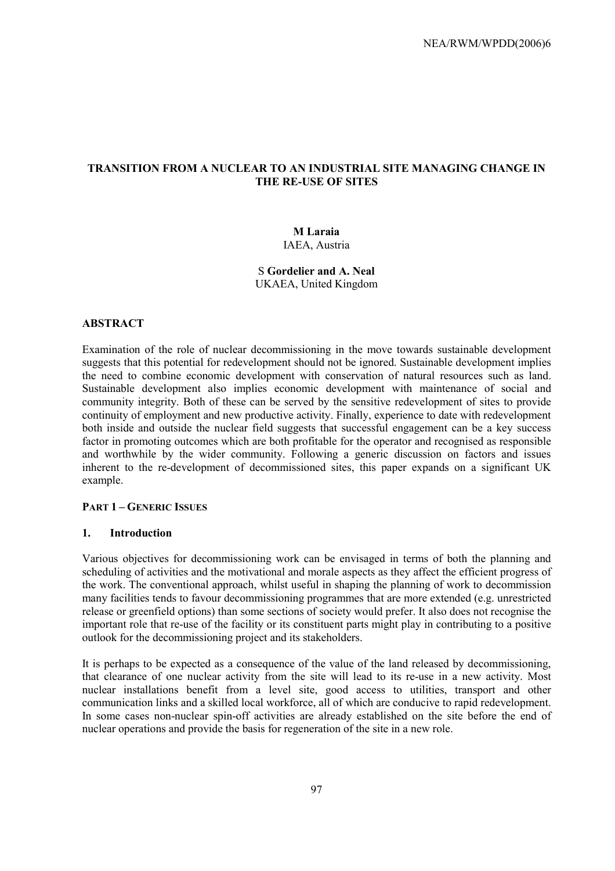# **TRANSITION FROM A NUCLEAR TO AN INDUSTRIAL SITE MANAGING CHANGE IN THE RE-USE OF SITES**

# **M Laraia**

IAEA, Austria

## S **Gordelier and A. Neal** UKAEA, United Kingdom

## **ABSTRACT**

Examination of the role of nuclear decommissioning in the move towards sustainable development suggests that this potential for redevelopment should not be ignored. Sustainable development implies the need to combine economic development with conservation of natural resources such as land. Sustainable development also implies economic development with maintenance of social and community integrity. Both of these can be served by the sensitive redevelopment of sites to provide continuity of employment and new productive activity. Finally, experience to date with redevelopment both inside and outside the nuclear field suggests that successful engagement can be a key success factor in promoting outcomes which are both profitable for the operator and recognised as responsible and worthwhile by the wider community. Following a generic discussion on factors and issues inherent to the re-development of decommissioned sites, this paper expands on a significant UK example.

#### **PART 1 ñ GENERIC ISSUES**

#### **1. Introduction**

Various objectives for decommissioning work can be envisaged in terms of both the planning and scheduling of activities and the motivational and morale aspects as they affect the efficient progress of the work. The conventional approach, whilst useful in shaping the planning of work to decommission many facilities tends to favour decommissioning programmes that are more extended (e.g. unrestricted release or greenfield options) than some sections of society would prefer. It also does not recognise the important role that re-use of the facility or its constituent parts might play in contributing to a positive outlook for the decommissioning project and its stakeholders.

It is perhaps to be expected as a consequence of the value of the land released by decommissioning, that clearance of one nuclear activity from the site will lead to its re-use in a new activity. Most nuclear installations benefit from a level site, good access to utilities, transport and other communication links and a skilled local workforce, all of which are conducive to rapid redevelopment. In some cases non-nuclear spin-off activities are already established on the site before the end of nuclear operations and provide the basis for regeneration of the site in a new role.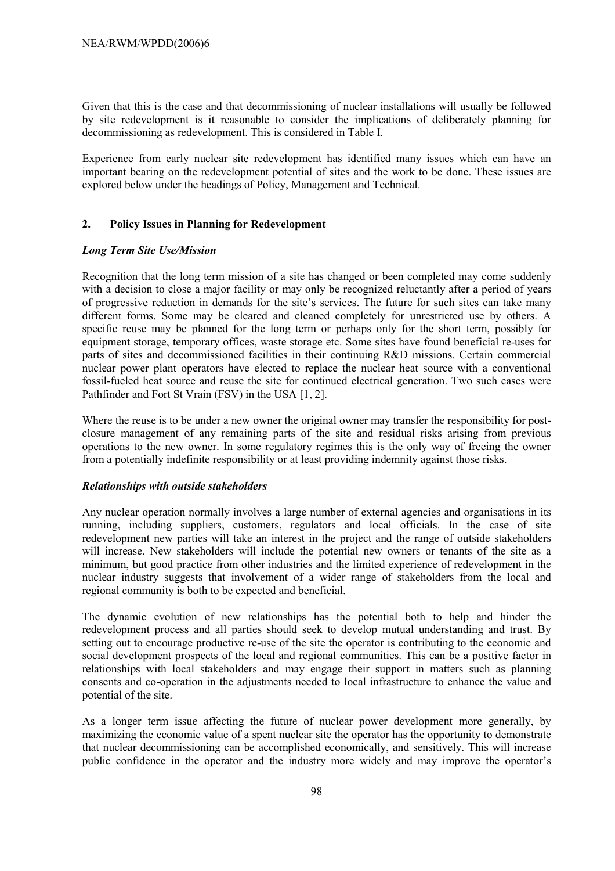Given that this is the case and that decommissioning of nuclear installations will usually be followed by site redevelopment is it reasonable to consider the implications of deliberately planning for decommissioning as redevelopment. This is considered in Table I.

Experience from early nuclear site redevelopment has identified many issues which can have an important bearing on the redevelopment potential of sites and the work to be done. These issues are explored below under the headings of Policy, Management and Technical.

# **2. Policy Issues in Planning for Redevelopment**

## *Long Term Site Use/Mission*

Recognition that the long term mission of a site has changed or been completed may come suddenly with a decision to close a major facility or may only be recognized reluctantly after a period of years of progressive reduction in demands for the site's services. The future for such sites can take many different forms. Some may be cleared and cleaned completely for unrestricted use by others. A specific reuse may be planned for the long term or perhaps only for the short term, possibly for equipment storage, temporary offices, waste storage etc. Some sites have found beneficial re-uses for parts of sites and decommissioned facilities in their continuing R&D missions. Certain commercial nuclear power plant operators have elected to replace the nuclear heat source with a conventional fossil-fueled heat source and reuse the site for continued electrical generation. Two such cases were Pathfinder and Fort St Vrain (FSV) in the USA [1, 2].

Where the reuse is to be under a new owner the original owner may transfer the responsibility for postclosure management of any remaining parts of the site and residual risks arising from previous operations to the new owner. In some regulatory regimes this is the only way of freeing the owner from a potentially indefinite responsibility or at least providing indemnity against those risks.

## *Relationships with outside stakeholders*

Any nuclear operation normally involves a large number of external agencies and organisations in its running, including suppliers, customers, regulators and local officials. In the case of site redevelopment new parties will take an interest in the project and the range of outside stakeholders will increase. New stakeholders will include the potential new owners or tenants of the site as a minimum, but good practice from other industries and the limited experience of redevelopment in the nuclear industry suggests that involvement of a wider range of stakeholders from the local and regional community is both to be expected and beneficial.

The dynamic evolution of new relationships has the potential both to help and hinder the redevelopment process and all parties should seek to develop mutual understanding and trust. By setting out to encourage productive re-use of the site the operator is contributing to the economic and social development prospects of the local and regional communities. This can be a positive factor in relationships with local stakeholders and may engage their support in matters such as planning consents and co-operation in the adjustments needed to local infrastructure to enhance the value and potential of the site.

As a longer term issue affecting the future of nuclear power development more generally, by maximizing the economic value of a spent nuclear site the operator has the opportunity to demonstrate that nuclear decommissioning can be accomplished economically, and sensitively. This will increase public confidence in the operator and the industry more widely and may improve the operator's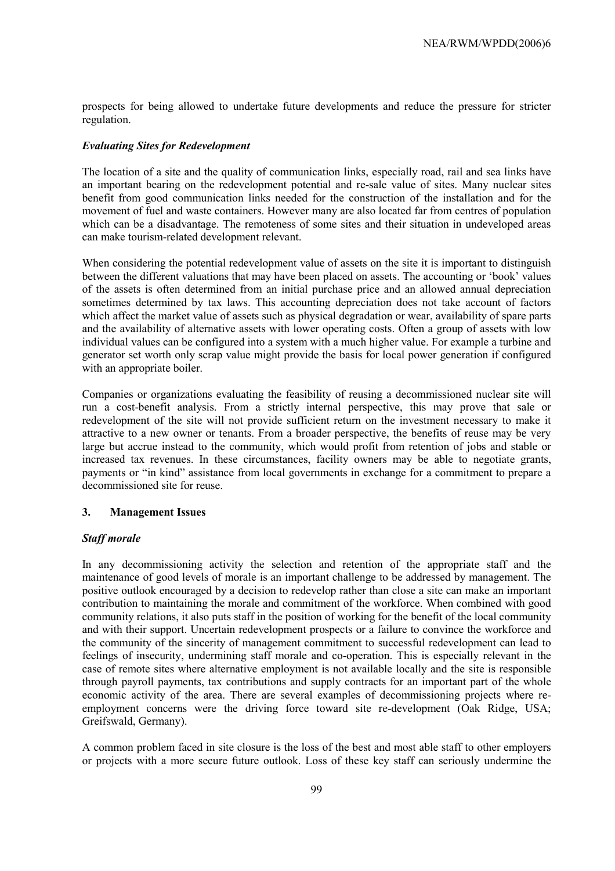prospects for being allowed to undertake future developments and reduce the pressure for stricter regulation.

#### *Evaluating Sites for Redevelopment*

The location of a site and the quality of communication links, especially road, rail and sea links have an important bearing on the redevelopment potential and re-sale value of sites. Many nuclear sites benefit from good communication links needed for the construction of the installation and for the movement of fuel and waste containers. However many are also located far from centres of population which can be a disadvantage. The remoteness of some sites and their situation in undeveloped areas can make tourism-related development relevant.

When considering the potential redevelopment value of assets on the site it is important to distinguish between the different valuations that may have been placed on assets. The accounting or 'book' values of the assets is often determined from an initial purchase price and an allowed annual depreciation sometimes determined by tax laws. This accounting depreciation does not take account of factors which affect the market value of assets such as physical degradation or wear, availability of spare parts and the availability of alternative assets with lower operating costs. Often a group of assets with low individual values can be configured into a system with a much higher value. For example a turbine and generator set worth only scrap value might provide the basis for local power generation if configured with an appropriate boiler.

Companies or organizations evaluating the feasibility of reusing a decommissioned nuclear site will run a cost-benefit analysis. From a strictly internal perspective, this may prove that sale or redevelopment of the site will not provide sufficient return on the investment necessary to make it attractive to a new owner or tenants. From a broader perspective, the benefits of reuse may be very large but accrue instead to the community, which would profit from retention of jobs and stable or increased tax revenues. In these circumstances, facility owners may be able to negotiate grants, payments or "in kind" assistance from local governments in exchange for a commitment to prepare a decommissioned site for reuse.

#### **3. Management Issues**

#### *Staff morale*

In any decommissioning activity the selection and retention of the appropriate staff and the maintenance of good levels of morale is an important challenge to be addressed by management. The positive outlook encouraged by a decision to redevelop rather than close a site can make an important contribution to maintaining the morale and commitment of the workforce. When combined with good community relations, it also puts staff in the position of working for the benefit of the local community and with their support. Uncertain redevelopment prospects or a failure to convince the workforce and the community of the sincerity of management commitment to successful redevelopment can lead to feelings of insecurity, undermining staff morale and co-operation. This is especially relevant in the case of remote sites where alternative employment is not available locally and the site is responsible through payroll payments, tax contributions and supply contracts for an important part of the whole economic activity of the area. There are several examples of decommissioning projects where reemployment concerns were the driving force toward site re-development (Oak Ridge, USA; Greifswald, Germany).

A common problem faced in site closure is the loss of the best and most able staff to other employers or projects with a more secure future outlook. Loss of these key staff can seriously undermine the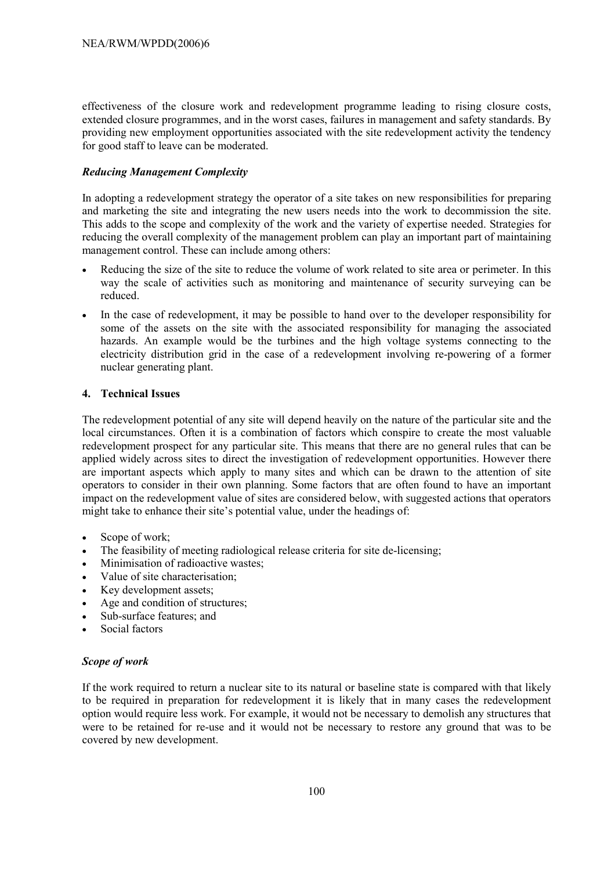effectiveness of the closure work and redevelopment programme leading to rising closure costs, extended closure programmes, and in the worst cases, failures in management and safety standards. By providing new employment opportunities associated with the site redevelopment activity the tendency for good staff to leave can be moderated.

# *Reducing Management Complexity*

In adopting a redevelopment strategy the operator of a site takes on new responsibilities for preparing and marketing the site and integrating the new users needs into the work to decommission the site. This adds to the scope and complexity of the work and the variety of expertise needed. Strategies for reducing the overall complexity of the management problem can play an important part of maintaining management control. These can include among others:

- Reducing the size of the site to reduce the volume of work related to site area or perimeter. In this way the scale of activities such as monitoring and maintenance of security surveying can be reduced.
- In the case of redevelopment, it may be possible to hand over to the developer responsibility for some of the assets on the site with the associated responsibility for managing the associated hazards. An example would be the turbines and the high voltage systems connecting to the electricity distribution grid in the case of a redevelopment involving re-powering of a former nuclear generating plant.

## **4. Technical Issues**

The redevelopment potential of any site will depend heavily on the nature of the particular site and the local circumstances. Often it is a combination of factors which conspire to create the most valuable redevelopment prospect for any particular site. This means that there are no general rules that can be applied widely across sites to direct the investigation of redevelopment opportunities. However there are important aspects which apply to many sites and which can be drawn to the attention of site operators to consider in their own planning. Some factors that are often found to have an important impact on the redevelopment value of sites are considered below, with suggested actions that operators might take to enhance their site's potential value, under the headings of:

- Scope of work;
- The feasibility of meeting radiological release criteria for site de-licensing;
- Minimisation of radioactive wastes:
- Value of site characterisation;
- Key development assets;
- Age and condition of structures;
- Sub-surface features; and
- Social factors

## *Scope of work*

If the work required to return a nuclear site to its natural or baseline state is compared with that likely to be required in preparation for redevelopment it is likely that in many cases the redevelopment option would require less work. For example, it would not be necessary to demolish any structures that were to be retained for re-use and it would not be necessary to restore any ground that was to be covered by new development.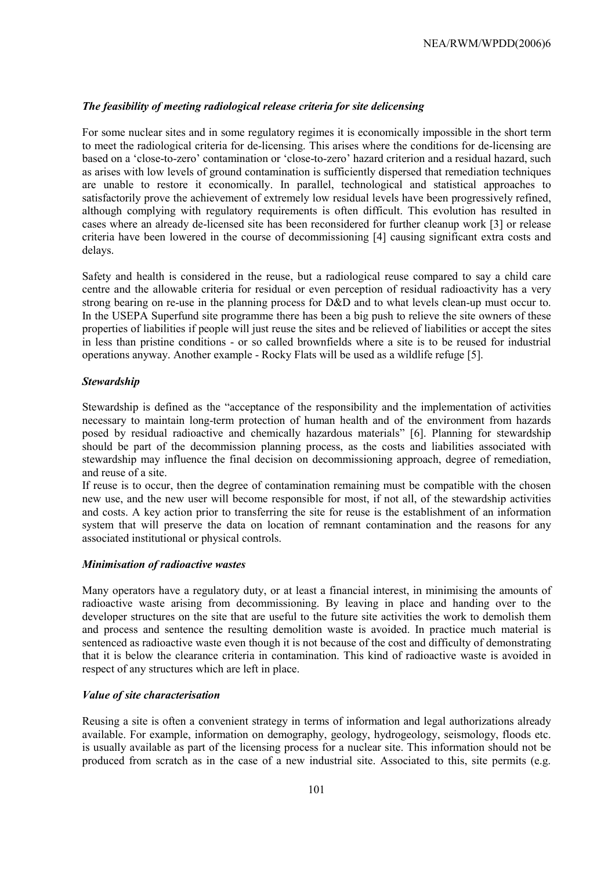#### *The feasibility of meeting radiological release criteria for site delicensing*

For some nuclear sites and in some regulatory regimes it is economically impossible in the short term to meet the radiological criteria for de-licensing. This arises where the conditions for de-licensing are based on a 'close-to-zero' contamination or 'close-to-zero' hazard criterion and a residual hazard, such as arises with low levels of ground contamination is sufficiently dispersed that remediation techniques are unable to restore it economically. In parallel, technological and statistical approaches to satisfactorily prove the achievement of extremely low residual levels have been progressively refined, although complying with regulatory requirements is often difficult. This evolution has resulted in cases where an already de-licensed site has been reconsidered for further cleanup work [3] or release criteria have been lowered in the course of decommissioning [4] causing significant extra costs and delays.

Safety and health is considered in the reuse, but a radiological reuse compared to say a child care centre and the allowable criteria for residual or even perception of residual radioactivity has a very strong bearing on re-use in the planning process for D&D and to what levels clean-up must occur to. In the USEPA Superfund site programme there has been a big push to relieve the site owners of these properties of liabilities if people will just reuse the sites and be relieved of liabilities or accept the sites in less than pristine conditions - or so called brownfields where a site is to be reused for industrial operations anyway. Another example - Rocky Flats will be used as a wildlife refuge [5].

#### *Stewardship*

Stewardship is defined as the "acceptance of the responsibility and the implementation of activities necessary to maintain long-term protection of human health and of the environment from hazards posed by residual radioactive and chemically hazardous materials" [6]. Planning for stewardship should be part of the decommission planning process, as the costs and liabilities associated with stewardship may influence the final decision on decommissioning approach, degree of remediation, and reuse of a site.

If reuse is to occur, then the degree of contamination remaining must be compatible with the chosen new use, and the new user will become responsible for most, if not all, of the stewardship activities and costs. A key action prior to transferring the site for reuse is the establishment of an information system that will preserve the data on location of remnant contamination and the reasons for any associated institutional or physical controls.

#### *Minimisation of radioactive wastes*

Many operators have a regulatory duty, or at least a financial interest, in minimising the amounts of radioactive waste arising from decommissioning. By leaving in place and handing over to the developer structures on the site that are useful to the future site activities the work to demolish them and process and sentence the resulting demolition waste is avoided. In practice much material is sentenced as radioactive waste even though it is not because of the cost and difficulty of demonstrating that it is below the clearance criteria in contamination. This kind of radioactive waste is avoided in respect of any structures which are left in place.

## *Value of site characterisation*

Reusing a site is often a convenient strategy in terms of information and legal authorizations already available. For example, information on demography, geology, hydrogeology, seismology, floods etc. is usually available as part of the licensing process for a nuclear site. This information should not be produced from scratch as in the case of a new industrial site. Associated to this, site permits (e.g.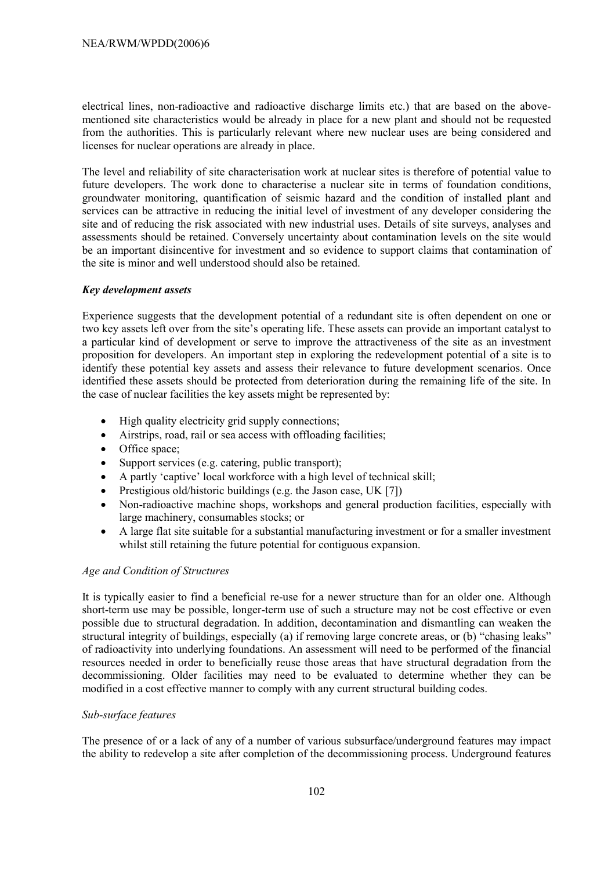electrical lines, non-radioactive and radioactive discharge limits etc.) that are based on the abovementioned site characteristics would be already in place for a new plant and should not be requested from the authorities. This is particularly relevant where new nuclear uses are being considered and licenses for nuclear operations are already in place.

The level and reliability of site characterisation work at nuclear sites is therefore of potential value to future developers. The work done to characterise a nuclear site in terms of foundation conditions, groundwater monitoring, quantification of seismic hazard and the condition of installed plant and services can be attractive in reducing the initial level of investment of any developer considering the site and of reducing the risk associated with new industrial uses. Details of site surveys, analyses and assessments should be retained. Conversely uncertainty about contamination levels on the site would be an important disincentive for investment and so evidence to support claims that contamination of the site is minor and well understood should also be retained.

# *Key development assets*

Experience suggests that the development potential of a redundant site is often dependent on one or two key assets left over from the site's operating life. These assets can provide an important catalyst to a particular kind of development or serve to improve the attractiveness of the site as an investment proposition for developers. An important step in exploring the redevelopment potential of a site is to identify these potential key assets and assess their relevance to future development scenarios. Once identified these assets should be protected from deterioration during the remaining life of the site. In the case of nuclear facilities the key assets might be represented by:

- High quality electricity grid supply connections;
- Airstrips, road, rail or sea access with offloading facilities;
- Office space:
- Support services (e.g. catering, public transport);
- A partly 'captive' local workforce with a high level of technical skill;
- Prestigious old/historic buildings (e.g. the Jason case, UK [7])
- Non-radioactive machine shops, workshops and general production facilities, especially with large machinery, consumables stocks; or
- A large flat site suitable for a substantial manufacturing investment or for a smaller investment whilst still retaining the future potential for contiguous expansion.

## *Age and Condition of Structures*

It is typically easier to find a beneficial re-use for a newer structure than for an older one. Although short-term use may be possible, longer-term use of such a structure may not be cost effective or even possible due to structural degradation. In addition, decontamination and dismantling can weaken the structural integrity of buildings, especially (a) if removing large concrete areas, or (b) "chasing leaks" of radioactivity into underlying foundations. An assessment will need to be performed of the financial resources needed in order to beneficially reuse those areas that have structural degradation from the decommissioning. Older facilities may need to be evaluated to determine whether they can be modified in a cost effective manner to comply with any current structural building codes.

## *Sub-surface features*

The presence of or a lack of any of a number of various subsurface/underground features may impact the ability to redevelop a site after completion of the decommissioning process. Underground features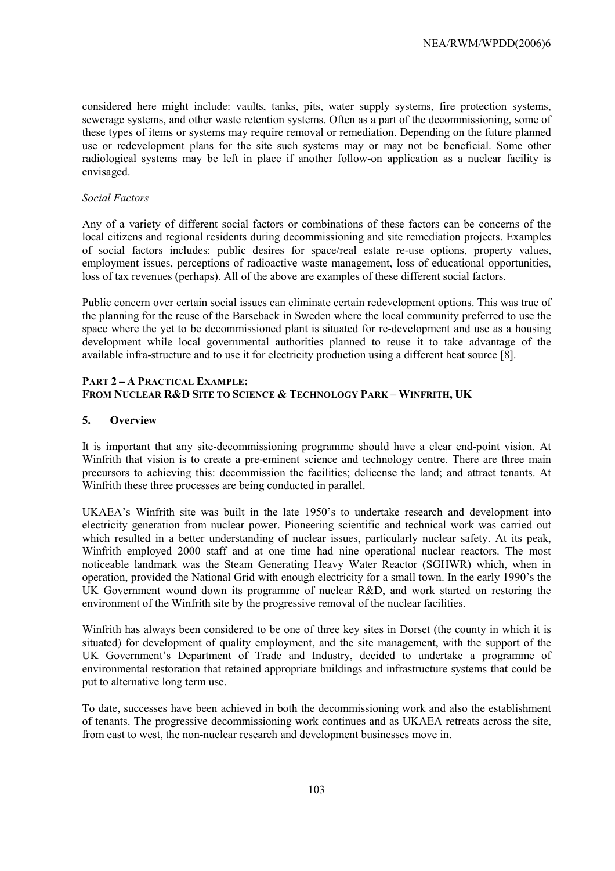considered here might include: vaults, tanks, pits, water supply systems, fire protection systems, sewerage systems, and other waste retention systems. Often as a part of the decommissioning, some of these types of items or systems may require removal or remediation. Depending on the future planned use or redevelopment plans for the site such systems may or may not be beneficial. Some other radiological systems may be left in place if another follow-on application as a nuclear facility is envisaged.

#### *Social Factors*

Any of a variety of different social factors or combinations of these factors can be concerns of the local citizens and regional residents during decommissioning and site remediation projects. Examples of social factors includes: public desires for space/real estate re-use options, property values, employment issues, perceptions of radioactive waste management, loss of educational opportunities, loss of tax revenues (perhaps). All of the above are examples of these different social factors.

Public concern over certain social issues can eliminate certain redevelopment options. This was true of the planning for the reuse of the Barseback in Sweden where the local community preferred to use the space where the yet to be decommissioned plant is situated for re-development and use as a housing development while local governmental authorities planned to reuse it to take advantage of the available infra-structure and to use it for electricity production using a different heat source [8].

#### **PART 2 ñ A PRACTICAL EXAMPLE: FROM NUCLEAR R&D SITE TO SCIENCE & TECHNOLOGY PARK - WINFRITH, UK**

#### **5. Overview**

It is important that any site-decommissioning programme should have a clear end-point vision. At Winfrith that vision is to create a pre-eminent science and technology centre. There are three main precursors to achieving this: decommission the facilities; delicense the land; and attract tenants. At Winfrith these three processes are being conducted in parallel.

UKAEAís Winfrith site was built in the late 1950ís to undertake research and development into electricity generation from nuclear power. Pioneering scientific and technical work was carried out which resulted in a better understanding of nuclear issues, particularly nuclear safety. At its peak, Winfrith employed 2000 staff and at one time had nine operational nuclear reactors. The most noticeable landmark was the Steam Generating Heavy Water Reactor (SGHWR) which, when in operation, provided the National Grid with enough electricity for a small town. In the early 1990's the UK Government wound down its programme of nuclear R&D, and work started on restoring the environment of the Winfrith site by the progressive removal of the nuclear facilities.

Winfrith has always been considered to be one of three key sites in Dorset (the county in which it is situated) for development of quality employment, and the site management, with the support of the UK Government's Department of Trade and Industry, decided to undertake a programme of environmental restoration that retained appropriate buildings and infrastructure systems that could be put to alternative long term use.

To date, successes have been achieved in both the decommissioning work and also the establishment of tenants. The progressive decommissioning work continues and as UKAEA retreats across the site, from east to west, the non-nuclear research and development businesses move in.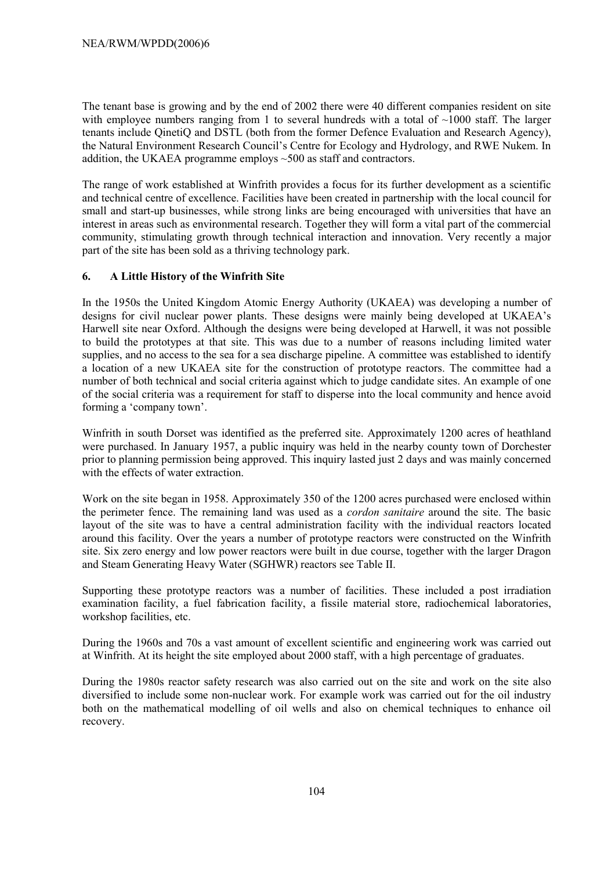The tenant base is growing and by the end of 2002 there were 40 different companies resident on site with employee numbers ranging from 1 to several hundreds with a total of  $\sim$ 1000 staff. The larger tenants include QinetiQ and DSTL (both from the former Defence Evaluation and Research Agency), the Natural Environment Research Council's Centre for Ecology and Hydrology, and RWE Nukem. In addition, the UKAEA programme employs ~500 as staff and contractors.

The range of work established at Winfrith provides a focus for its further development as a scientific and technical centre of excellence. Facilities have been created in partnership with the local council for small and start-up businesses, while strong links are being encouraged with universities that have an interest in areas such as environmental research. Together they will form a vital part of the commercial community, stimulating growth through technical interaction and innovation. Very recently a major part of the site has been sold as a thriving technology park.

# **6. A Little History of the Winfrith Site**

In the 1950s the United Kingdom Atomic Energy Authority (UKAEA) was developing a number of designs for civil nuclear power plants. These designs were mainly being developed at UKAEA's Harwell site near Oxford. Although the designs were being developed at Harwell, it was not possible to build the prototypes at that site. This was due to a number of reasons including limited water supplies, and no access to the sea for a sea discharge pipeline. A committee was established to identify a location of a new UKAEA site for the construction of prototype reactors. The committee had a number of both technical and social criteria against which to judge candidate sites. An example of one of the social criteria was a requirement for staff to disperse into the local community and hence avoid forming a 'company town'.

Winfrith in south Dorset was identified as the preferred site. Approximately 1200 acres of heathland were purchased. In January 1957, a public inquiry was held in the nearby county town of Dorchester prior to planning permission being approved. This inquiry lasted just 2 days and was mainly concerned with the effects of water extraction.

Work on the site began in 1958. Approximately 350 of the 1200 acres purchased were enclosed within the perimeter fence. The remaining land was used as a *cordon sanitaire* around the site. The basic layout of the site was to have a central administration facility with the individual reactors located around this facility. Over the years a number of prototype reactors were constructed on the Winfrith site. Six zero energy and low power reactors were built in due course, together with the larger Dragon and Steam Generating Heavy Water (SGHWR) reactors see Table II.

Supporting these prototype reactors was a number of facilities. These included a post irradiation examination facility, a fuel fabrication facility, a fissile material store, radiochemical laboratories, workshop facilities, etc.

During the 1960s and 70s a vast amount of excellent scientific and engineering work was carried out at Winfrith. At its height the site employed about 2000 staff, with a high percentage of graduates.

During the 1980s reactor safety research was also carried out on the site and work on the site also diversified to include some non-nuclear work. For example work was carried out for the oil industry both on the mathematical modelling of oil wells and also on chemical techniques to enhance oil recovery.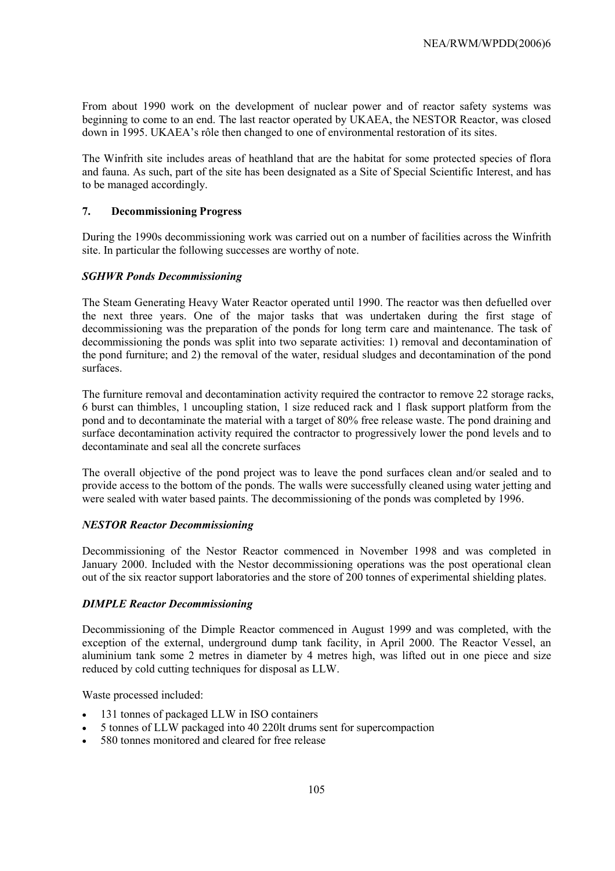From about 1990 work on the development of nuclear power and of reactor safety systems was beginning to come to an end. The last reactor operated by UKAEA, the NESTOR Reactor, was closed down in 1995. UKAEA's rôle then changed to one of environmental restoration of its sites.

The Winfrith site includes areas of heathland that are the habitat for some protected species of flora and fauna. As such, part of the site has been designated as a Site of Special Scientific Interest, and has to be managed accordingly.

## **7. Decommissioning Progress**

During the 1990s decommissioning work was carried out on a number of facilities across the Winfrith site. In particular the following successes are worthy of note.

## *SGHWR Ponds Decommissioning*

The Steam Generating Heavy Water Reactor operated until 1990. The reactor was then defuelled over the next three years. One of the major tasks that was undertaken during the first stage of decommissioning was the preparation of the ponds for long term care and maintenance. The task of decommissioning the ponds was split into two separate activities: 1) removal and decontamination of the pond furniture; and 2) the removal of the water, residual sludges and decontamination of the pond surfaces.

The furniture removal and decontamination activity required the contractor to remove 22 storage racks, 6 burst can thimbles, 1 uncoupling station, 1 size reduced rack and 1 flask support platform from the pond and to decontaminate the material with a target of 80% free release waste. The pond draining and surface decontamination activity required the contractor to progressively lower the pond levels and to decontaminate and seal all the concrete surfaces

The overall objective of the pond project was to leave the pond surfaces clean and/or sealed and to provide access to the bottom of the ponds. The walls were successfully cleaned using water jetting and were sealed with water based paints. The decommissioning of the ponds was completed by 1996.

## *NESTOR Reactor Decommissioning*

Decommissioning of the Nestor Reactor commenced in November 1998 and was completed in January 2000. Included with the Nestor decommissioning operations was the post operational clean out of the six reactor support laboratories and the store of 200 tonnes of experimental shielding plates.

## *DIMPLE Reactor Decommissioning*

Decommissioning of the Dimple Reactor commenced in August 1999 and was completed, with the exception of the external, underground dump tank facility, in April 2000. The Reactor Vessel, an aluminium tank some 2 metres in diameter by 4 metres high, was lifted out in one piece and size reduced by cold cutting techniques for disposal as LLW.

Waste processed included:

- 131 tonnes of packaged LLW in ISO containers
- 5 tonnes of LLW packaged into 40 220lt drums sent for supercompaction
- 580 tonnes monitored and cleared for free release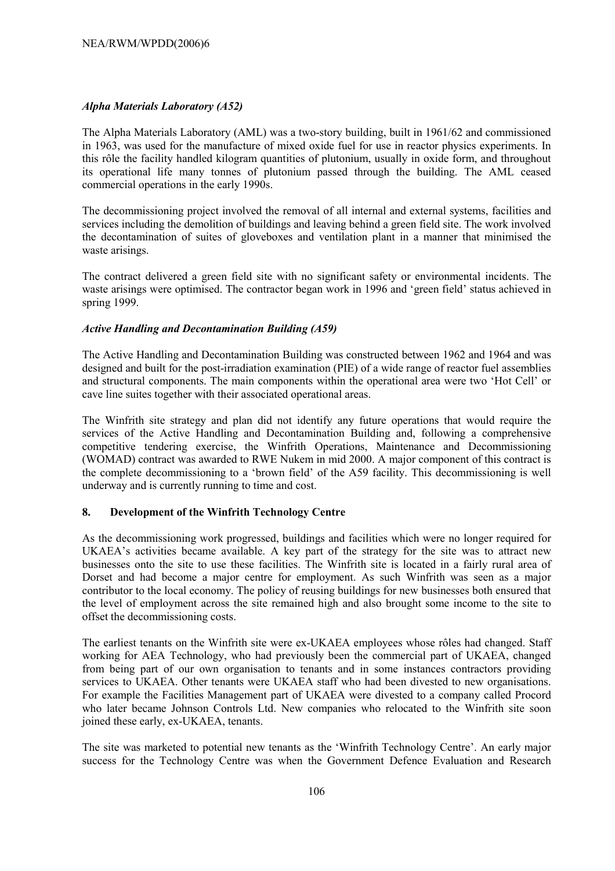# *Alpha Materials Laboratory (A52)*

The Alpha Materials Laboratory (AML) was a two-story building, built in 1961/62 and commissioned in 1963, was used for the manufacture of mixed oxide fuel for use in reactor physics experiments. In this rôle the facility handled kilogram quantities of plutonium, usually in oxide form, and throughout its operational life many tonnes of plutonium passed through the building. The AML ceased commercial operations in the early 1990s.

The decommissioning project involved the removal of all internal and external systems, facilities and services including the demolition of buildings and leaving behind a green field site. The work involved the decontamination of suites of gloveboxes and ventilation plant in a manner that minimised the waste arisings.

The contract delivered a green field site with no significant safety or environmental incidents. The waste arisings were optimised. The contractor began work in 1996 and 'green field' status achieved in spring 1999.

# *Active Handling and Decontamination Building (A59)*

The Active Handling and Decontamination Building was constructed between 1962 and 1964 and was designed and built for the post-irradiation examination (PIE) of a wide range of reactor fuel assemblies and structural components. The main components within the operational area were two 'Hot Cell' or cave line suites together with their associated operational areas.

The Winfrith site strategy and plan did not identify any future operations that would require the services of the Active Handling and Decontamination Building and, following a comprehensive competitive tendering exercise, the Winfrith Operations, Maintenance and Decommissioning (WOMAD) contract was awarded to RWE Nukem in mid 2000. A major component of this contract is the complete decommissioning to a 'brown field' of the A59 facility. This decommissioning is well underway and is currently running to time and cost.

# **8. Development of the Winfrith Technology Centre**

As the decommissioning work progressed, buildings and facilities which were no longer required for UKAEA's activities became available. A key part of the strategy for the site was to attract new businesses onto the site to use these facilities. The Winfrith site is located in a fairly rural area of Dorset and had become a major centre for employment. As such Winfrith was seen as a major contributor to the local economy. The policy of reusing buildings for new businesses both ensured that the level of employment across the site remained high and also brought some income to the site to offset the decommissioning costs.

The earliest tenants on the Winfrith site were ex-UKAEA employees whose rôles had changed. Staff working for AEA Technology, who had previously been the commercial part of UKAEA, changed from being part of our own organisation to tenants and in some instances contractors providing services to UKAEA. Other tenants were UKAEA staff who had been divested to new organisations. For example the Facilities Management part of UKAEA were divested to a company called Procord who later became Johnson Controls Ltd. New companies who relocated to the Winfrith site soon joined these early, ex-UKAEA, tenants.

The site was marketed to potential new tenants as the 'Winfrith Technology Centre'. An early major success for the Technology Centre was when the Government Defence Evaluation and Research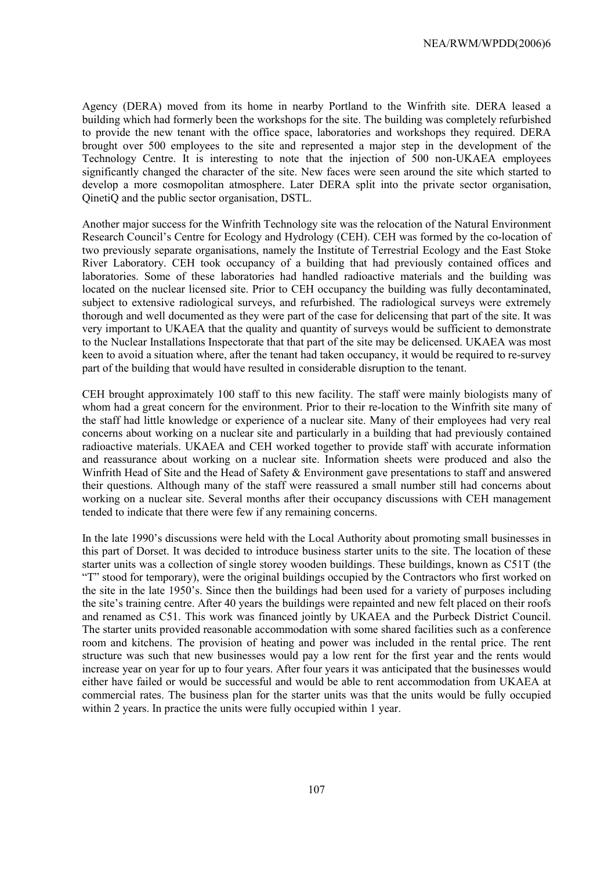Agency (DERA) moved from its home in nearby Portland to the Winfrith site. DERA leased a building which had formerly been the workshops for the site. The building was completely refurbished to provide the new tenant with the office space, laboratories and workshops they required. DERA brought over 500 employees to the site and represented a major step in the development of the Technology Centre. It is interesting to note that the injection of 500 non-UKAEA employees significantly changed the character of the site. New faces were seen around the site which started to develop a more cosmopolitan atmosphere. Later DERA split into the private sector organisation, QinetiQ and the public sector organisation, DSTL.

Another major success for the Winfrith Technology site was the relocation of the Natural Environment Research Council's Centre for Ecology and Hydrology (CEH). CEH was formed by the co-location of two previously separate organisations, namely the Institute of Terrestrial Ecology and the East Stoke River Laboratory. CEH took occupancy of a building that had previously contained offices and laboratories. Some of these laboratories had handled radioactive materials and the building was located on the nuclear licensed site. Prior to CEH occupancy the building was fully decontaminated, subject to extensive radiological surveys, and refurbished. The radiological surveys were extremely thorough and well documented as they were part of the case for delicensing that part of the site. It was very important to UKAEA that the quality and quantity of surveys would be sufficient to demonstrate to the Nuclear Installations Inspectorate that that part of the site may be delicensed. UKAEA was most keen to avoid a situation where, after the tenant had taken occupancy, it would be required to re-survey part of the building that would have resulted in considerable disruption to the tenant.

CEH brought approximately 100 staff to this new facility. The staff were mainly biologists many of whom had a great concern for the environment. Prior to their re-location to the Winfrith site many of the staff had little knowledge or experience of a nuclear site. Many of their employees had very real concerns about working on a nuclear site and particularly in a building that had previously contained radioactive materials. UKAEA and CEH worked together to provide staff with accurate information and reassurance about working on a nuclear site. Information sheets were produced and also the Winfrith Head of Site and the Head of Safety & Environment gave presentations to staff and answered their questions. Although many of the staff were reassured a small number still had concerns about working on a nuclear site. Several months after their occupancy discussions with CEH management tended to indicate that there were few if any remaining concerns.

In the late 1990's discussions were held with the Local Authority about promoting small businesses in this part of Dorset. It was decided to introduce business starter units to the site. The location of these starter units was a collection of single storey wooden buildings. These buildings, known as C51T (the ìTî stood for temporary), were the original buildings occupied by the Contractors who first worked on the site in the late 1950ís. Since then the buildings had been used for a variety of purposes including the site's training centre. After 40 years the buildings were repainted and new felt placed on their roofs and renamed as C51. This work was financed jointly by UKAEA and the Purbeck District Council. The starter units provided reasonable accommodation with some shared facilities such as a conference room and kitchens. The provision of heating and power was included in the rental price. The rent structure was such that new businesses would pay a low rent for the first year and the rents would increase year on year for up to four years. After four years it was anticipated that the businesses would either have failed or would be successful and would be able to rent accommodation from UKAEA at commercial rates. The business plan for the starter units was that the units would be fully occupied within 2 years. In practice the units were fully occupied within 1 year.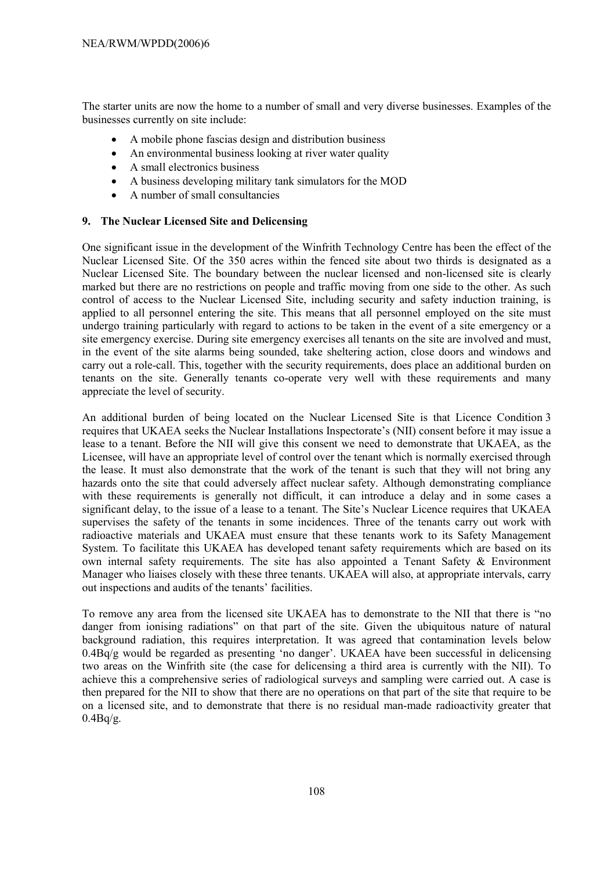The starter units are now the home to a number of small and very diverse businesses. Examples of the businesses currently on site include:

- A mobile phone fascias design and distribution business
- An environmental business looking at river water quality
- A small electronics business
- A business developing military tank simulators for the MOD
- A number of small consultancies

## **9. The Nuclear Licensed Site and Delicensing**

One significant issue in the development of the Winfrith Technology Centre has been the effect of the Nuclear Licensed Site. Of the 350 acres within the fenced site about two thirds is designated as a Nuclear Licensed Site. The boundary between the nuclear licensed and non-licensed site is clearly marked but there are no restrictions on people and traffic moving from one side to the other. As such control of access to the Nuclear Licensed Site, including security and safety induction training, is applied to all personnel entering the site. This means that all personnel employed on the site must undergo training particularly with regard to actions to be taken in the event of a site emergency or a site emergency exercise. During site emergency exercises all tenants on the site are involved and must, in the event of the site alarms being sounded, take sheltering action, close doors and windows and carry out a role-call. This, together with the security requirements, does place an additional burden on tenants on the site. Generally tenants co-operate very well with these requirements and many appreciate the level of security.

An additional burden of being located on the Nuclear Licensed Site is that Licence Condition 3 requires that UKAEA seeks the Nuclear Installations Inspectorate's (NII) consent before it may issue a lease to a tenant. Before the NII will give this consent we need to demonstrate that UKAEA, as the Licensee, will have an appropriate level of control over the tenant which is normally exercised through the lease. It must also demonstrate that the work of the tenant is such that they will not bring any hazards onto the site that could adversely affect nuclear safety. Although demonstrating compliance with these requirements is generally not difficult, it can introduce a delay and in some cases a significant delay, to the issue of a lease to a tenant. The Site's Nuclear Licence requires that UKAEA supervises the safety of the tenants in some incidences. Three of the tenants carry out work with radioactive materials and UKAEA must ensure that these tenants work to its Safety Management System. To facilitate this UKAEA has developed tenant safety requirements which are based on its own internal safety requirements. The site has also appointed a Tenant Safety & Environment Manager who liaises closely with these three tenants. UKAEA will also, at appropriate intervals, carry out inspections and audits of the tenants' facilities.

To remove any area from the licensed site UKAEA has to demonstrate to the NII that there is "no danger from ionising radiations" on that part of the site. Given the ubiquitous nature of natural background radiation, this requires interpretation. It was agreed that contamination levels below  $0.4Bq/g$  would be regarded as presenting 'no danger'. UKAEA have been successful in delicensing two areas on the Winfrith site (the case for delicensing a third area is currently with the NII). To achieve this a comprehensive series of radiological surveys and sampling were carried out. A case is then prepared for the NII to show that there are no operations on that part of the site that require to be on a licensed site, and to demonstrate that there is no residual man-made radioactivity greater that  $0.4Bq/g$ .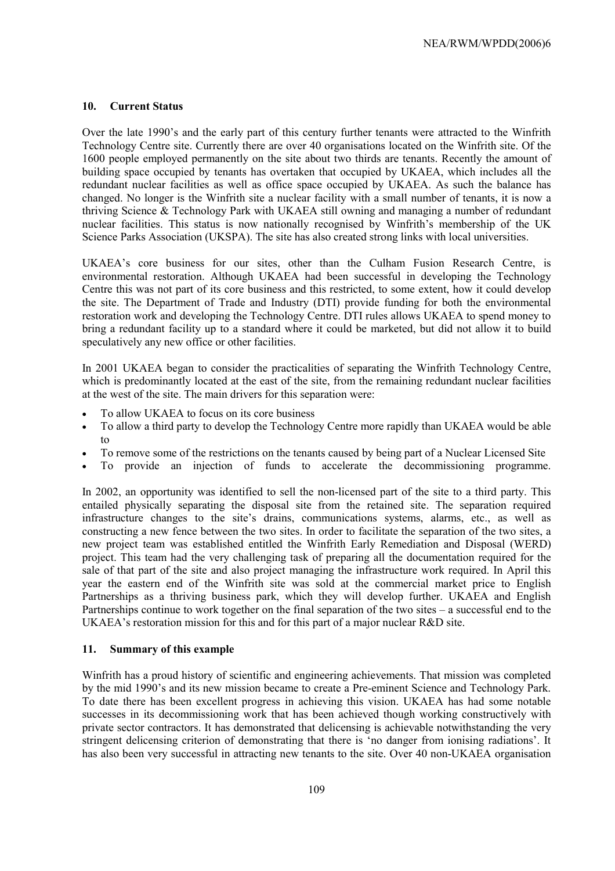#### **10. Current Status**

Over the late 1990's and the early part of this century further tenants were attracted to the Winfrith Technology Centre site. Currently there are over 40 organisations located on the Winfrith site. Of the 1600 people employed permanently on the site about two thirds are tenants. Recently the amount of building space occupied by tenants has overtaken that occupied by UKAEA, which includes all the redundant nuclear facilities as well as office space occupied by UKAEA. As such the balance has changed. No longer is the Winfrith site a nuclear facility with a small number of tenants, it is now a thriving Science & Technology Park with UKAEA still owning and managing a number of redundant nuclear facilities. This status is now nationally recognised by Winfrith's membership of the UK Science Parks Association (UKSPA). The site has also created strong links with local universities.

UKAEA's core business for our sites, other than the Culham Fusion Research Centre, is environmental restoration. Although UKAEA had been successful in developing the Technology Centre this was not part of its core business and this restricted, to some extent, how it could develop the site. The Department of Trade and Industry (DTI) provide funding for both the environmental restoration work and developing the Technology Centre. DTI rules allows UKAEA to spend money to bring a redundant facility up to a standard where it could be marketed, but did not allow it to build speculatively any new office or other facilities.

In 2001 UKAEA began to consider the practicalities of separating the Winfrith Technology Centre, which is predominantly located at the east of the site, from the remaining redundant nuclear facilities at the west of the site. The main drivers for this separation were:

- To allow UKAEA to focus on its core business
- To allow a third party to develop the Technology Centre more rapidly than UKAEA would be able to
- To remove some of the restrictions on the tenants caused by being part of a Nuclear Licensed Site
- To provide an injection of funds to accelerate the decommissioning programme.

In 2002, an opportunity was identified to sell the non-licensed part of the site to a third party. This entailed physically separating the disposal site from the retained site. The separation required infrastructure changes to the site's drains, communications systems, alarms, etc., as well as constructing a new fence between the two sites. In order to facilitate the separation of the two sites, a new project team was established entitled the Winfrith Early Remediation and Disposal (WERD) project. This team had the very challenging task of preparing all the documentation required for the sale of that part of the site and also project managing the infrastructure work required. In April this year the eastern end of the Winfrith site was sold at the commercial market price to English Partnerships as a thriving business park, which they will develop further. UKAEA and English Partnerships continue to work together on the final separation of the two sites  $-$  a successful end to the UKAEA's restoration mission for this and for this part of a major nuclear R&D site.

#### **11. Summary of this example**

Winfrith has a proud history of scientific and engineering achievements. That mission was completed by the mid 1990's and its new mission became to create a Pre-eminent Science and Technology Park. To date there has been excellent progress in achieving this vision. UKAEA has had some notable successes in its decommissioning work that has been achieved though working constructively with private sector contractors. It has demonstrated that delicensing is achievable notwithstanding the very stringent delicensing criterion of demonstrating that there is 'no danger from ionising radiations'. It has also been very successful in attracting new tenants to the site. Over 40 non-UKAEA organisation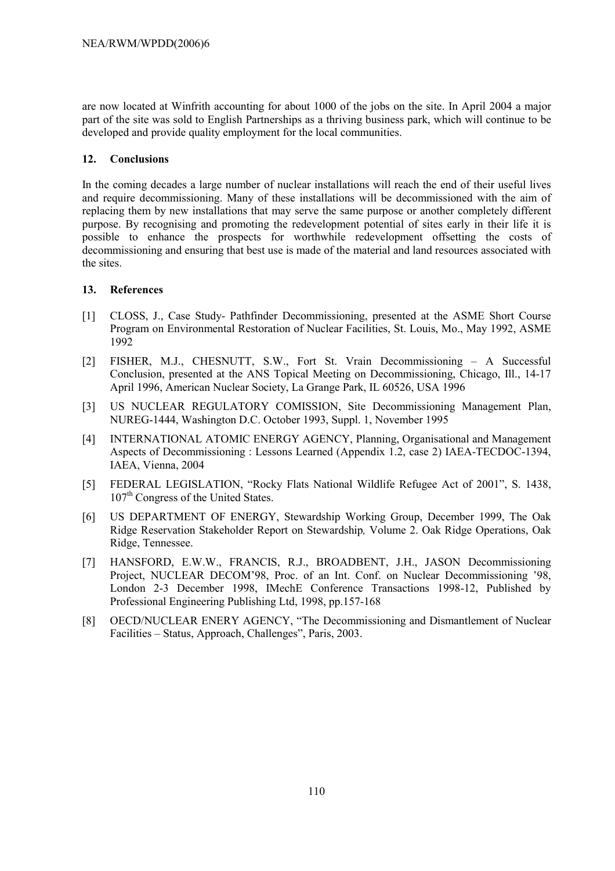are now located at Winfrith accounting for about 1000 of the jobs on the site. In April 2004 a major part of the site was sold to English Partnerships as a thriving business park, which will continue to be developed and provide quality employment for the local communities.

## **12. Conclusions**

In the coming decades a large number of nuclear installations will reach the end of their useful lives and require decommissioning. Many of these installations will be decommissioned with the aim of replacing them by new installations that may serve the same purpose or another completely different purpose. By recognising and promoting the redevelopment potential of sites early in their life it is possible to enhance the prospects for worthwhile redevelopment offsetting the costs of decommissioning and ensuring that best use is made of the material and land resources associated with the sites.

## **13. References**

- [1] CLOSS, J., Case Study- Pathfinder Decommissioning, presented at the ASME Short Course Program on Environmental Restoration of Nuclear Facilities, St. Louis, Mo., May 1992, ASME 1992
- [2] FISHER, M.J., CHESNUTT, S.W., Fort St. Vrain Decommissioning  $-$  A Successful Conclusion, presented at the ANS Topical Meeting on Decommissioning, Chicago, Ill., 14-17 April 1996, American Nuclear Society, La Grange Park, IL 60526, USA 1996
- [3] US NUCLEAR REGULATORY COMISSION, Site Decommissioning Management Plan, NUREG-1444, Washington D.C. October 1993, Suppl. 1, November 1995
- [4] INTERNATIONAL ATOMIC ENERGY AGENCY, Planning, Organisational and Management Aspects of Decommissioning : Lessons Learned (Appendix 1.2, case 2) IAEA-TECDOC-1394, IAEA, Vienna, 2004
- [5] FEDERAL LEGISLATION, "Rocky Flats National Wildlife Refugee Act of 2001", S. 1438, 107<sup>th</sup> Congress of the United States.
- [6] US DEPARTMENT OF ENERGY, Stewardship Working Group, December 1999, The Oak Ridge Reservation Stakeholder Report on Stewardship*,* Volume 2. Oak Ridge Operations, Oak Ridge, Tennessee.
- [7] HANSFORD, E.W.W., FRANCIS, R.J., BROADBENT, J.H., JASON Decommissioning Project, NUCLEAR DECOM'98, Proc. of an Int. Conf. on Nuclear Decommissioning '98, London 2-3 December 1998, IMechE Conference Transactions 1998-12, Published by Professional Engineering Publishing Ltd, 1998, pp.157-168
- [8] OECD/NUCLEAR ENERY AGENCY, "The Decommissioning and Dismantlement of Nuclear Facilities – Status, Approach, Challenges<sup>"</sup>, Paris, 2003.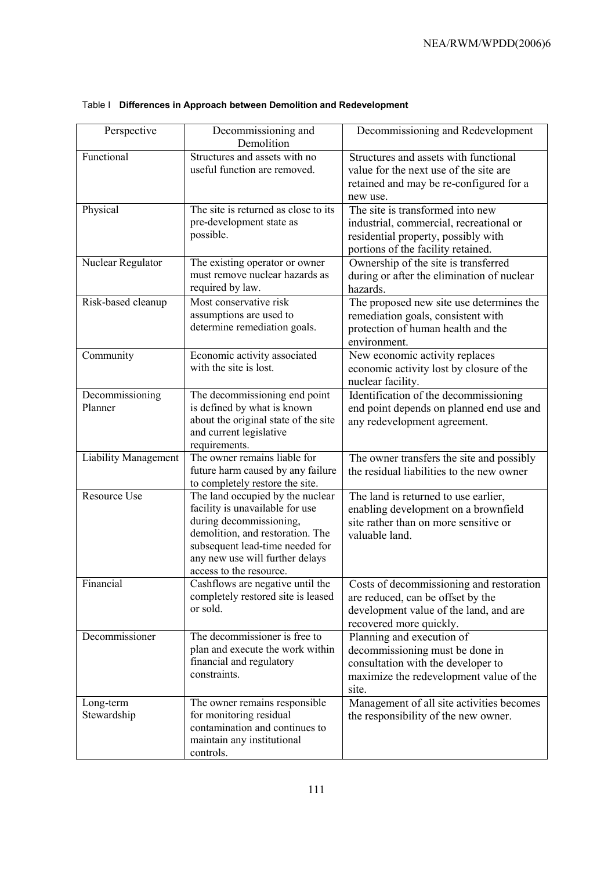| Perspective                | Decommissioning and<br>Demolition                                                                                                                                                                                                   | Decommissioning and Redevelopment                                                                                                                        |  |
|----------------------------|-------------------------------------------------------------------------------------------------------------------------------------------------------------------------------------------------------------------------------------|----------------------------------------------------------------------------------------------------------------------------------------------------------|--|
| Functional                 | Structures and assets with no<br>useful function are removed.                                                                                                                                                                       | Structures and assets with functional<br>value for the next use of the site are<br>retained and may be re-configured for a<br>new use.                   |  |
| Physical                   | The site is returned as close to its<br>pre-development state as<br>possible.                                                                                                                                                       | The site is transformed into new<br>industrial, commercial, recreational or<br>residential property, possibly with<br>portions of the facility retained. |  |
| Nuclear Regulator          | The existing operator or owner<br>must remove nuclear hazards as<br>required by law.                                                                                                                                                | Ownership of the site is transferred<br>during or after the elimination of nuclear<br>hazards.                                                           |  |
| Risk-based cleanup         | Most conservative risk<br>assumptions are used to<br>determine remediation goals.                                                                                                                                                   | The proposed new site use determines the<br>remediation goals, consistent with<br>protection of human health and the<br>environment.                     |  |
| Community                  | Economic activity associated<br>with the site is lost.                                                                                                                                                                              | New economic activity replaces<br>economic activity lost by closure of the<br>nuclear facility.                                                          |  |
| Decommissioning<br>Planner | The decommissioning end point<br>is defined by what is known<br>about the original state of the site<br>and current legislative<br>requirements.                                                                                    | Identification of the decommissioning<br>end point depends on planned end use and<br>any redevelopment agreement.                                        |  |
| Liability Management       | The owner remains liable for<br>future harm caused by any failure<br>to completely restore the site.                                                                                                                                | The owner transfers the site and possibly<br>the residual liabilities to the new owner                                                                   |  |
| Resource Use               | The land occupied by the nuclear<br>facility is unavailable for use<br>during decommissioning,<br>demolition, and restoration. The<br>subsequent lead-time needed for<br>any new use will further delays<br>access to the resource. | The land is returned to use earlier,<br>enabling development on a brownfield<br>site rather than on more sensitive or<br>valuable land.                  |  |
| Financial                  | Cashflows are negative until the<br>completely restored site is leased<br>or sold.                                                                                                                                                  | Costs of decommissioning and restoration<br>are reduced, can be offset by the<br>development value of the land, and are<br>recovered more quickly.       |  |
| Decommissioner             | The decommissioner is free to<br>plan and execute the work within<br>financial and regulatory<br>constraints.                                                                                                                       | Planning and execution of<br>decommissioning must be done in<br>consultation with the developer to<br>maximize the redevelopment value of the<br>site.   |  |
| Long-term<br>Stewardship   | The owner remains responsible<br>for monitoring residual<br>contamination and continues to<br>maintain any institutional<br>controls.                                                                                               | Management of all site activities becomes<br>the responsibility of the new owner.                                                                        |  |

## Table I **Differences in Approach between Demolition and Redevelopment**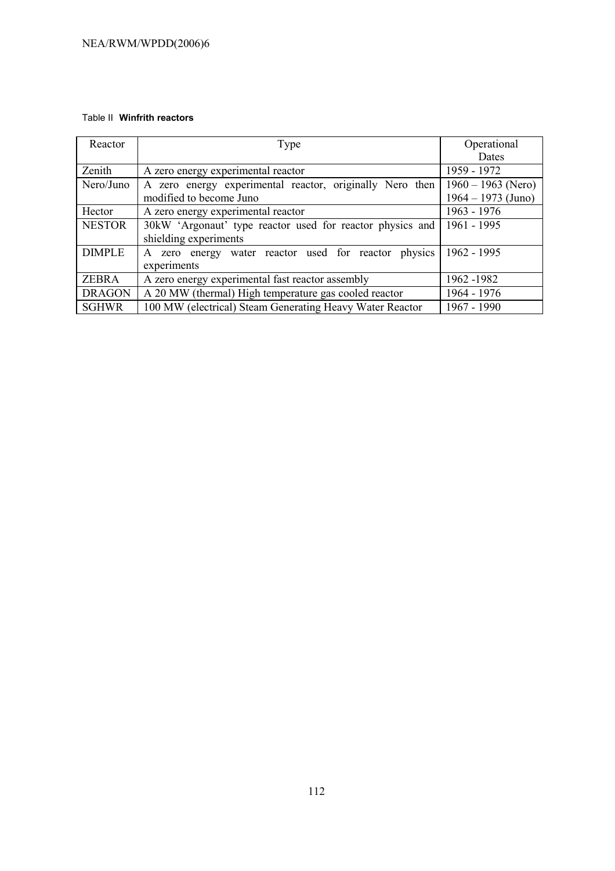#### Table II **Winfrith reactors**

| Reactor       | Type                                                      | Operational          |
|---------------|-----------------------------------------------------------|----------------------|
|               |                                                           | <b>Dates</b>         |
| Zenith        | A zero energy experimental reactor                        | 1959 - 1972          |
| Nero/Juno     | A zero energy experimental reactor, originally Nero then  | $1960 - 1963$ (Nero) |
|               | modified to become Juno                                   | $1964 - 1973$ (Juno) |
| Hector        | A zero energy experimental reactor                        | 1963 - 1976          |
| <b>NESTOR</b> | 30kW 'Argonaut' type reactor used for reactor physics and | 1961 - 1995          |
|               | shielding experiments                                     |                      |
| <b>DIMPLE</b> | A zero energy water reactor used for reactor<br>physics   | 1962 - 1995          |
|               | experiments                                               |                      |
| <b>ZEBRA</b>  | A zero energy experimental fast reactor assembly          | 1962 -1982           |
| <b>DRAGON</b> | A 20 MW (thermal) High temperature gas cooled reactor     | 1964 - 1976          |
| <b>SGHWR</b>  | 100 MW (electrical) Steam Generating Heavy Water Reactor  | 1967 - 1990          |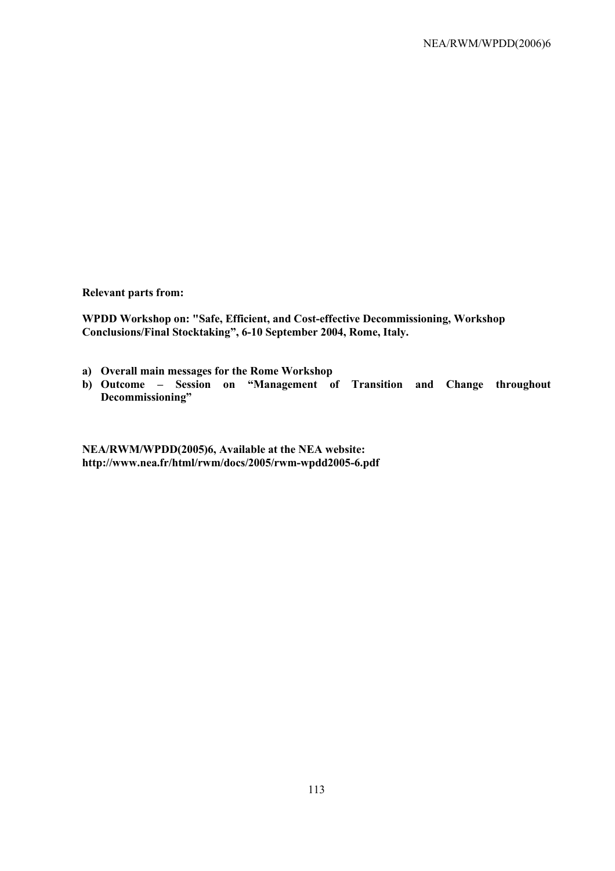**Relevant parts from:** 

**WPDD Workshop on: "Safe, Efficient, and Cost-effective Decommissioning, Workshop Conclusions/Final Stocktakingî, 6-10 September 2004, Rome, Italy.** 

- **a) Overall main messages for the Rome Workshop**
- **b)** Outcome Session on "Management of Transition and Change throughout **Decommissioning**"

**NEA/RWM/WPDD(2005)6, Available at the NEA website: http://www.nea.fr/html/rwm/docs/2005/rwm-wpdd2005-6.pdf**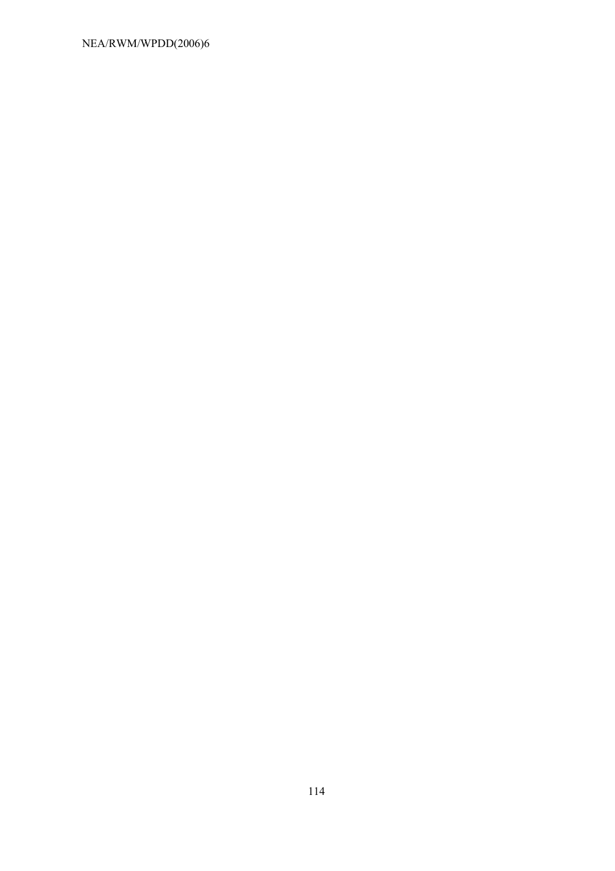# NEA/RWM/WPDD(2006)6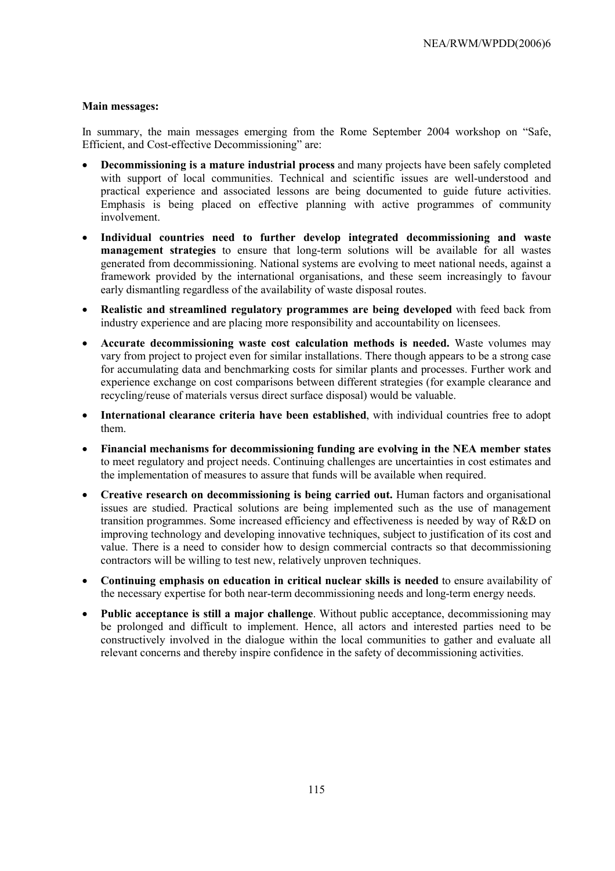#### **Main messages:**

In summary, the main messages emerging from the Rome September 2004 workshop on "Safe, Efficient, and Cost-effective Decommissioning" are:

- **Decommissioning is a mature industrial process** and many projects have been safely completed with support of local communities. Technical and scientific issues are well-understood and practical experience and associated lessons are being documented to guide future activities. Emphasis is being placed on effective planning with active programmes of community involvement.
- **Individual countries need to further develop integrated decommissioning and waste management strategies** to ensure that long-term solutions will be available for all wastes generated from decommissioning. National systems are evolving to meet national needs, against a framework provided by the international organisations, and these seem increasingly to favour early dismantling regardless of the availability of waste disposal routes.
- **Realistic and streamlined regulatory programmes are being developed** with feed back from industry experience and are placing more responsibility and accountability on licensees.
- **Accurate decommissioning waste cost calculation methods is needed.** Waste volumes may vary from project to project even for similar installations. There though appears to be a strong case for accumulating data and benchmarking costs for similar plants and processes. Further work and experience exchange on cost comparisons between different strategies (for example clearance and recycling/reuse of materials versus direct surface disposal) would be valuable.
- **International clearance criteria have been established**, with individual countries free to adopt them.
- **Financial mechanisms for decommissioning funding are evolving in the NEA member states** to meet regulatory and project needs. Continuing challenges are uncertainties in cost estimates and the implementation of measures to assure that funds will be available when required.
- Creative research on decommissioning is being carried out. Human factors and organisational issues are studied. Practical solutions are being implemented such as the use of management transition programmes. Some increased efficiency and effectiveness is needed by way of R&D on improving technology and developing innovative techniques, subject to justification of its cost and value. There is a need to consider how to design commercial contracts so that decommissioning contractors will be willing to test new, relatively unproven techniques.
- **Continuing emphasis on education in critical nuclear skills is needed** to ensure availability of the necessary expertise for both near-term decommissioning needs and long-term energy needs.
- **Public acceptance is still a major challenge**. Without public acceptance, decommissioning may be prolonged and difficult to implement. Hence, all actors and interested parties need to be constructively involved in the dialogue within the local communities to gather and evaluate all relevant concerns and thereby inspire confidence in the safety of decommissioning activities.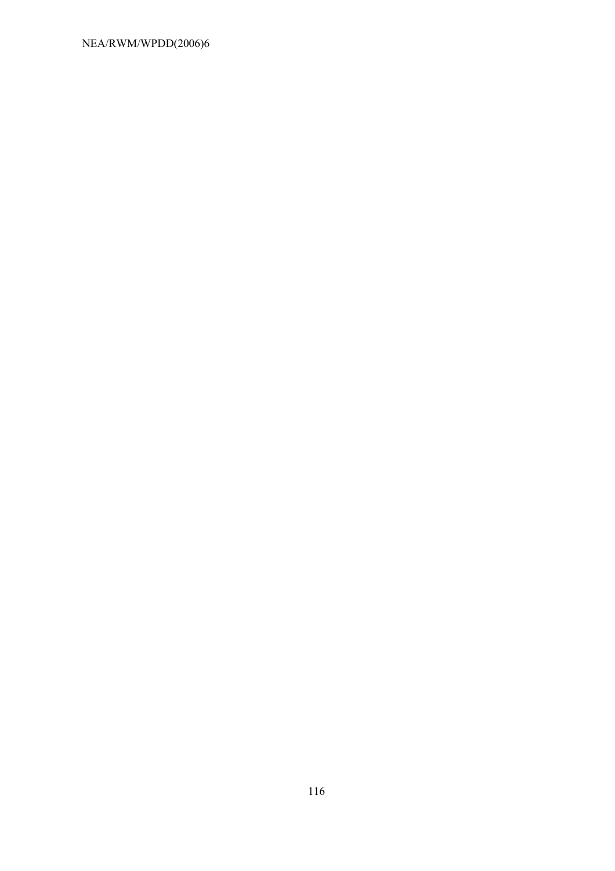# NEA/RWM/WPDD(2006)6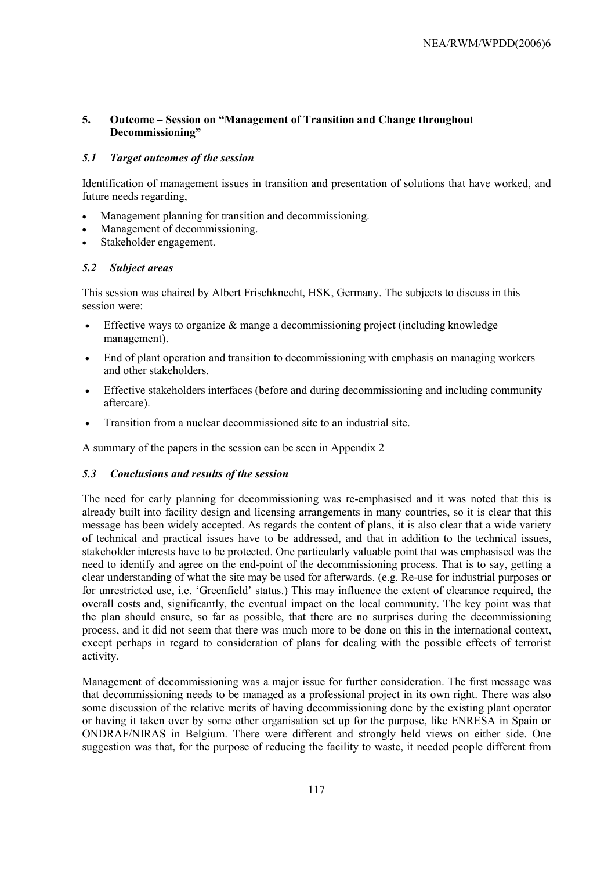## **5.** Outcome – Session on "Management of Transition and Change throughout **Decommissioning**"

### *5.1 Target outcomes of the session*

Identification of management issues in transition and presentation of solutions that have worked, and future needs regarding,

- Management planning for transition and decommissioning.
- Management of decommissioning.
- Stakeholder engagement.

## *5.2 Subject areas*

This session was chaired by Albert Frischknecht, HSK, Germany. The subjects to discuss in this session were:

- Effective ways to organize  $\&$  mange a decommissioning project (including knowledge management).
- End of plant operation and transition to decommissioning with emphasis on managing workers and other stakeholders.
- Effective stakeholders interfaces (before and during decommissioning and including community aftercare).
- Transition from a nuclear decommissioned site to an industrial site.

A summary of the papers in the session can be seen in Appendix 2

## *5.3 Conclusions and results of the session*

The need for early planning for decommissioning was re-emphasised and it was noted that this is already built into facility design and licensing arrangements in many countries, so it is clear that this message has been widely accepted. As regards the content of plans, it is also clear that a wide variety of technical and practical issues have to be addressed, and that in addition to the technical issues, stakeholder interests have to be protected. One particularly valuable point that was emphasised was the need to identify and agree on the end-point of the decommissioning process. That is to say, getting a clear understanding of what the site may be used for afterwards. (e.g. Re-use for industrial purposes or for unrestricted use, i.e. 'Greenfield' status.) This may influence the extent of clearance required, the overall costs and, significantly, the eventual impact on the local community. The key point was that the plan should ensure, so far as possible, that there are no surprises during the decommissioning process, and it did not seem that there was much more to be done on this in the international context, except perhaps in regard to consideration of plans for dealing with the possible effects of terrorist activity.

Management of decommissioning was a major issue for further consideration. The first message was that decommissioning needs to be managed as a professional project in its own right. There was also some discussion of the relative merits of having decommissioning done by the existing plant operator or having it taken over by some other organisation set up for the purpose, like ENRESA in Spain or ONDRAF/NIRAS in Belgium. There were different and strongly held views on either side. One suggestion was that, for the purpose of reducing the facility to waste, it needed people different from